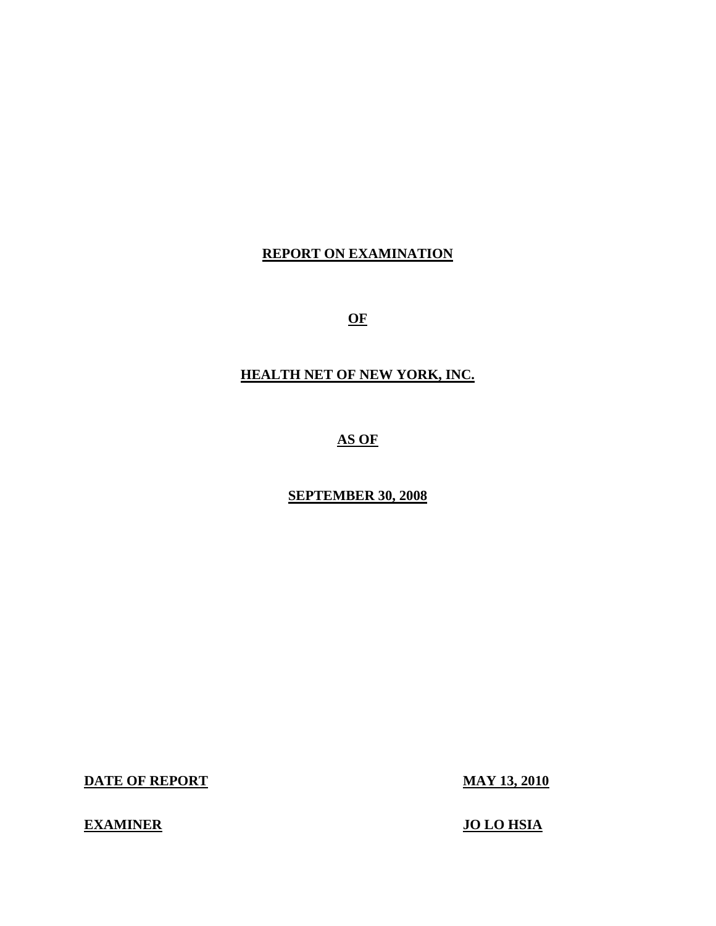# **REPORT ON EXAMINATION**

**OF** 

# **HEALTH NET OF NEW YORK, INC.**

**AS OF** 

## **SEPTEMBER 30, 2008**

**DATE OF REPORT MAY 13, 2010** 

# **EXAMINER JO LO HSIA**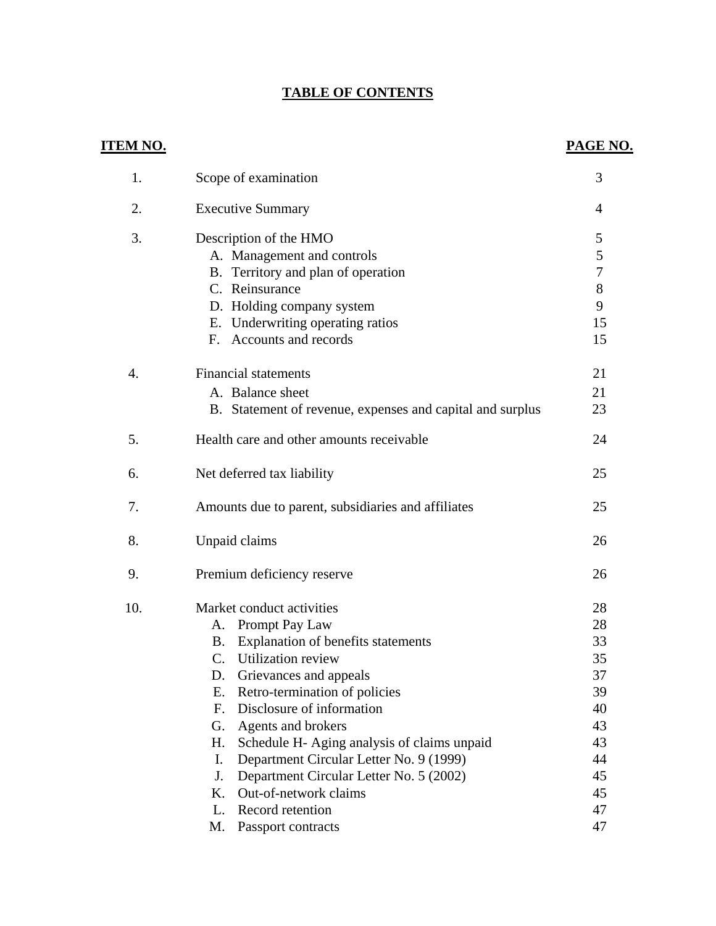# **TABLE OF CONTENTS**

| ITEM NO.         |                                                           | PAGE NO.       |
|------------------|-----------------------------------------------------------|----------------|
| 1.               | Scope of examination                                      | 3              |
| 2.               | <b>Executive Summary</b>                                  | 4              |
| 3.               | Description of the HMO                                    | 5              |
|                  | A. Management and controls                                | 5              |
|                  | B. Territory and plan of operation                        | $\overline{7}$ |
|                  | C. Reinsurance                                            | 8              |
|                  | D. Holding company system                                 | 9              |
|                  | Underwriting operating ratios<br>Е.                       | 15             |
|                  | Accounts and records<br>F.                                | 15             |
| $\overline{4}$ . | <b>Financial statements</b>                               | 21             |
|                  | A. Balance sheet                                          | 21             |
|                  | B. Statement of revenue, expenses and capital and surplus | 23             |
| 5.               | Health care and other amounts receivable                  | 24             |
| 6.               | Net deferred tax liability                                | 25             |
| 7.               | Amounts due to parent, subsidiaries and affiliates        | 25             |
| 8.               | Unpaid claims                                             | 26             |
| 9.               | Premium deficiency reserve                                | 26             |
| 10.              | Market conduct activities                                 | 28             |
|                  | Prompt Pay Law<br>A.                                      | 28             |
|                  | Explanation of benefits statements<br>B.                  | 33             |
|                  | Utilization review<br>$\mathcal{C}$ .                     | 35             |
|                  | Grievances and appeals<br>D.                              | 37             |
|                  | Ε.<br>Retro-termination of policies                       | 39             |
|                  | F.<br>Disclosure of information                           | 40             |
|                  | Agents and brokers<br>G.                                  | 43             |
|                  | Schedule H- Aging analysis of claims unpaid<br>Η.         | 43             |
|                  | Department Circular Letter No. 9 (1999)<br>I.             | 44             |
|                  | J.<br>Department Circular Letter No. 5 (2002)             | 45             |
|                  | Out-of-network claims<br>Κ.                               | 45             |
|                  | Record retention<br>L.                                    | 47             |
|                  | M.<br>Passport contracts                                  | 47             |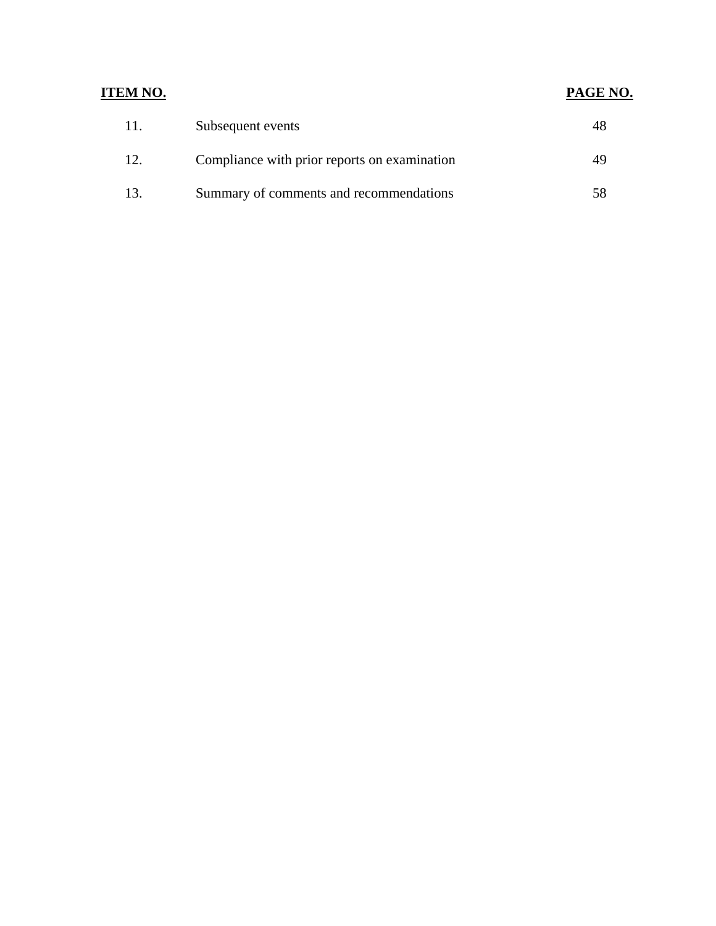# **ITEM NO. PAGE NO.**

| -11. | Subsequent events                            |  |
|------|----------------------------------------------|--|
| 12.  | Compliance with prior reports on examination |  |
| 13   | Summary of comments and recommendations      |  |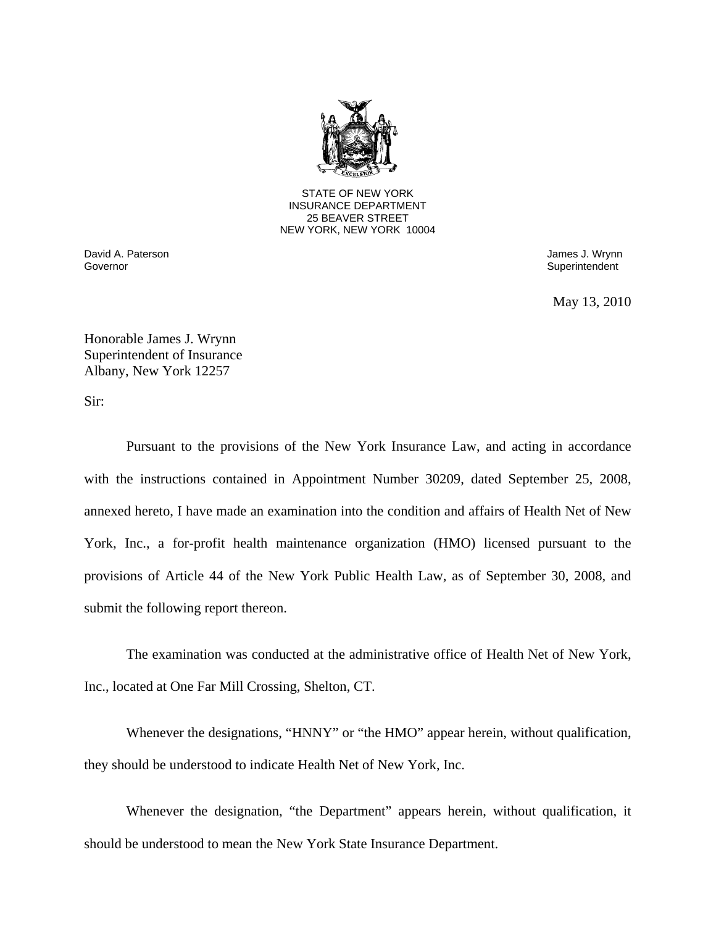

25 BEAVER STREET STATE OF NEW YORK INSURANCE DEPARTMENT NEW YORK, NEW YORK 10004

Governor David A. Paterson James J. Wrynn

Superintendent

May 13, 2010

Honorable James J. Wrynn Superintendent of Insurance Albany, New York 12257

Sir:

Pursuant to the provisions of the New York Insurance Law, and acting in accordance with the instructions contained in Appointment Number 30209, dated September 25, 2008, annexed hereto, I have made an examination into the condition and affairs of Health Net of New York, Inc., a for-profit health maintenance organization (HMO) licensed pursuant to the provisions of Article 44 of the New York Public Health Law, as of September 30, 2008, and submit the following report thereon.

The examination was conducted at the administrative office of Health Net of New York, Inc., located at One Far Mill Crossing, Shelton, CT.

Whenever the designations, "HNNY" or "the HMO" appear herein, without qualification, they should be understood to indicate Health Net of New York, Inc.

Whenever the designation, "the Department" appears herein, without qualification, it should be understood to mean the New York State Insurance Department.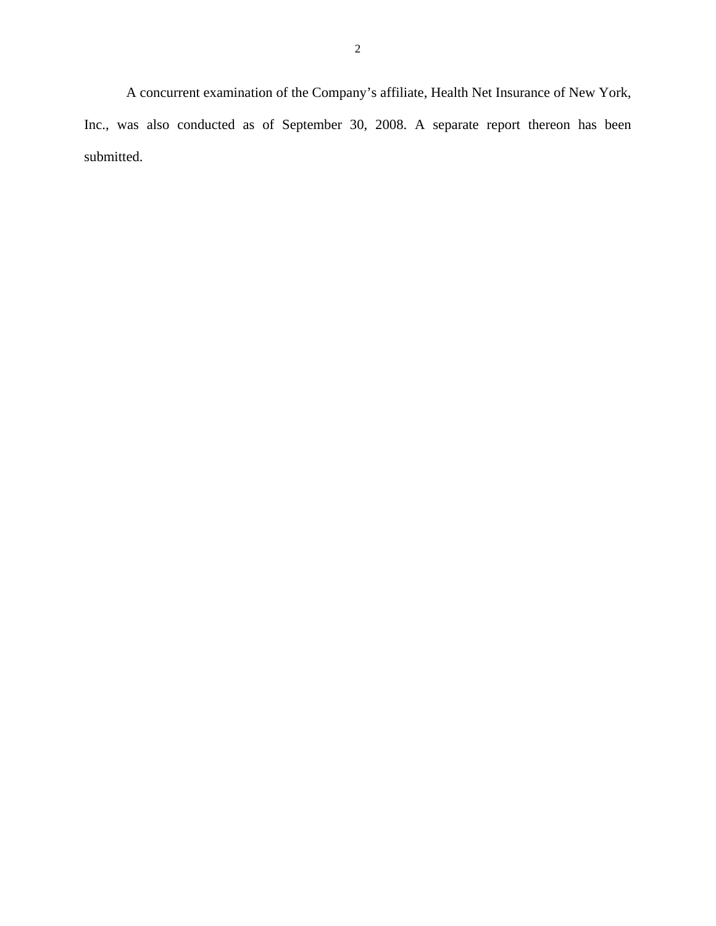A concurrent examination of the Company's affiliate, Health Net Insurance of New York, Inc., was also conducted as of September 30, 2008. A separate report thereon has been submitted.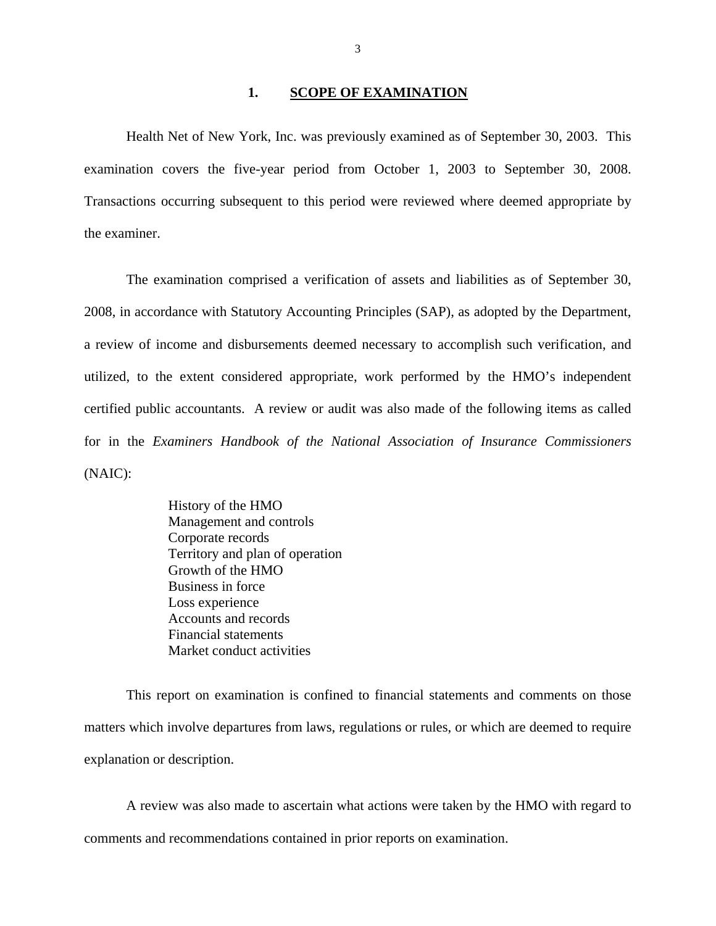#### **1. SCOPE OF EXAMINATION**

<span id="page-5-0"></span>Health Net of New York, Inc. was previously examined as of September 30, 2003. This examination covers the five-year period from October 1, 2003 to September 30, 2008. Transactions occurring subsequent to this period were reviewed where deemed appropriate by the examiner.

The examination comprised a verification of assets and liabilities as of September 30, 2008, in accordance with Statutory Accounting Principles (SAP), as adopted by the Department, a review of income and disbursements deemed necessary to accomplish such verification, and utilized, to the extent considered appropriate, work performed by the HMO's independent certified public accountants. A review or audit was also made of the following items as called for in the *Examiners Handbook of the National Association of Insurance Commissioners*  (NAIC):

> History of the HMO Management and controls Corporate records Territory and plan of operation Growth of the HMO Business in force Loss experience Accounts and records Financial statements Market conduct activities

This report on examination is confined to financial statements and comments on those matters which involve departures from laws, regulations or rules, or which are deemed to require explanation or description.

A review was also made to ascertain what actions were taken by the HMO with regard to comments and recommendations contained in prior reports on examination.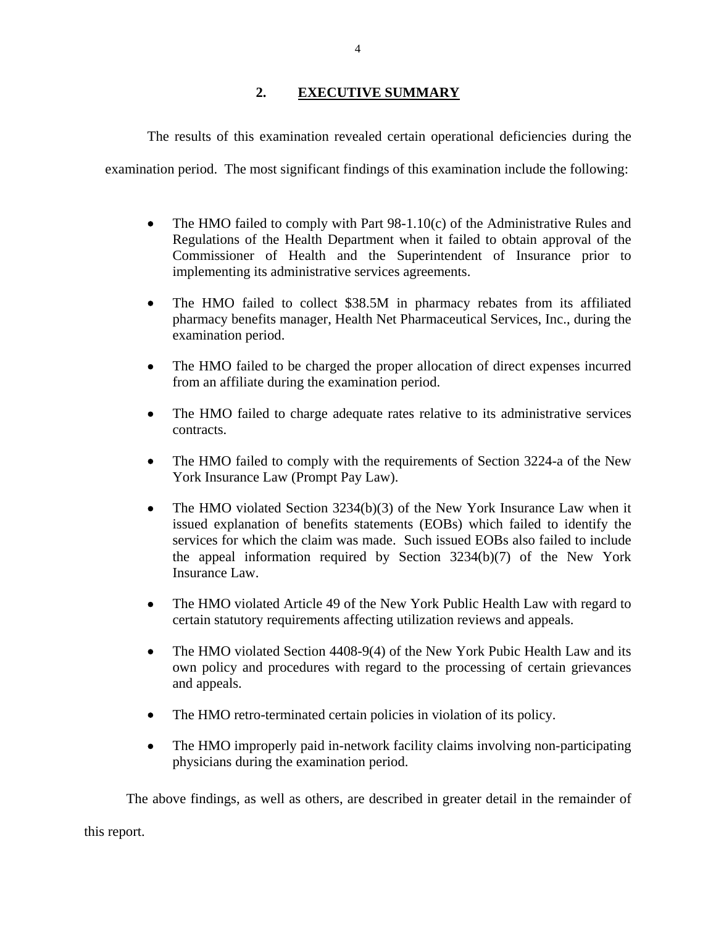## **2. EXECUTIVE SUMMARY**

<span id="page-6-0"></span>The results of this examination revealed certain operational deficiencies during the

examination period. The most significant findings of this examination include the following:

- The HMO failed to comply with Part 98-1.10(c) of the Administrative Rules and Regulations of the Health Department when it failed to obtain approval of the Commissioner of Health and the Superintendent of Insurance prior to implementing its administrative services agreements.
- The HMO failed to collect \$38.5M in pharmacy rebates from its affiliated pharmacy benefits manager, Health Net Pharmaceutical Services, Inc., during the examination period.
- The HMO failed to be charged the proper allocation of direct expenses incurred from an affiliate during the examination period.
- The HMO failed to charge adequate rates relative to its administrative services contracts.
- The HMO failed to comply with the requirements of Section 3224-a of the New York Insurance Law (Prompt Pay Law).
- The HMO violated Section 3234(b)(3) of the New York Insurance Law when it issued explanation of benefits statements (EOBs) which failed to identify the services for which the claim was made. Such issued EOBs also failed to include the appeal information required by Section 3234(b)(7) of the New York Insurance Law.
- The HMO violated Article 49 of the New York Public Health Law with regard to certain statutory requirements affecting utilization reviews and appeals.
- The HMO violated Section 4408-9(4) of the New York Pubic Health Law and its own policy and procedures with regard to the processing of certain grievances and appeals.
- The HMO retro-terminated certain policies in violation of its policy.
- The HMO improperly paid in-network facility claims involving non-participating physicians during the examination period.

The above findings, as well as others, are described in greater detail in the remainder of

this report.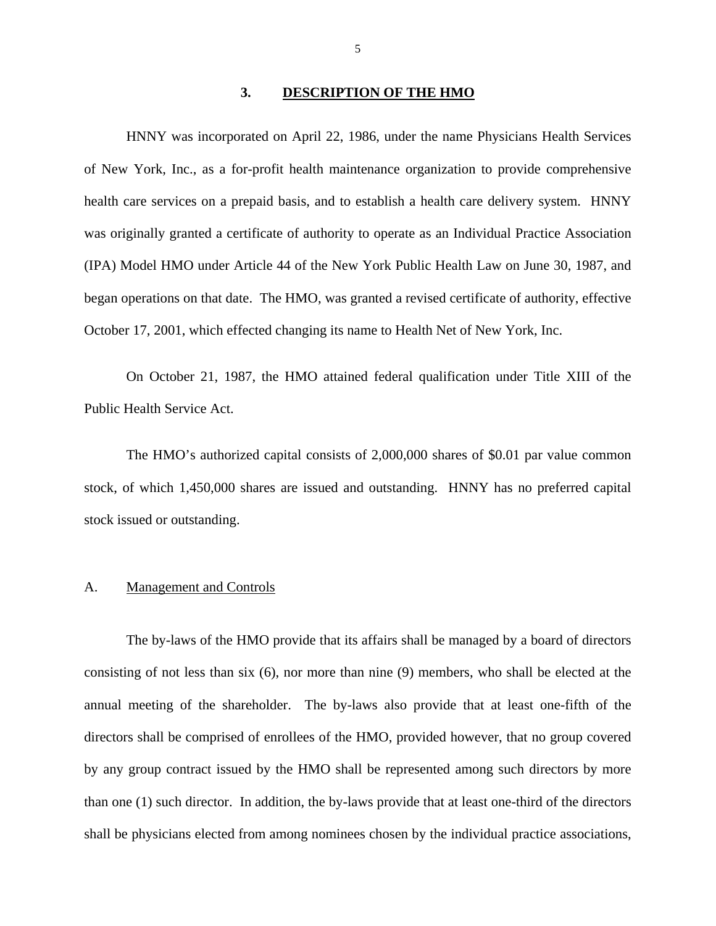#### **3. DESCRIPTION OF THE HMO**

<span id="page-7-0"></span>HNNY was incorporated on April 22, 1986, under the name Physicians Health Services of New York, Inc., as a for-profit health maintenance organization to provide comprehensive health care services on a prepaid basis, and to establish a health care delivery system. HNNY was originally granted a certificate of authority to operate as an Individual Practice Association (IPA) Model HMO under Article 44 of the New York Public Health Law on June 30, 1987, and began operations on that date. The HMO, was granted a revised certificate of authority, effective October 17, 2001, which effected changing its name to Health Net of New York, Inc.

On October 21, 1987, the HMO attained federal qualification under Title XIII of the Public Health Service Act.

The HMO's authorized capital consists of 2,000,000 shares of \$0.01 par value common stock, of which 1,450,000 shares are issued and outstanding. HNNY has no preferred capital stock issued or outstanding.

#### A. Management and Controls

The by-laws of the HMO provide that its affairs shall be managed by a board of directors consisting of not less than six (6), nor more than nine (9) members, who shall be elected at the annual meeting of the shareholder. The by-laws also provide that at least one-fifth of the directors shall be comprised of enrollees of the HMO, provided however, that no group covered by any group contract issued by the HMO shall be represented among such directors by more than one (1) such director. In addition, the by-laws provide that at least one-third of the directors shall be physicians elected from among nominees chosen by the individual practice associations,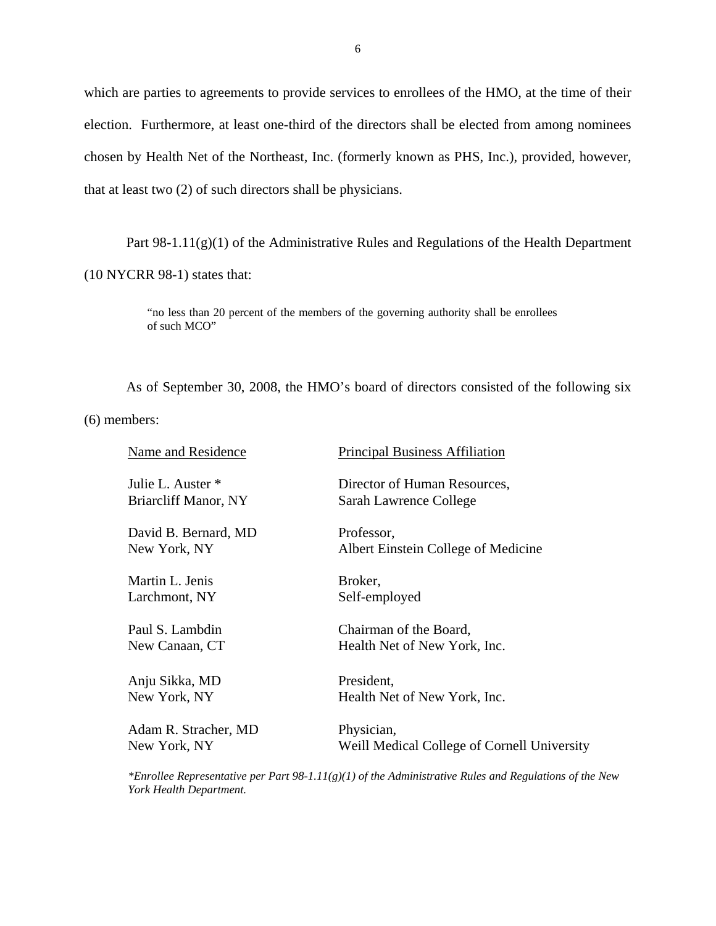which are parties to agreements to provide services to enrollees of the HMO, at the time of their election. Furthermore, at least one-third of the directors shall be elected from among nominees chosen by Health Net of the Northeast, Inc. (formerly known as PHS, Inc.), provided, however, that at least two (2) of such directors shall be physicians.

Part  $98-1.11(g)(1)$  of the Administrative Rules and Regulations of the Health Department

(10 NYCRR 98-1) states that:

"no less than 20 percent of the members of the governing authority shall be enrollees of such MCO"

As of September 30, 2008, the HMO's board of directors consisted of the following six

(6) members:

| Name and Residence   | <b>Principal Business Affiliation</b>       |
|----------------------|---------------------------------------------|
| Julie L. Auster *    | Director of Human Resources,                |
| Briarcliff Manor, NY | Sarah Lawrence College                      |
| David B. Bernard, MD | Professor,                                  |
| New York, NY         | Albert Einstein College of Medicine         |
| Martin L. Jenis      | Broker,                                     |
| Larchmont, NY        | Self-employed                               |
| Paul S. Lambdin      | Chairman of the Board,                      |
| New Canaan, CT       | Health Net of New York, Inc.                |
| Anju Sikka, MD       | President,                                  |
| New York, NY         | Health Net of New York, Inc.                |
| Adam R. Stracher, MD | Physician,                                  |
| New York, NY         | Weill Medical College of Cornell University |

*\*Enrollee Representative per Part 98-1.11(g)(1) of the Administrative Rules and Regulations of the New York Health Department.*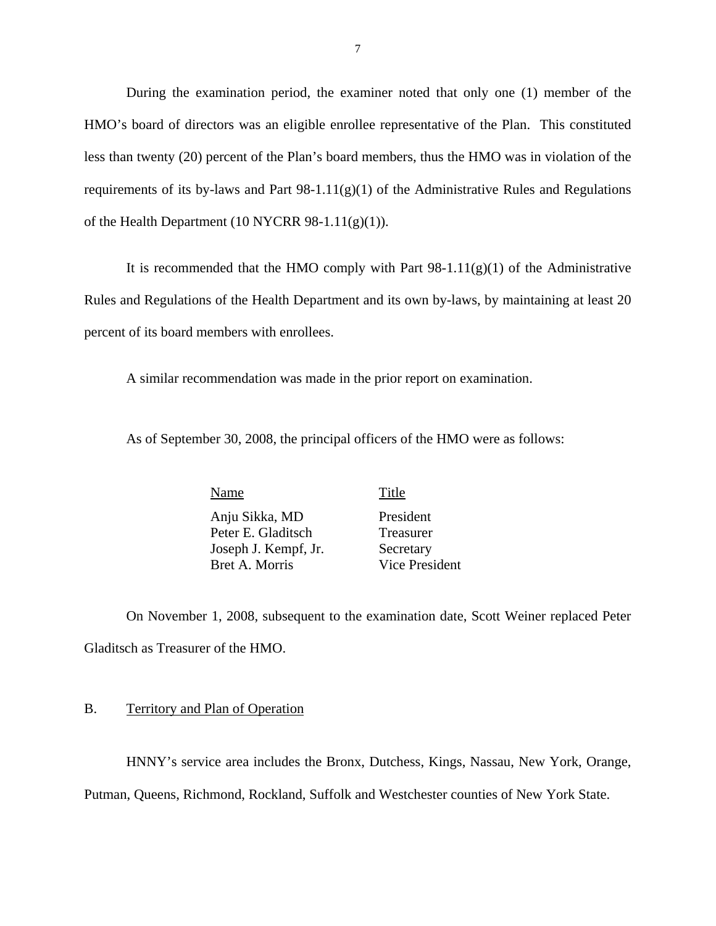<span id="page-9-0"></span>During the examination period, the examiner noted that only one (1) member of the HMO's board of directors was an eligible enrollee representative of the Plan. This constituted less than twenty (20) percent of the Plan's board members, thus the HMO was in violation of the requirements of its by-laws and Part  $98-1.11(g)(1)$  of the Administrative Rules and Regulations of the Health Department (10 NYCRR 98-1.11(g)(1)).

It is recommended that the HMO comply with Part  $98-1.11(g)(1)$  of the Administrative Rules and Regulations of the Health Department and its own by-laws, by maintaining at least 20 percent of its board members with enrollees.

A similar recommendation was made in the prior report on examination.

As of September 30, 2008, the principal officers of the HMO were as follows:

Name Title Anju Sikka, MD President Peter E. Gladitsch Treasurer Joseph J. Kempf, Jr. Secretary Bret A. Morris Vice President

On November 1, 2008, subsequent to the examination date, Scott Weiner replaced Peter Gladitsch as Treasurer of the HMO.

#### B. Territory and Plan of Operation

HNNY's service area includes the Bronx, Dutchess, Kings, Nassau, New York, Orange,

Putman, Queens, Richmond, Rockland, Suffolk and Westchester counties of New York State.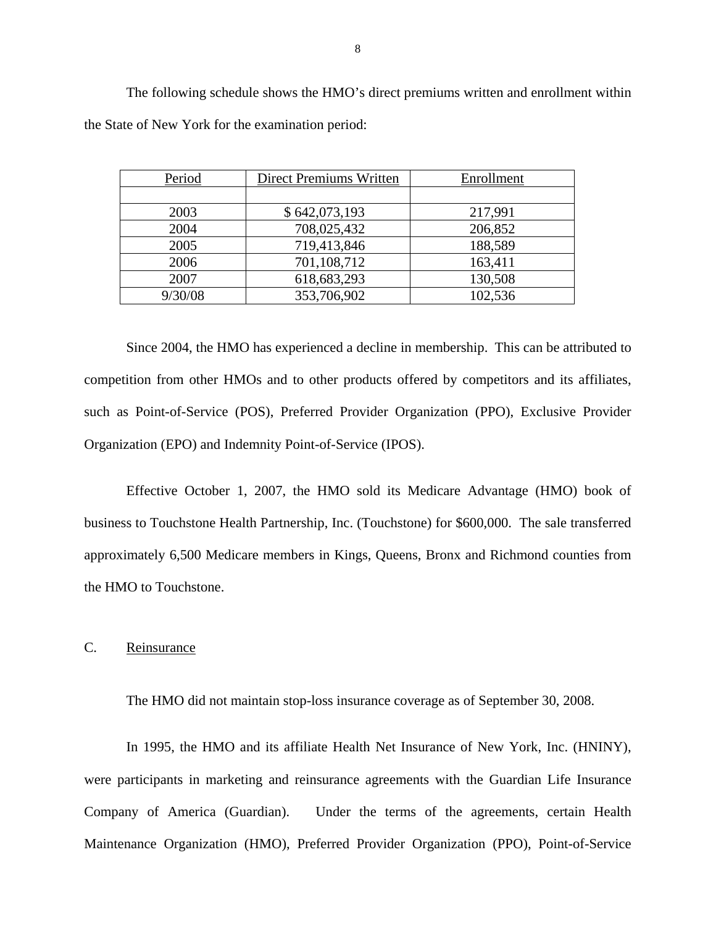| Period  | <b>Direct Premiums Written</b> | Enrollment |
|---------|--------------------------------|------------|
|         |                                |            |
| 2003    | \$642,073,193                  | 217,991    |
| 2004    | 708,025,432                    | 206,852    |
| 2005    | 719,413,846                    | 188,589    |
| 2006    | 701,108,712                    | 163,411    |
| 2007    | 618,683,293                    | 130,508    |
| 9/30/08 | 353,706,902                    | 102,536    |

The following schedule shows the HMO's direct premiums written and enrollment within the State of New York for the examination period:

Since 2004, the HMO has experienced a decline in membership. This can be attributed to competition from other HMOs and to other products offered by competitors and its affiliates, such as Point-of-Service (POS), Preferred Provider Organization (PPO), Exclusive Provider Organization (EPO) and Indemnity Point-of-Service (IPOS).

Effective October 1, 2007, the HMO sold its Medicare Advantage (HMO) book of business to Touchstone Health Partnership, Inc. (Touchstone) for \$600,000. The sale transferred approximately 6,500 Medicare members in Kings, Queens, Bronx and Richmond counties from the HMO to Touchstone.

#### C. Reinsurance

The HMO did not maintain stop-loss insurance coverage as of September 30, 2008.

In 1995, the HMO and its affiliate Health Net Insurance of New York, Inc. (HNINY), were participants in marketing and reinsurance agreements with the Guardian Life Insurance Company of America (Guardian). Under the terms of the agreements, certain Health Maintenance Organization (HMO), Preferred Provider Organization (PPO), Point-of-Service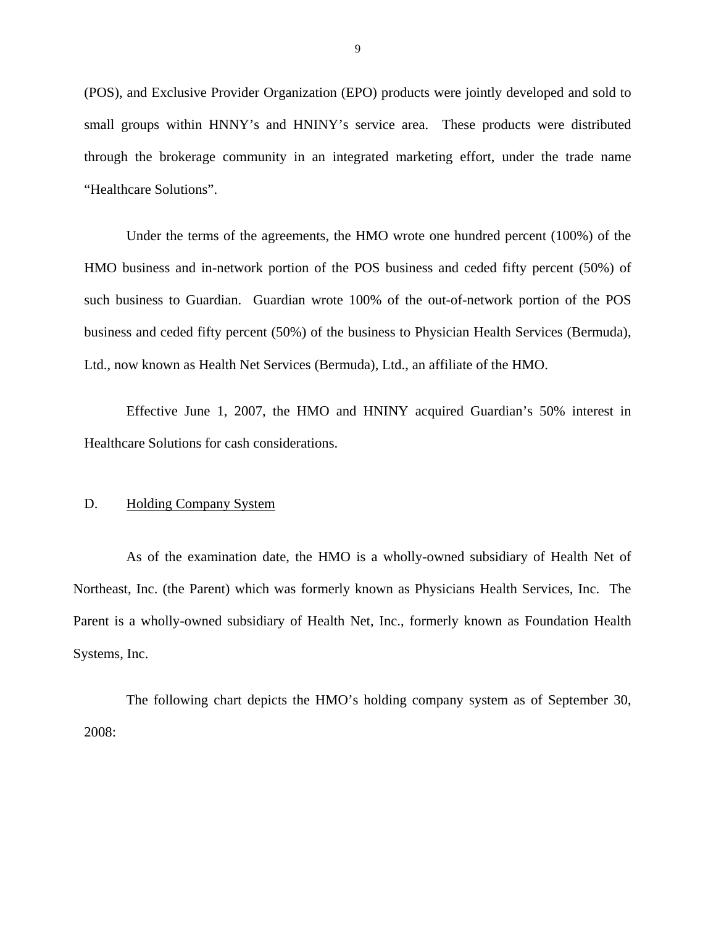<span id="page-11-0"></span>(POS), and Exclusive Provider Organization (EPO) products were jointly developed and sold to small groups within HNNY's and HNINY's service area. These products were distributed through the brokerage community in an integrated marketing effort, under the trade name "Healthcare Solutions".

Under the terms of the agreements, the HMO wrote one hundred percent (100%) of the HMO business and in-network portion of the POS business and ceded fifty percent (50%) of such business to Guardian. Guardian wrote 100% of the out-of-network portion of the POS business and ceded fifty percent (50%) of the business to Physician Health Services (Bermuda), Ltd., now known as Health Net Services (Bermuda), Ltd., an affiliate of the HMO.

Effective June 1, 2007, the HMO and HNINY acquired Guardian's 50% interest in Healthcare Solutions for cash considerations.

#### **Holding Company System**

D. Holding Company System<br>As of the examination date, the HMO is a wholly-owned subsidiary of Health Net of Northeast, Inc. (the Parent) which was formerly known as Physicians Health Services, Inc. The Parent is a wholly-owned subsidiary of Health Net, Inc., formerly known as Foundation Health Systems, Inc.

The following chart depicts the HMO's holding company system as of September 30, 2008: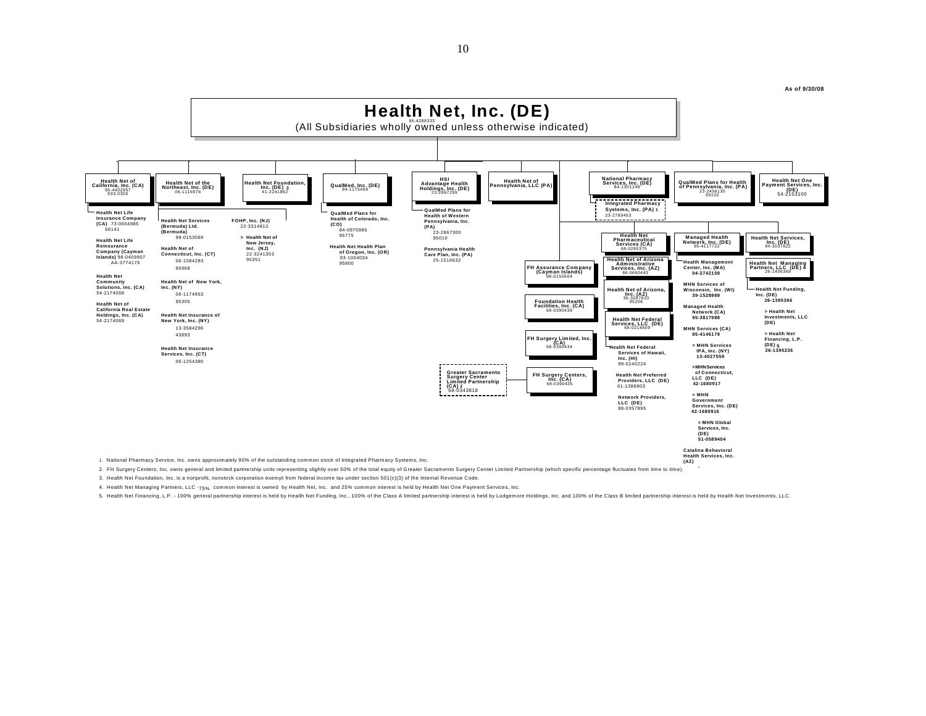**As of 9/30/08** 



3. Health Net Foundation, Inc. is a nonprofit, nonstock corporation exempt from federal income tax under section 501(c)(3) of the Internal Revenue Code.

4. Health Net Managing Partners, LLC -75% common interest is owned by Health Net, Inc. and 25% common interest is held by Health Net One Payment Services, Inc.

5. Health Net Financing, L.P. - 100% general partnership interest is held by Health Net Funding, Inc., 100% of the Class A limited partnership interest is held by Hoalth Net Investments, LLC.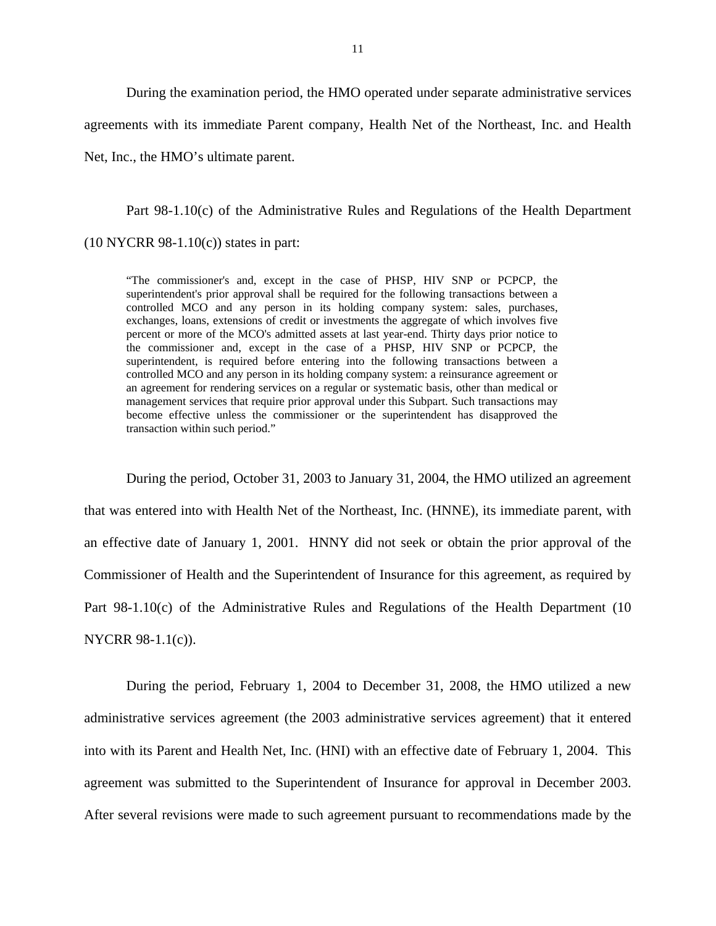During the examination period, the HMO operated under separate administrative services agreements with its immediate Parent company, Health Net of the Northeast, Inc. and Health Net, Inc., the HMO's ultimate parent.

Part 98-1.10(c) of the Administrative Rules and Regulations of the Health Department  $(10 NYCRR 98-1.10(c))$  states in part:

 an agreement for rendering services on a regular or systematic basis, other than medical or "The commissioner's and, except in the case of PHSP, HIV SNP or PCPCP, the superintendent's prior approval shall be required for the following transactions between a controlled MCO and any person in its holding company system: sales, purchases, exchanges, loans, extensions of credit or investments the aggregate of which involves five percent or more of the MCO's admitted assets at last year-end. Thirty days prior notice to the commissioner and, except in the case of a PHSP, HIV SNP or PCPCP, the superintendent, is required before entering into the following transactions between a controlled MCO and any person in its holding company system: a reinsurance agreement or management services that require prior approval under this Subpart. Such transactions may become effective unless the commissioner or the superintendent has disapproved the transaction within such period."

During the period, October 31, 2003 to January 31, 2004, the HMO utilized an agreement that was entered into with Health Net of the Northeast, Inc. (HNNE), its immediate parent, with an effective date of January 1, 2001. HNNY did not seek or obtain the prior approval of the Commissioner of Health and the Superintendent of Insurance for this agreement, as required by Part 98-1.10(c) of the Administrative Rules and Regulations of the Health Department (10 NYCRR 98-1.1(c)).

During the period, February 1, 2004 to December 31, 2008, the HMO utilized a new administrative services agreement (the 2003 administrative services agreement) that it entered into with its Parent and Health Net, Inc. (HNI) with an effective date of February 1, 2004. This agreement was submitted to the Superintendent of Insurance for approval in December 2003. After several revisions were made to such agreement pursuant to recommendations made by the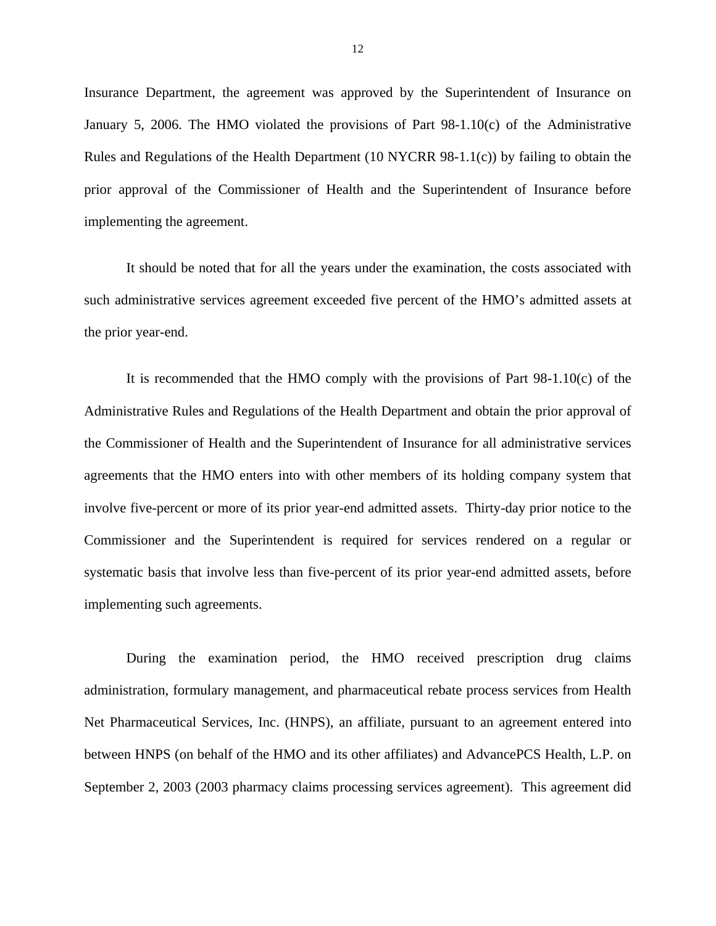Insurance Department, the agreement was approved by the Superintendent of Insurance on January 5, 2006. The HMO violated the provisions of Part 98-1.10(c) of the Administrative Rules and Regulations of the Health Department (10 NYCRR 98-1.1(c)) by failing to obtain the prior approval of the Commissioner of Health and the Superintendent of Insurance before implementing the agreement.

It should be noted that for all the years under the examination, the costs associated with such administrative services agreement exceeded five percent of the HMO's admitted assets at the prior year-end.

It is recommended that the HMO comply with the provisions of Part 98-1.10(c) of the Administrative Rules and Regulations of the Health Department and obtain the prior approval of the Commissioner of Health and the Superintendent of Insurance for all administrative services agreements that the HMO enters into with other members of its holding company system that involve five-percent or more of its prior year-end admitted assets. Thirty-day prior notice to the Commissioner and the Superintendent is required for services rendered on a regular or systematic basis that involve less than five-percent of its prior year-end admitted assets, before implementing such agreements.

During the examination period, the HMO received prescription drug claims administration, formulary management, and pharmaceutical rebate process services from Health Net Pharmaceutical Services, Inc. (HNPS), an affiliate, pursuant to an agreement entered into between HNPS (on behalf of the HMO and its other affiliates) and AdvancePCS Health, L.P. on September 2, 2003 (2003 pharmacy claims processing services agreement). This agreement did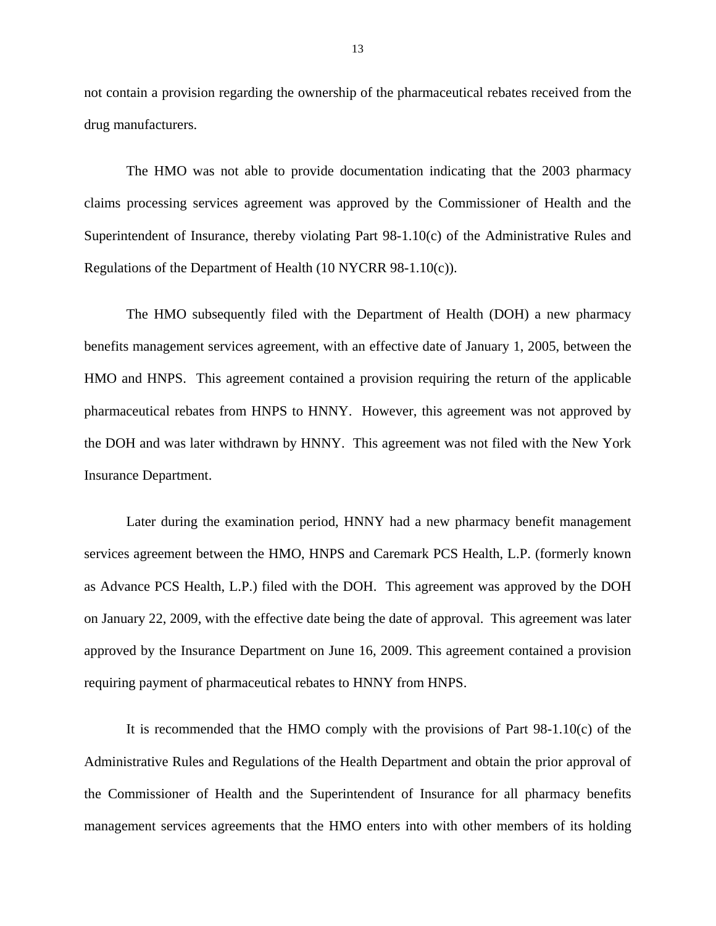not contain a provision regarding the ownership of the pharmaceutical rebates received from the drug manufacturers.

The HMO was not able to provide documentation indicating that the 2003 pharmacy claims processing services agreement was approved by the Commissioner of Health and the Superintendent of Insurance, thereby violating Part 98-1.10(c) of the Administrative Rules and Regulations of the Department of Health (10 NYCRR 98-1.10(c)).

The HMO subsequently filed with the Department of Health (DOH) a new pharmacy benefits management services agreement, with an effective date of January 1, 2005, between the HMO and HNPS. This agreement contained a provision requiring the return of the applicable pharmaceutical rebates from HNPS to HNNY. However, this agreement was not approved by the DOH and was later withdrawn by HNNY. This agreement was not filed with the New York Insurance Department.

Later during the examination period, HNNY had a new pharmacy benefit management services agreement between the HMO, HNPS and Caremark PCS Health, L.P. (formerly known as Advance PCS Health, L.P.) filed with the DOH. This agreement was approved by the DOH on January 22, 2009, with the effective date being the date of approval. This agreement was later approved by the Insurance Department on June 16, 2009. This agreement contained a provision requiring payment of pharmaceutical rebates to HNNY from HNPS.

It is recommended that the HMO comply with the provisions of Part 98-1.10(c) of the Administrative Rules and Regulations of the Health Department and obtain the prior approval of the Commissioner of Health and the Superintendent of Insurance for all pharmacy benefits management services agreements that the HMO enters into with other members of its holding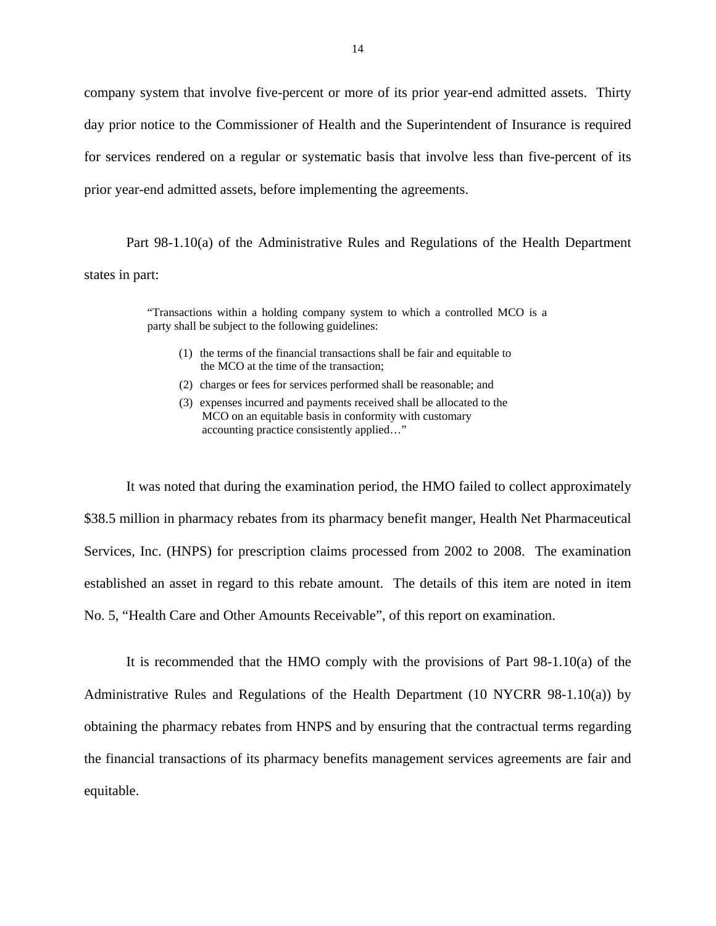company system that involve five-percent or more of its prior year-end admitted assets. Thirty day prior notice to the Commissioner of Health and the Superintendent of Insurance is required for services rendered on a regular or systematic basis that involve less than five-percent of its prior year-end admitted assets, before implementing the agreements.

Part 98-1.10(a) of the Administrative Rules and Regulations of the Health Department states in part:

> "Transactions within a holding company system to which a controlled MCO is a party shall be subject to the following guidelines:

- (1) the terms of the financial transactions shall be fair and equitable to the MCO at the time of the transaction;
- (2) charges or fees for services performed shall be reasonable; and
- (2) charges or fees for services performed shall be reasonable; and (3) expenses incurred and payments received shall be allocated to the MCO on an equitable basis in conformity with customary accounting practice consistently applied…"

It was noted that during the examination period, the HMO failed to collect approximately \$38.5 million in pharmacy rebates from its pharmacy benefit manger, Health Net Pharmaceutical Services, Inc. (HNPS) for prescription claims processed from 2002 to 2008. The examination established an asset in regard to this rebate amount. The details of this item are noted in item No. 5, "Health Care and Other Amounts Receivable", of this report on examination.

It is recommended that the HMO comply with the provisions of Part 98-1.10(a) of the Administrative Rules and Regulations of the Health Department (10 NYCRR 98-1.10(a)) by obtaining the pharmacy rebates from HNPS and by ensuring that the contractual terms regarding the financial transactions of its pharmacy benefits management services agreements are fair and equitable.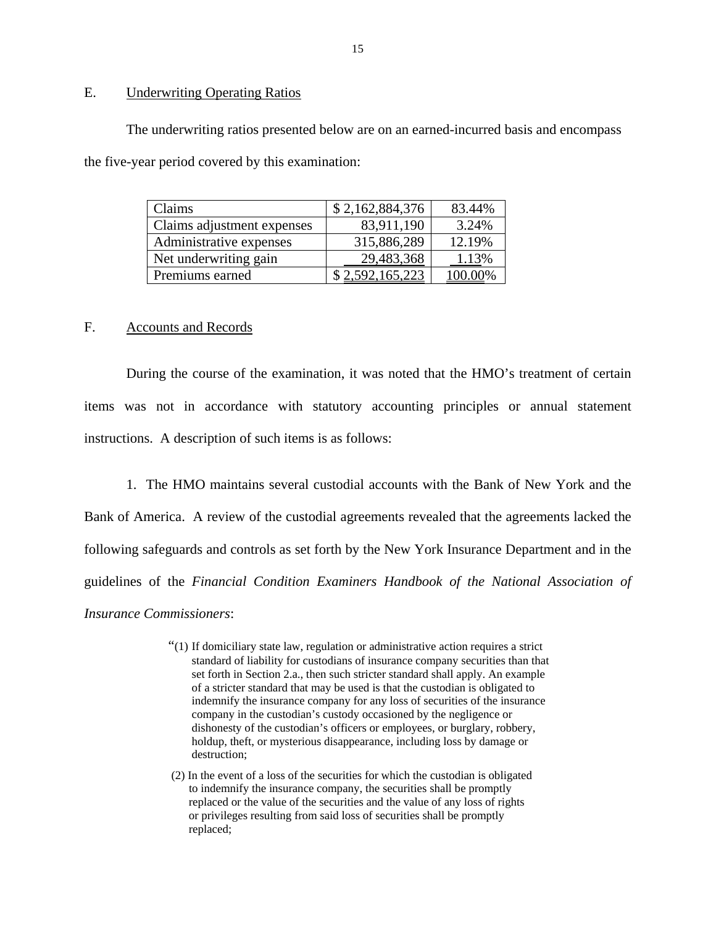## E. Underwriting Operating Ratios

The underwriting ratios presented below are on an earned-incurred basis and encompass the five-year period covered by this examination:

| Claims                     | \$2,162,884,376 | 83.44% |
|----------------------------|-----------------|--------|
| Claims adjustment expenses | 83,911,190      | 3.24%  |
| Administrative expenses    | 315,886,289     | 12.19% |
| Net underwriting gain      | 29,483,368      | 1.13%  |
| Premiums earned            | 592, 165, 223   |        |

#### F. Accounts and Records

During the course of the examination, it was noted that the HMO's treatment of certain items was not in accordance with statutory accounting principles or annual statement instructions. A description of such items is as follows:

- 1. The HMO maintains several custodial accounts with the Bank of New York and the Bank of America. A review of the custodial agreements revealed that the agreements lacked the following safeguards and controls as set forth by the New York Insurance Department and in the guidelines of the *Financial Condition Examiners Handbook of the National Association of Insurance Commissioners*:
	- "(1) If domiciliary state law, regulation or administrative action requires a strict standard of liability for custodians of insurance company securities than that set forth in Section 2.a., then such stricter standard shall apply. An example of a stricter standard that may be used is that the custodian is obligated to indemnify the insurance company for any loss of securities of the insurance company in the custodian's custody occasioned by the negligence or dishonesty of the custodian's officers or employees, or burglary, robbery, holdup, theft, or mysterious disappearance, including loss by damage or destruction;
	- (2) In the event of a loss of the securities for which the custodian is obligated to indemnify the insurance company, the securities shall be promptly replaced or the value of the securities and the value of any loss of rights or privileges resulting from said loss of securities shall be promptly replaced;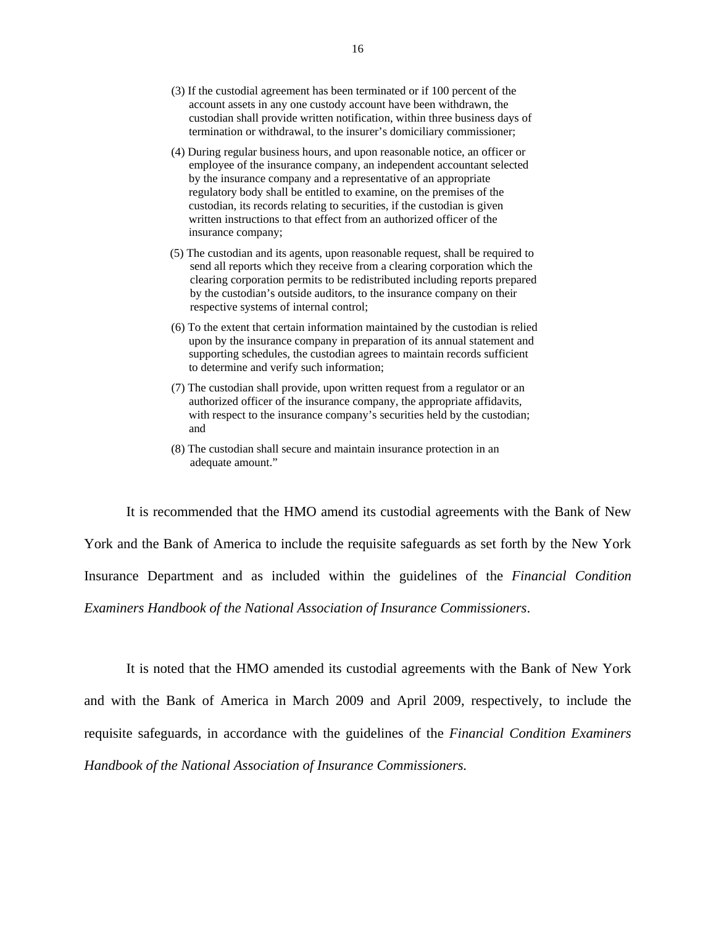- (3) If the custodial agreement has been terminated or if 100 percent of the account assets in any one custody account have been withdrawn, the custodian shall provide written notification, within three business days of termination or withdrawal, to the insurer's domiciliary commissioner;
- (4) During regular business hours, and upon reasonable notice, an officer or employee of the insurance company, an independent accountant selected by the insurance company and a representative of an appropriate regulatory body shall be entitled to examine, on the premises of the custodian, its records relating to securities, if the custodian is given written instructions to that effect from an authorized officer of the insurance company;
- (5) The custodian and its agents, upon reasonable request, shall be required to send all reports which they receive from a clearing corporation which the clearing corporation permits to be redistributed including reports prepared by the custodian's outside auditors, to the insurance company on their respective systems of internal control;
- (6) To the extent that certain information maintained by the custodian is relied upon by the insurance company in preparation of its annual statement and supporting schedules, the custodian agrees to maintain records sufficient to determine and verify such information;
- (7) The custodian shall provide, upon written request from a regulator or an authorized officer of the insurance company, the appropriate affidavits, with respect to the insurance company's securities held by the custodian; and
- (8) The custodian shall secure and maintain insurance protection in an adequate amount."

It is recommended that the HMO amend its custodial agreements with the Bank of New York and the Bank of America to include the requisite safeguards as set forth by the New York Insurance Department and as included within the guidelines of the *Financial Condition Examiners Handbook of the National Association of Insurance Commissioners*.

 *Handbook of the National Association of Insurance Commissioners.* It is noted that the HMO amended its custodial agreements with the Bank of New York and with the Bank of America in March 2009 and April 2009, respectively, to include the requisite safeguards, in accordance with the guidelines of the *Financial Condition Examiners*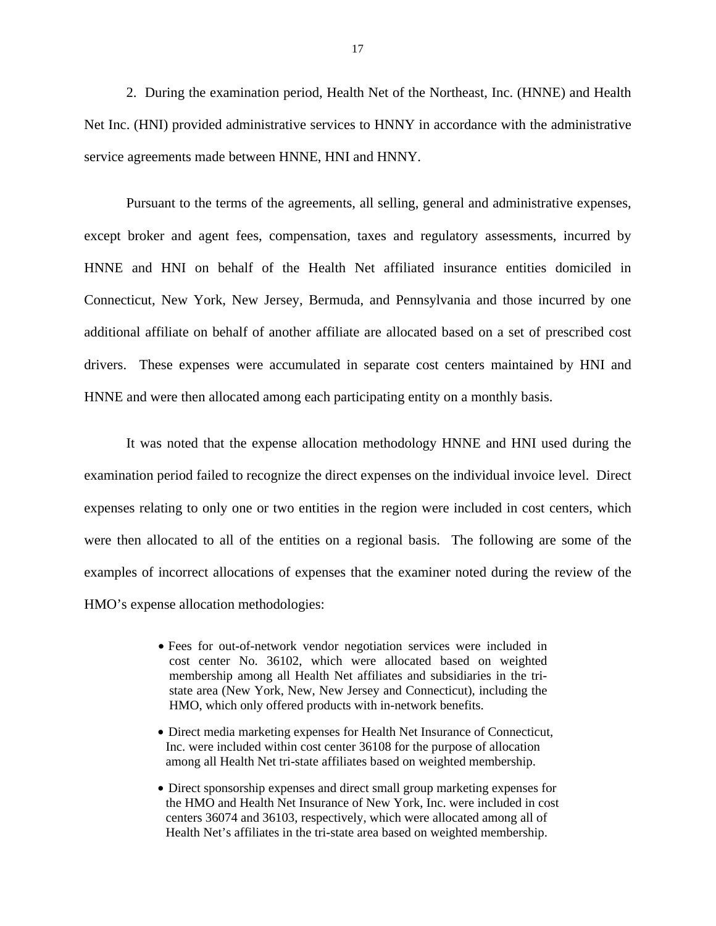2. During the examination period, Health Net of the Northeast, Inc. (HNNE) and Health Net Inc. (HNI) provided administrative services to HNNY in accordance with the administrative service agreements made between HNNE, HNI and HNNY.

Pursuant to the terms of the agreements, all selling, general and administrative expenses, except broker and agent fees, compensation, taxes and regulatory assessments, incurred by HNNE and HNI on behalf of the Health Net affiliated insurance entities domiciled in Connecticut, New York, New Jersey, Bermuda, and Pennsylvania and those incurred by one additional affiliate on behalf of another affiliate are allocated based on a set of prescribed cost drivers. These expenses were accumulated in separate cost centers maintained by HNI and HNNE and were then allocated among each participating entity on a monthly basis.

It was noted that the expense allocation methodology HNNE and HNI used during the examination period failed to recognize the direct expenses on the individual invoice level. Direct expenses relating to only one or two entities in the region were included in cost centers, which were then allocated to all of the entities on a regional basis. The following are some of the examples of incorrect allocations of expenses that the examiner noted during the review of the HMO's expense allocation methodologies:

- Fees for out-of-network vendor negotiation services were included in cost center No. 36102, which were allocated based on weighted membership among all Health Net affiliates and subsidiaries in the tristate area (New York, New, New Jersey and Connecticut), including the HMO, which only offered products with in-network benefits.
- Direct media marketing expenses for Health Net Insurance of Connecticut, Inc. were included within cost center 36108 for the purpose of allocation among all Health Net tri-state affiliates based on weighted membership.
- Direct sponsorship expenses and direct small group marketing expenses for the HMO and Health Net Insurance of New York, Inc. were included in cost centers 36074 and 36103, respectively, which were allocated among all of Health Net's affiliates in the tri-state area based on weighted membership.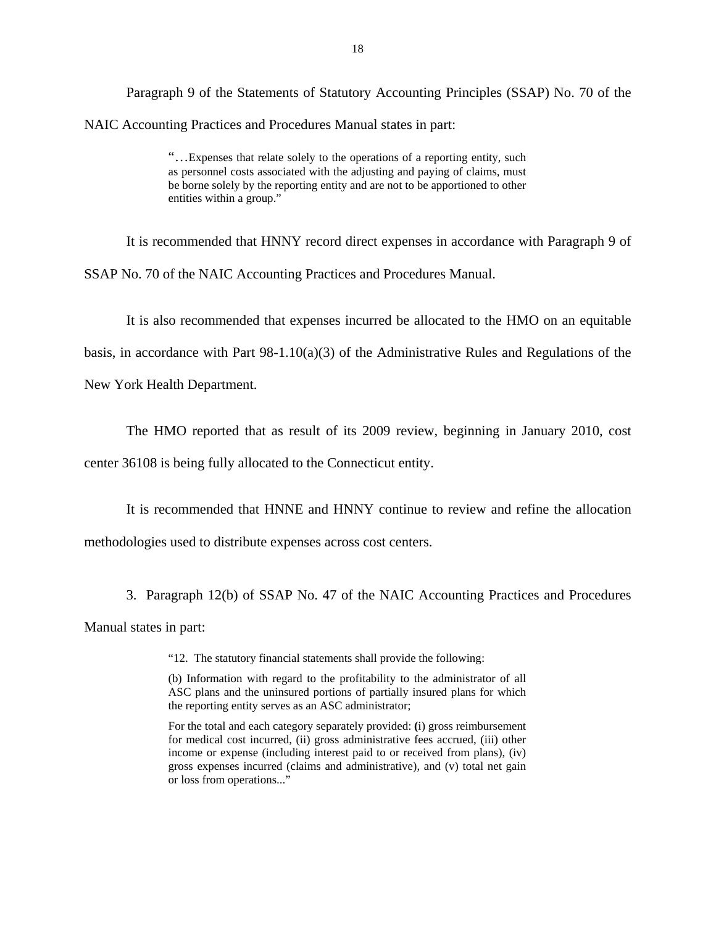Paragraph 9 of the Statements of Statutory Accounting Principles (SSAP) No. 70 of the NAIC Accounting Practices and Procedures Manual states in part:

> "…Expenses that relate solely to the operations of a reporting entity, such as personnel costs associated with the adjusting and paying of claims, must be borne solely by the reporting entity and are not to be apportioned to other entities within a group."

It is recommended that HNNY record direct expenses in accordance with Paragraph 9 of SSAP No. 70 of the NAIC Accounting Practices and Procedures Manual.

It is also recommended that expenses incurred be allocated to the HMO on an equitable

basis, in accordance with Part  $98-1.10(a)(3)$  of the Administrative Rules and Regulations of the

New York Health Department.

The HMO reported that as result of its 2009 review, beginning in January 2010, cost

center 36108 is being fully allocated to the Connecticut entity.

It is recommended that HNNE and HNNY continue to review and refine the allocation

methodologies used to distribute expenses across cost centers.

3. Paragraph 12(b) of SSAP No. 47 of the NAIC Accounting Practices and Procedures Manual states in part:

"12. The statutory financial statements shall provide the following:

 (b) Information with regard to the profitability to the administrator of all ASC plans and the uninsured portions of partially insured plans for which the reporting entity serves as an ASC administrator;

 For the total and each category separately provided: **(**i) gross reimbursement gross expenses incurred (claims and administrative), and (v) total net gain for medical cost incurred, (ii) gross administrative fees accrued, (iii) other income or expense (including interest paid to or received from plans), (iv) or loss from operations..."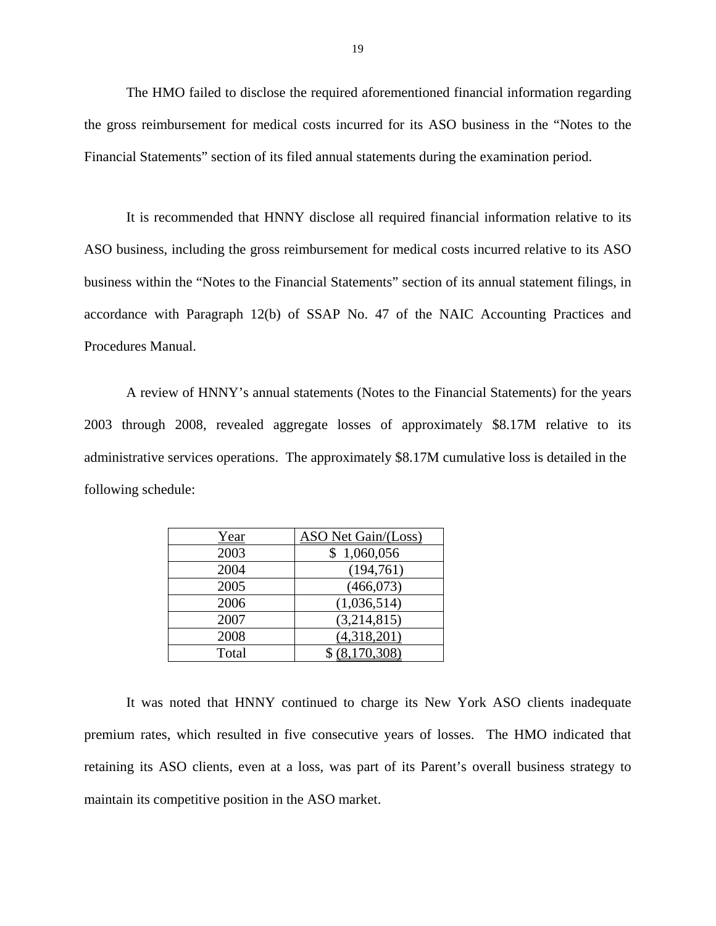The HMO failed to disclose the required aforementioned financial information regarding the gross reimbursement for medical costs incurred for its ASO business in the "Notes to the Financial Statements" section of its filed annual statements during the examination period.

It is recommended that HNNY disclose all required financial information relative to its ASO business, including the gross reimbursement for medical costs incurred relative to its ASO business within the "Notes to the Financial Statements" section of its annual statement filings, in accordance with Paragraph 12(b) of SSAP No. 47 of the NAIC Accounting Practices and Procedures Manual.

A review of HNNY's annual statements (Notes to the Financial Statements) for the years 2003 through 2008, revealed aggregate losses of approximately \$8.17M relative to its administrative services operations. The approximately \$8.17M cumulative loss is detailed in the following schedule:

| Year  | ASO Net Gain/(Loss) |
|-------|---------------------|
| 2003  | 1,060,056           |
| 2004  | (194, 761)          |
| 2005  | (466, 073)          |
| 2006  | (1,036,514)         |
| 2007  | (3,214,815)         |
| 2008  | (4,318,201)         |
| Total | .170.308)           |

It was noted that HNNY continued to charge its New York ASO clients inadequate premium rates, which resulted in five consecutive years of losses. The HMO indicated that retaining its ASO clients, even at a loss, was part of its Parent's overall business strategy to maintain its competitive position in the ASO market.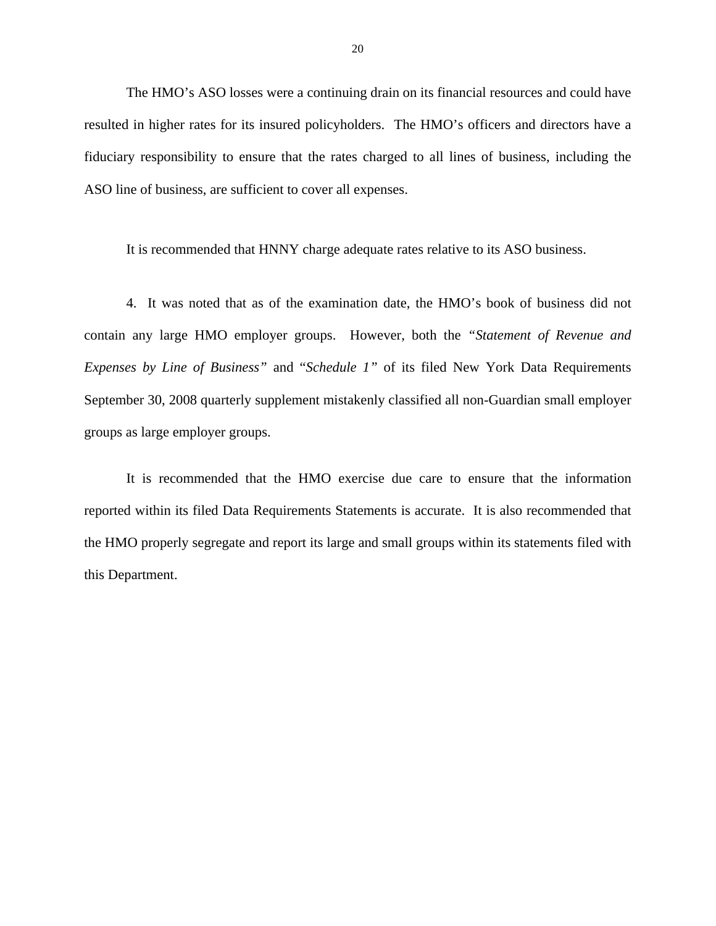The HMO's ASO losses were a continuing drain on its financial resources and could have resulted in higher rates for its insured policyholders. The HMO's officers and directors have a fiduciary responsibility to ensure that the rates charged to all lines of business, including the ASO line of business, are sufficient to cover all expenses.

It is recommended that HNNY charge adequate rates relative to its ASO business.

4. It was noted that as of the examination date, the HMO's book of business did not contain any large HMO employer groups. However, both the *"Statement of Revenue and Expenses by Line of Business"* and "*Schedule 1"* of its filed New York Data Requirements September 30, 2008 quarterly supplement mistakenly classified all non-Guardian small employer groups as large employer groups.

It is recommended that the HMO exercise due care to ensure that the information reported within its filed Data Requirements Statements is accurate. It is also recommended that the HMO properly segregate and report its large and small groups within its statements filed with this Department.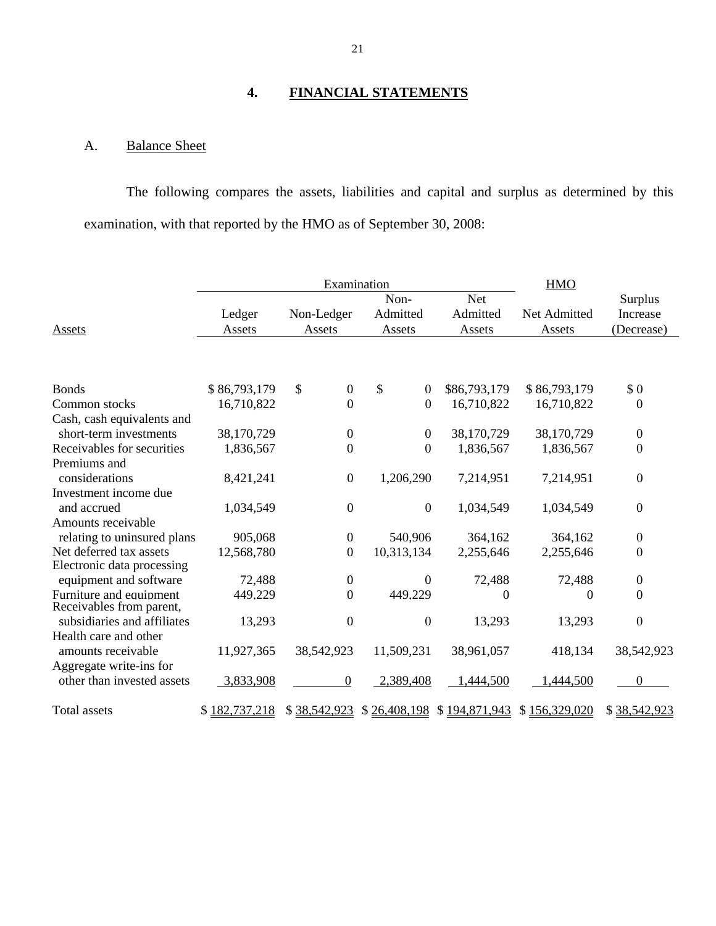# **4. FINANCIAL STATEMENTS**

# A. Balance Sheet

The following compares the assets, liabilities and capital and surplus as determined by this examination, with that reported by the HMO as of September 30, 2008:

|                                                       | Examination      |                        |                            | <b>HMO</b>                       |                                                       |                                   |
|-------------------------------------------------------|------------------|------------------------|----------------------------|----------------------------------|-------------------------------------------------------|-----------------------------------|
| Assets                                                | Ledger<br>Assets | Non-Ledger<br>Assets   | Non-<br>Admitted<br>Assets | <b>Net</b><br>Admitted<br>Assets | Net Admitted<br>Assets                                | Surplus<br>Increase<br>(Decrease) |
|                                                       |                  |                        |                            |                                  |                                                       |                                   |
| <b>Bonds</b>                                          | \$86,793,179     | \$<br>$\boldsymbol{0}$ | \$<br>$\boldsymbol{0}$     | \$86,793,179                     | \$86,793,179                                          | \$0                               |
| Common stocks                                         | 16,710,822       | $\boldsymbol{0}$       | $\overline{0}$             | 16,710,822                       | 16,710,822                                            | $\boldsymbol{0}$                  |
| Cash, cash equivalents and                            |                  |                        |                            |                                  |                                                       |                                   |
| short-term investments                                | 38,170,729       | $\boldsymbol{0}$       | $\boldsymbol{0}$           | 38,170,729                       | 38,170,729                                            | $\boldsymbol{0}$                  |
| Receivables for securities                            | 1,836,567        | $\overline{0}$         | $\overline{0}$             | 1,836,567                        | 1,836,567                                             | $\boldsymbol{0}$                  |
| Premiums and                                          |                  |                        |                            |                                  |                                                       |                                   |
| considerations                                        | 8,421,241        | $\boldsymbol{0}$       | 1,206,290                  | 7,214,951                        | 7,214,951                                             | $\boldsymbol{0}$                  |
| Investment income due                                 |                  |                        |                            |                                  |                                                       |                                   |
| and accrued                                           | 1,034,549        | $\overline{0}$         | $\boldsymbol{0}$           | 1,034,549                        | 1,034,549                                             | $\boldsymbol{0}$                  |
| Amounts receivable                                    |                  |                        |                            |                                  |                                                       |                                   |
| relating to uninsured plans                           | 905,068          | $\boldsymbol{0}$       | 540,906                    | 364,162                          | 364,162                                               | $\boldsymbol{0}$                  |
| Net deferred tax assets<br>Electronic data processing | 12,568,780       | $\boldsymbol{0}$       | 10,313,134                 | 2,255,646                        | 2,255,646                                             | $\boldsymbol{0}$                  |
| equipment and software                                | 72,488           | $\boldsymbol{0}$       | $\theta$                   | 72,488                           | 72,488                                                | $\boldsymbol{0}$                  |
| Furniture and equipment<br>Receivables from parent,   | 449,229          | $\overline{0}$         | 449.229                    | $\boldsymbol{0}$                 | $\overline{0}$                                        | $\boldsymbol{0}$                  |
| subsidiaries and affiliates                           | 13,293           | $\overline{0}$         | $\overline{0}$             | 13,293                           | 13,293                                                | $\boldsymbol{0}$                  |
| Health care and other                                 |                  |                        |                            |                                  |                                                       |                                   |
| amounts receivable                                    | 11,927,365       | 38,542,923             | 11,509,231                 | 38,961,057                       | 418,134                                               | 38,542,923                        |
| Aggregate write-ins for                               |                  |                        |                            |                                  |                                                       |                                   |
| other than invested assets                            | 3,833,908        | $\boldsymbol{0}$       | 2,389,408                  | 1,444,500                        | 1,444,500                                             | $\Omega$                          |
| Total assets                                          | \$182,737,218    |                        |                            |                                  | \$38,542,923 \$26,408,198 \$194,871,943 \$156,329,020 | \$38,542,923                      |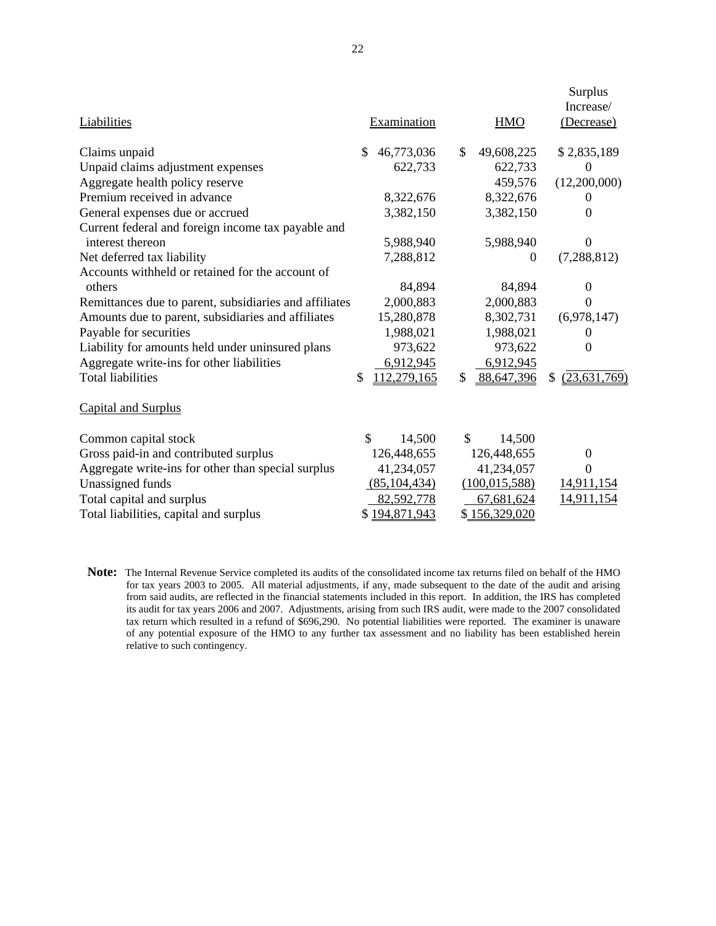|                                                        |                         |                  | Surplus<br>Increase/ |
|--------------------------------------------------------|-------------------------|------------------|----------------------|
| Liabilities                                            | Examination             | <b>HMO</b>       | (Decrease)           |
| Claims unpaid                                          | 46,773,036<br>\$        | \$<br>49,608,225 | \$2,835,189          |
| Unpaid claims adjustment expenses                      | 622,733                 | 622,733          | 0                    |
| Aggregate health policy reserve                        |                         | 459,576          | (12,200,000)         |
| Premium received in advance                            | 8,322,676               | 8,322,676        | $\Omega$             |
| General expenses due or accrued                        | 3,382,150               | 3,382,150        | 0                    |
| Current federal and foreign income tax payable and     |                         |                  |                      |
| interest thereon                                       | 5,988,940               | 5,988,940        | $\Omega$             |
| Net deferred tax liability                             | 7,288,812               | $\Omega$         | (7, 288, 812)        |
| Accounts withheld or retained for the account of       |                         |                  |                      |
| others                                                 | 84,894                  | 84,894           | 0                    |
| Remittances due to parent, subsidiaries and affiliates | 2,000,883               | 2,000,883        | $\Omega$             |
| Amounts due to parent, subsidiaries and affiliates     | 15,280,878              | 8,302,731        | (6,978,147)          |
| Payable for securities                                 | 1,988,021               | 1,988,021        | $\theta$             |
| Liability for amounts held under uninsured plans       | 973,622                 | 973,622          | 0                    |
| Aggregate write-ins for other liabilities              | 6,912,945               | 6,912,945        |                      |
| <b>Total liabilities</b>                               | 112,279,165<br>\$       | \$<br>88,647,396 | (23, 631, 769)<br>S  |
| Capital and Surplus                                    |                         |                  |                      |
| Common capital stock                                   | $\mathcal{S}$<br>14,500 | \$<br>14,500     |                      |
| Gross paid-in and contributed surplus                  | 126,448,655             | 126,448,655      | 0                    |
| Aggregate write-ins for other than special surplus     | 41,234,057              | 41,234,057       | $\theta$             |
| Unassigned funds                                       | (85, 104, 434)          | (100, 015, 588)  | 14,911,154           |
| Total capital and surplus                              | 82,592,778              | 67,681,624       | 14,911,154           |
| Total liabilities, capital and surplus                 | \$194,871,943           | \$156,329,020    |                      |

  **Note:** The Internal Revenue Service completed its audits of the consolidated income tax returns filed on behalf of the HMO for tax years 2003 to 2005. All material adjustments, if any, made subsequent to the date of the audit and arising from said audits, are reflected in the financial statements included in this report. In addition, the IRS has completed its audit for tax years 2006 and 2007. Adjustments, arising from such IRS audit, were made to the 2007 consolidated tax return which resulted in a refund of \$696,290. No potential liabilities were reported. The examiner is unaware of any potential exposure of the HMO to any further tax assessment and no liability has been established herein relative to such contingency.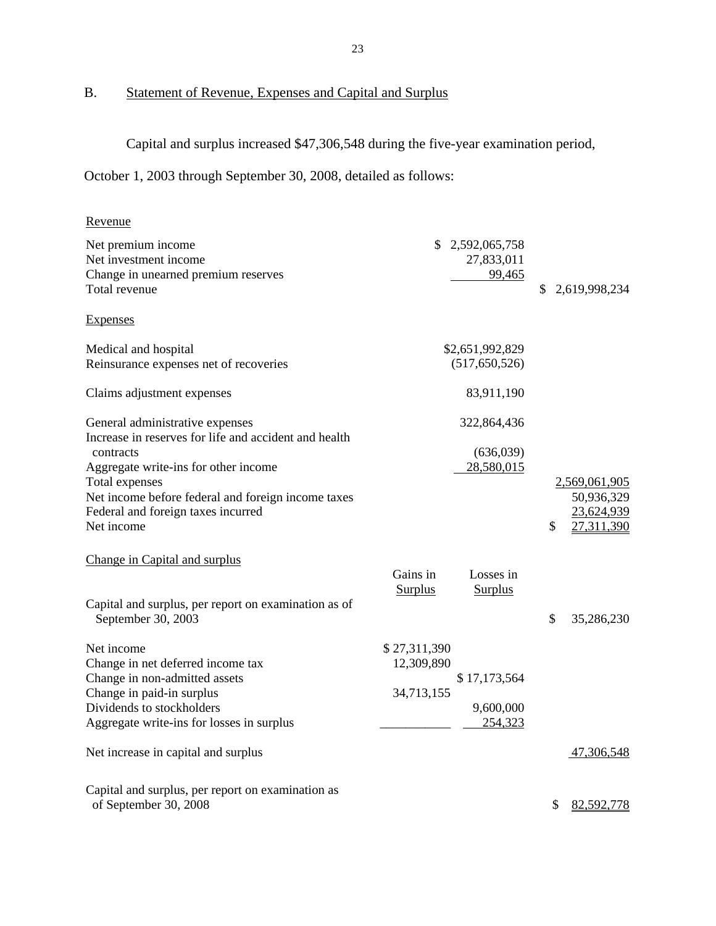# <span id="page-25-0"></span>B. Statement of Revenue, Expenses and Capital and Surplus

Capital and surplus increased \$47,306,548 during the five-year examination period,

October 1, 2003 through September 30, 2008, detailed as follows:

| Revenue                                                                                  |                |                 |                     |
|------------------------------------------------------------------------------------------|----------------|-----------------|---------------------|
| Net premium income                                                                       | \$             | 2,592,065,758   |                     |
| Net investment income                                                                    |                | 27,833,011      |                     |
| Change in unearned premium reserves                                                      |                | 99,465          |                     |
| Total revenue                                                                            |                |                 | \$<br>2,619,998,234 |
| <b>Expenses</b>                                                                          |                |                 |                     |
| Medical and hospital                                                                     |                | \$2,651,992,829 |                     |
| Reinsurance expenses net of recoveries                                                   |                | (517, 650, 526) |                     |
| Claims adjustment expenses                                                               |                | 83,911,190      |                     |
| General administrative expenses<br>Increase in reserves for life and accident and health |                | 322,864,436     |                     |
| contracts                                                                                |                | (636,039)       |                     |
| Aggregate write-ins for other income                                                     |                | 28,580,015      |                     |
| Total expenses                                                                           |                |                 | 2,569,061,905       |
| Net income before federal and foreign income taxes                                       |                |                 | 50,936,329          |
| Federal and foreign taxes incurred                                                       |                |                 | 23,624,939          |
| Net income                                                                               |                |                 | \$<br>27,311,390    |
| Change in Capital and surplus                                                            |                |                 |                     |
|                                                                                          | Gains in       | Losses in       |                     |
|                                                                                          | <b>Surplus</b> | <b>Surplus</b>  |                     |
| Capital and surplus, per report on examination as of                                     |                |                 |                     |
| September 30, 2003                                                                       |                |                 | \$<br>35,286,230    |
| Net income                                                                               | \$27,311,390   |                 |                     |
| Change in net deferred income tax                                                        | 12,309,890     |                 |                     |
| Change in non-admitted assets                                                            |                | \$17,173,564    |                     |
| Change in paid-in surplus                                                                | 34,713,155     |                 |                     |
| Dividends to stockholders                                                                |                | 9,600,000       |                     |
| Aggregate write-ins for losses in surplus                                                |                | 254,323         |                     |
| Net increase in capital and surplus                                                      |                |                 | 47,306,548          |
| Capital and surplus, per report on examination as                                        |                |                 |                     |
| of September 30, 2008                                                                    |                |                 | \$<br>82,592,778    |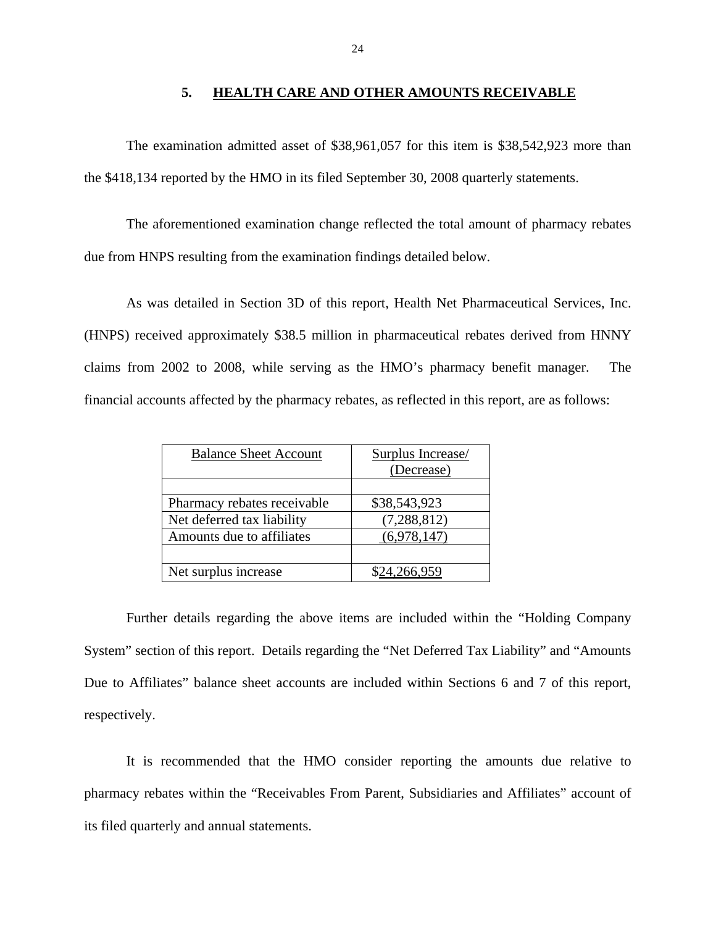#### 5. **5. HEALTH CARE AND OTHER AMOUNTS RECEIVABLE**

The examination admitted asset of \$38,961,057 for this item is \$38,542,923 more than the \$418,134 reported by the HMO in its filed September 30, 2008 quarterly statements.

The aforementioned examination change reflected the total amount of pharmacy rebates due from HNPS resulting from the examination findings detailed below.

As was detailed in Section 3D of this report, Health Net Pharmaceutical Services, Inc. (HNPS) received approximately \$38.5 million in pharmaceutical rebates derived from HNNY claims from 2002 to 2008, while serving as the HMO's pharmacy benefit manager. The financial accounts affected by the pharmacy rebates, as reflected in this report, are as follows:

| <b>Balance Sheet Account</b> | <b>Surplus Increase/</b> |
|------------------------------|--------------------------|
|                              | (Decrease)               |
|                              |                          |
| Pharmacy rebates receivable  | \$38,543,923             |
| Net deferred tax liability   | (7, 288, 812)            |
| Amounts due to affiliates    | (6,978,147)              |
|                              |                          |
| Net surplus increase         |                          |

Further details regarding the above items are included within the "Holding Company System" section of this report. Details regarding the "Net Deferred Tax Liability" and "Amounts Due to Affiliates" balance sheet accounts are included within Sections 6 and 7 of this report, respectively.

It is recommended that the HMO consider reporting the amounts due relative to pharmacy rebates within the "Receivables From Parent, Subsidiaries and Affiliates" account of its filed quarterly and annual statements.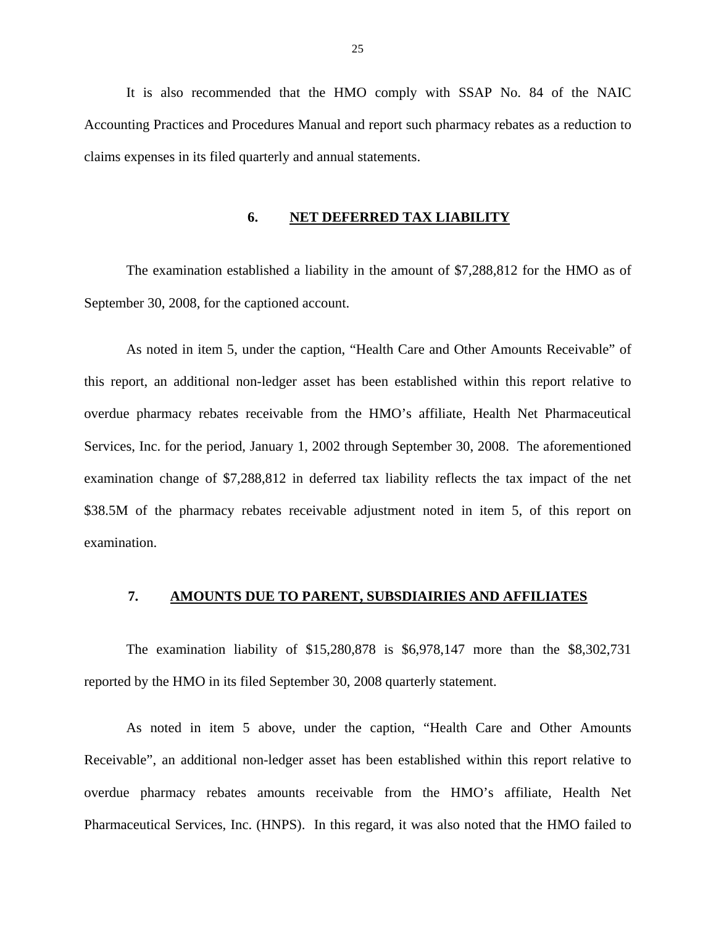<span id="page-27-0"></span>It is also recommended that the HMO comply with SSAP No. 84 of the NAIC Accounting Practices and Procedures Manual and report such pharmacy rebates as a reduction to claims expenses in its filed quarterly and annual statements.

#### **6. NET DEFERRED TAX LIABILITY**

The examination established a liability in the amount of \$7,288,812 for the HMO as of September 30, 2008, for the captioned account.

As noted in item 5, under the caption, "Health Care and Other Amounts Receivable" of this report, an additional non-ledger asset has been established within this report relative to overdue pharmacy rebates receivable from the HMO's affiliate, Health Net Pharmaceutical Services, Inc. for the period, January 1, 2002 through September 30, 2008. The aforementioned examination change of \$7,288,812 in deferred tax liability reflects the tax impact of the net \$38.5M of the pharmacy rebates receivable adjustment noted in item 5, of this report on examination.

#### **7. AMOUNTS DUE TO PARENT, SUBSDIAIRIES AND AFFILIATES**

The examination liability of \$15,280,878 is \$6,978,147 more than the \$8,302,731 reported by the HMO in its filed September 30, 2008 quarterly statement.

As noted in item 5 above, under the caption, "Health Care and Other Amounts Receivable", an additional non-ledger asset has been established within this report relative to overdue pharmacy rebates amounts receivable from the HMO's affiliate, Health Net Pharmaceutical Services, Inc. (HNPS). In this regard, it was also noted that the HMO failed to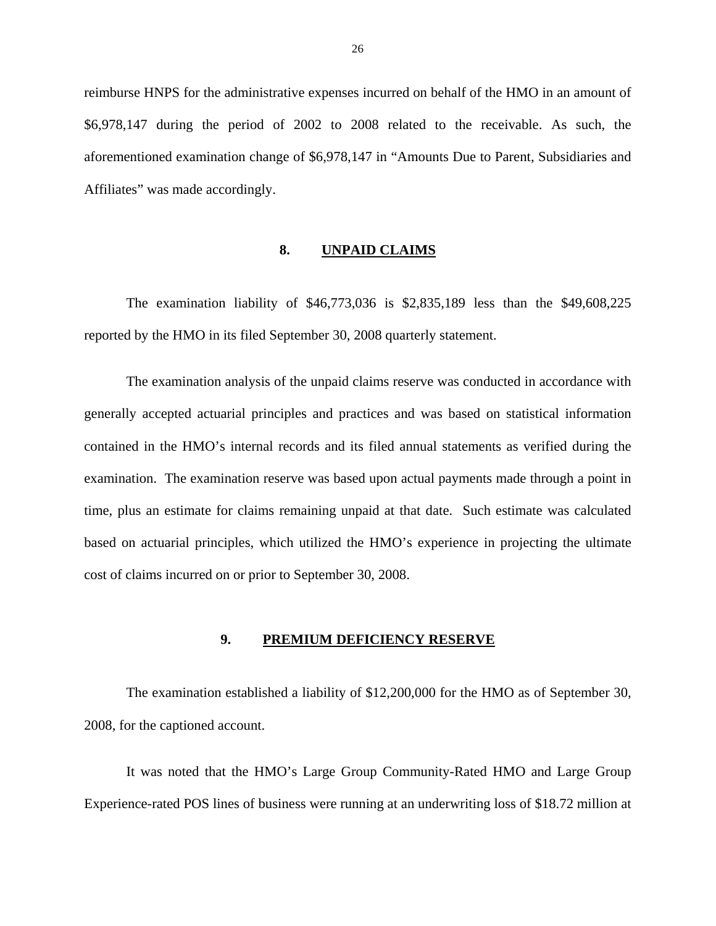<span id="page-28-0"></span>reimburse HNPS for the administrative expenses incurred on behalf of the HMO in an amount of \$6,978,147 during the period of 2002 to 2008 related to the receivable. As such, the aforementioned examination change of \$6,978,147 in "Amounts Due to Parent, Subsidiaries and Affiliates" was made accordingly.

#### **8. UNPAID CLAIMS**

The examination liability of \$46,773,036 is \$2,835,189 less than the \$49,608,225 reported by the HMO in its filed September 30, 2008 quarterly statement.

The examination analysis of the unpaid claims reserve was conducted in accordance with generally accepted actuarial principles and practices and was based on statistical information contained in the HMO's internal records and its filed annual statements as verified during the examination. The examination reserve was based upon actual payments made through a point in time, plus an estimate for claims remaining unpaid at that date. Such estimate was calculated based on actuarial principles, which utilized the HMO's experience in projecting the ultimate cost of claims incurred on or prior to September 30, 2008.

#### **9. PREMIUM DEFICIENCY RESERVE**

The examination established a liability of \$12,200,000 for the HMO as of September 30, 2008, for the captioned account.

It was noted that the HMO's Large Group Community-Rated HMO and Large Group Experience-rated POS lines of business were running at an underwriting loss of \$18.72 million at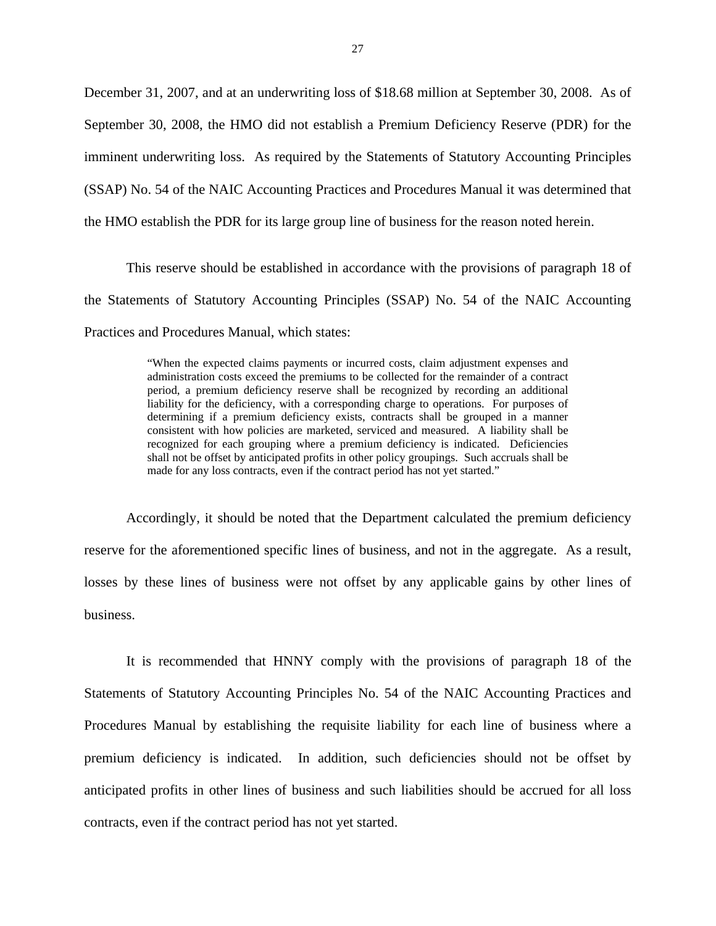December 31, 2007, and at an underwriting loss of \$18.68 million at September 30, 2008. As of September 30, 2008, the HMO did not establish a Premium Deficiency Reserve (PDR) for the imminent underwriting loss. As required by the Statements of Statutory Accounting Principles (SSAP) No. 54 of the NAIC Accounting Practices and Procedures Manual it was determined that the HMO establish the PDR for its large group line of business for the reason noted herein.

This reserve should be established in accordance with the provisions of paragraph 18 of the Statements of Statutory Accounting Principles (SSAP) No. 54 of the NAIC Accounting Practices and Procedures Manual, which states:

> liability for the deficiency, with a corresponding charge to operations. For purposes of shall not be offset by anticipated profits in other policy groupings. Such accruals shall be "When the expected claims payments or incurred costs, claim adjustment expenses and administration costs exceed the premiums to be collected for the remainder of a contract period, a premium deficiency reserve shall be recognized by recording an additional determining if a premium deficiency exists, contracts shall be grouped in a manner consistent with how policies are marketed, serviced and measured. A liability shall be recognized for each grouping where a premium deficiency is indicated. Deficiencies made for any loss contracts, even if the contract period has not yet started."

Accordingly, it should be noted that the Department calculated the premium deficiency reserve for the aforementioned specific lines of business, and not in the aggregate. As a result, losses by these lines of business were not offset by any applicable gains by other lines of business.

It is recommended that HNNY comply with the provisions of paragraph 18 of the Statements of Statutory Accounting Principles No. 54 of the NAIC Accounting Practices and Procedures Manual by establishing the requisite liability for each line of business where a premium deficiency is indicated. In addition, such deficiencies should not be offset by anticipated profits in other lines of business and such liabilities should be accrued for all loss contracts, even if the contract period has not yet started.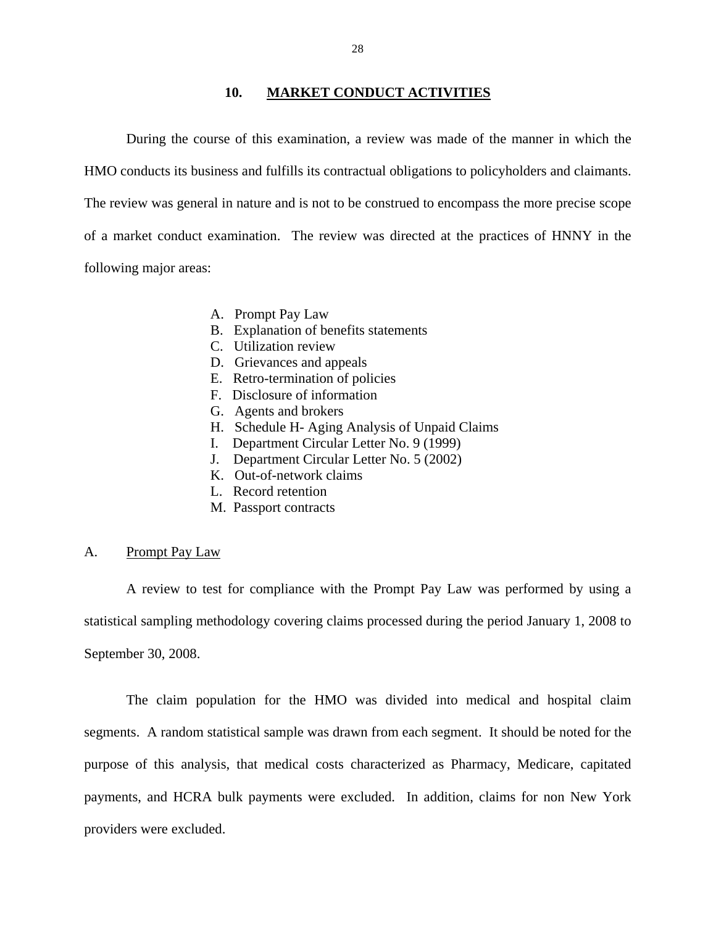#### **10. MARKET CONDUCT ACTIVITIES**

<span id="page-30-0"></span>During the course of this examination, a review was made of the manner in which the HMO conducts its business and fulfills its contractual obligations to policyholders and claimants. The review was general in nature and is not to be construed to encompass the more precise scope of a market conduct examination. The review was directed at the practices of HNNY in the following major areas:

- A. Prompt Pay Law
- B. Explanation of benefits statements
- C. Utilization review
- D. Grievances and appeals
- E. Retro-termination of policies
- F. Disclosure of information
- G. Agents and brokers
- H. Schedule H- Aging Analysis of Unpaid Claims
- I. Department Circular Letter No. 9 (1999)
- J. Department Circular Letter No. 5 (2002)
- K. Out-of-network claims
- L. Record retention
- M. Passport contracts

#### A. Prompt Pay Law

A review to test for compliance with the Prompt Pay Law was performed by using a statistical sampling methodology covering claims processed during the period January 1, 2008 to September 30, 2008.

The claim population for the HMO was divided into medical and hospital claim segments. A random statistical sample was drawn from each segment. It should be noted for the purpose of this analysis, that medical costs characterized as Pharmacy, Medicare, capitated payments, and HCRA bulk payments were excluded. In addition, claims for non New York providers were excluded.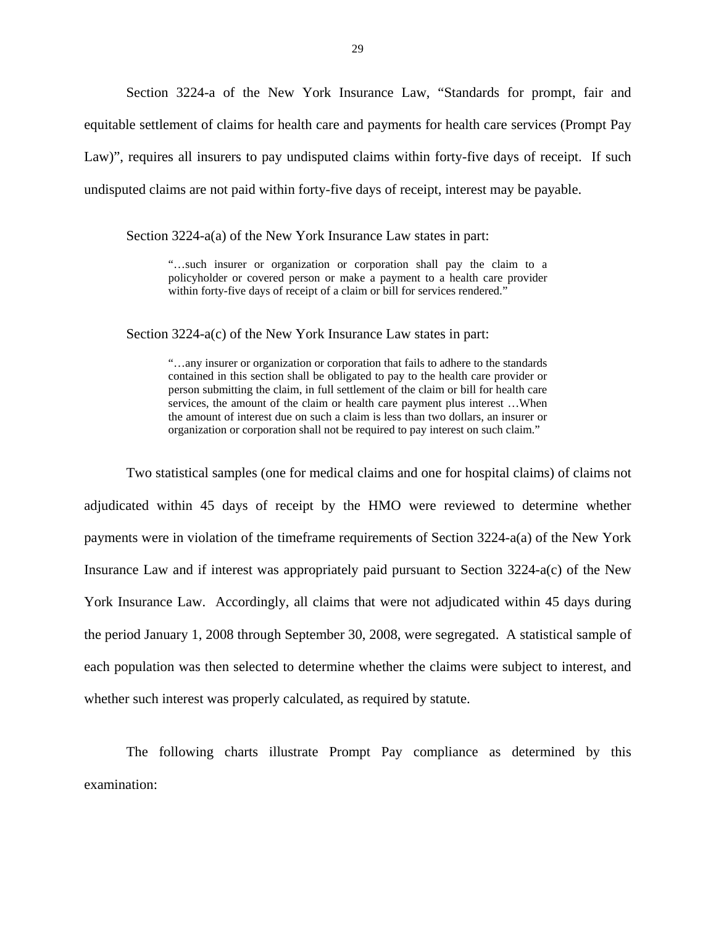Section 3224-a of the New York Insurance Law, "Standards for prompt, fair and equitable settlement of claims for health care and payments for health care services (Prompt Pay Law)", requires all insurers to pay undisputed claims within forty-five days of receipt. If such undisputed claims are not paid within forty-five days of receipt, interest may be payable.

Section 3224-a(a) of the New York Insurance Law states in part:

"…such insurer or organization or corporation shall pay the claim to a policyholder or covered person or make a payment to a health care provider within forty-five days of receipt of a claim or bill for services rendered."

Section 3224-a(c) of the New York Insurance Law states in part:

 contained in this section shall be obligated to pay to the health care provider or person submitting the claim, in full settlement of the claim or bill for health care "…any insurer or organization or corporation that fails to adhere to the standards services, the amount of the claim or health care payment plus interest …When the amount of interest due on such a claim is less than two dollars, an insurer or organization or corporation shall not be required to pay interest on such claim."

Two statistical samples (one for medical claims and one for hospital claims) of claims not adjudicated within 45 days of receipt by the HMO were reviewed to determine whether payments were in violation of the timeframe requirements of Section 3224-a(a) of the New York Insurance Law and if interest was appropriately paid pursuant to Section 3224-a(c) of the New York Insurance Law. Accordingly, all claims that were not adjudicated within 45 days during the period January 1, 2008 through September 30, 2008, were segregated. A statistical sample of each population was then selected to determine whether the claims were subject to interest, and whether such interest was properly calculated, as required by statute.

The following charts illustrate Prompt Pay compliance as determined by this examination: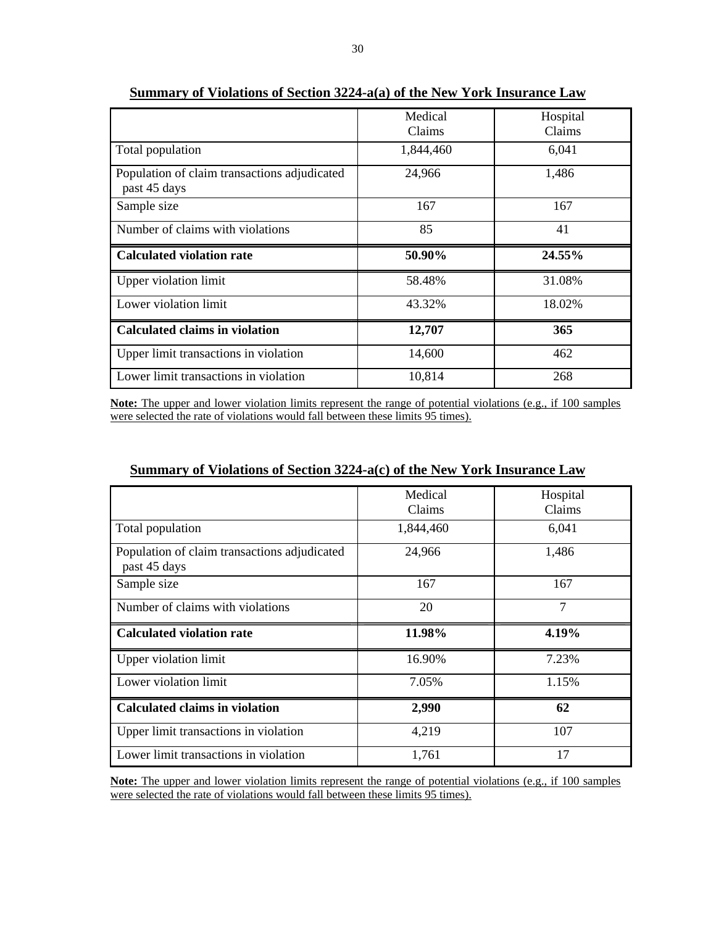|                                                              | Medical<br>Claims | Hospital<br>Claims |
|--------------------------------------------------------------|-------------------|--------------------|
| Total population                                             | 1,844,460         | 6,041              |
| Population of claim transactions adjudicated<br>past 45 days | 24,966            | 1,486              |
| Sample size                                                  | 167               | 167                |
| Number of claims with violations                             | 85                | 41                 |
| <b>Calculated violation rate</b>                             | 50.90%            | 24.55%             |
| Upper violation limit                                        | 58.48%            | 31.08%             |
| Lower violation limit                                        | 43.32%            | 18.02%             |
| <b>Calculated claims in violation</b>                        | 12,707            | 365                |
| Upper limit transactions in violation                        | 14,600            | 462                |
| Lower limit transactions in violation                        | 10,814            | 268                |

**Summary of Violations of Section 3224-a(a) of the New York Insurance Law** 

 **Note:** The upper and lower violation limits represent the range of potential violations (e.g., if 100 samples were selected the rate of violations would fall between these limits 95 times).

#### **Summary of Violations of Section 3224-a(c) of the New York Insurance Law**

|                                              | Medical   | Hospital       |
|----------------------------------------------|-----------|----------------|
|                                              |           |                |
|                                              | Claims    | Claims         |
| Total population                             | 1,844,460 | 6,041          |
| Population of claim transactions adjudicated | 24,966    | 1,486          |
| past 45 days                                 |           |                |
| Sample size                                  | 167       | 167            |
| Number of claims with violations             | 20        | $\overline{7}$ |
| <b>Calculated violation rate</b>             | 11.98%    | 4.19%          |
| Upper violation limit                        | 16.90%    | 7.23%          |
| Lower violation limit                        | 7.05%     | 1.15%          |
| <b>Calculated claims in violation</b>        | 2,990     | 62             |
| Upper limit transactions in violation        | 4,219     | 107            |
| Lower limit transactions in violation        | 1,761     | 17             |

 **Note:** The upper and lower violation limits represent the range of potential violations (e.g., if 100 samples were selected the rate of violations would fall between these limits 95 times).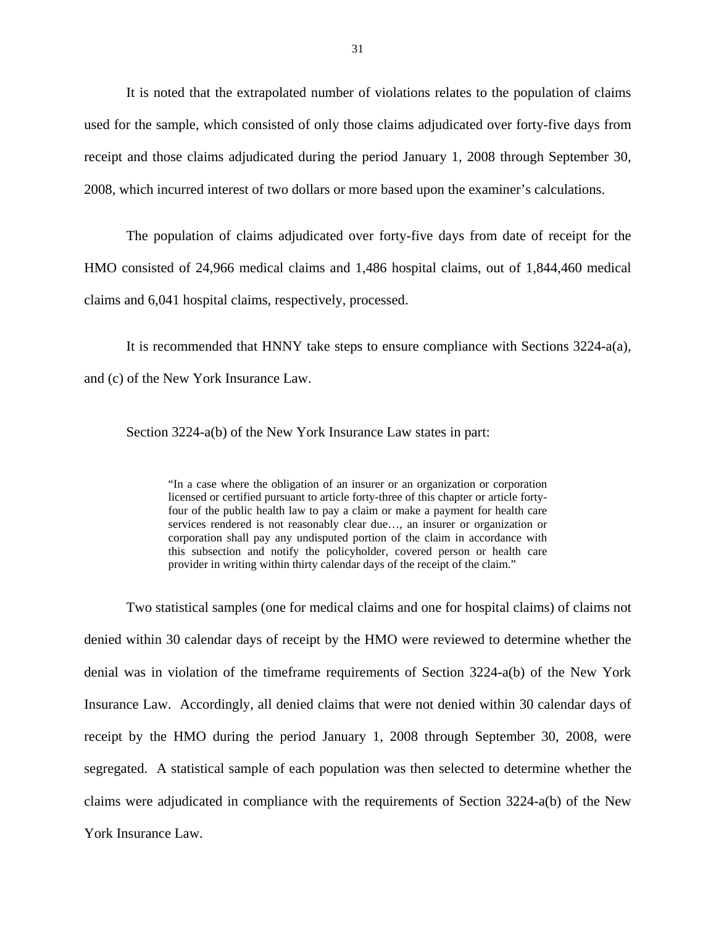It is noted that the extrapolated number of violations relates to the population of claims used for the sample, which consisted of only those claims adjudicated over forty-five days from receipt and those claims adjudicated during the period January 1, 2008 through September 30, 2008, which incurred interest of two dollars or more based upon the examiner's calculations.

The population of claims adjudicated over forty-five days from date of receipt for the HMO consisted of 24,966 medical claims and 1,486 hospital claims, out of 1,844,460 medical claims and 6,041 hospital claims, respectively, processed.

It is recommended that HNNY take steps to ensure compliance with Sections 3224-a(a), and (c) of the New York Insurance Law.

Section 3224-a(b) of the New York Insurance Law states in part:

 licensed or certified pursuant to article forty-three of this chapter or article forty-"In a case where the obligation of an insurer or an organization or corporation four of the public health law to pay a claim or make a payment for health care services rendered is not reasonably clear due…, an insurer or organization or corporation shall pay any undisputed portion of the claim in accordance with this subsection and notify the policyholder, covered person or health care provider in writing within thirty calendar days of the receipt of the claim."

Two statistical samples (one for medical claims and one for hospital claims) of claims not denied within 30 calendar days of receipt by the HMO were reviewed to determine whether the denial was in violation of the timeframe requirements of Section 3224-a(b) of the New York Insurance Law. Accordingly, all denied claims that were not denied within 30 calendar days of receipt by the HMO during the period January 1, 2008 through September 30, 2008, were segregated. A statistical sample of each population was then selected to determine whether the claims were adjudicated in compliance with the requirements of Section 3224-a(b) of the New York Insurance Law.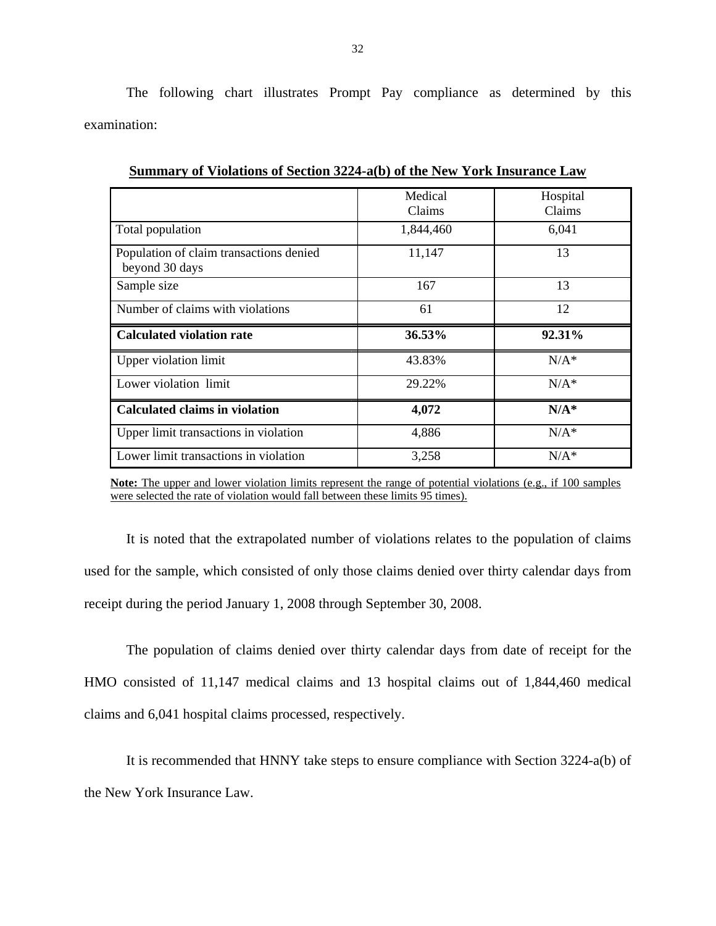The following chart illustrates Prompt Pay compliance as determined by this examination:

|                                         | Medical   | Hospital |
|-----------------------------------------|-----------|----------|
|                                         | Claims    | Claims   |
|                                         |           |          |
| Total population                        | 1,844,460 | 6,041    |
|                                         |           |          |
| Population of claim transactions denied | 11,147    | 13       |
| beyond 30 days                          |           |          |
| Sample size                             | 167       | 13       |
|                                         |           |          |
| Number of claims with violations        | 61        | 12       |
|                                         |           |          |
| <b>Calculated violation rate</b>        | 36.53%    | 92.31%   |
|                                         |           |          |
|                                         |           |          |
| Upper violation limit                   | 43.83%    | $N/A^*$  |
|                                         | 29.22%    | $N/A^*$  |
| Lower violation limit                   |           |          |
|                                         |           |          |
| <b>Calculated claims in violation</b>   | 4,072     | $N/A^*$  |
|                                         | 4,886     | $N/A^*$  |
| Upper limit transactions in violation   |           |          |
| Lower limit transactions in violation   | 3,258     | $N/A^*$  |

**Summary of Violations of Section 3224-a(b) of the New York Insurance Law** 

**Note:** The upper and lower violation limits represent the range of potential violations (e.g., if 100 samples were selected the rate of violation would fall between these limits 95 times).

It is noted that the extrapolated number of violations relates to the population of claims used for the sample, which consisted of only those claims denied over thirty calendar days from receipt during the period January 1, 2008 through September 30, 2008.

The population of claims denied over thirty calendar days from date of receipt for the HMO consisted of 11,147 medical claims and 13 hospital claims out of 1,844,460 medical claims and 6,041 hospital claims processed, respectively.

It is recommended that HNNY take steps to ensure compliance with Section 3224-a(b) of the New York Insurance Law.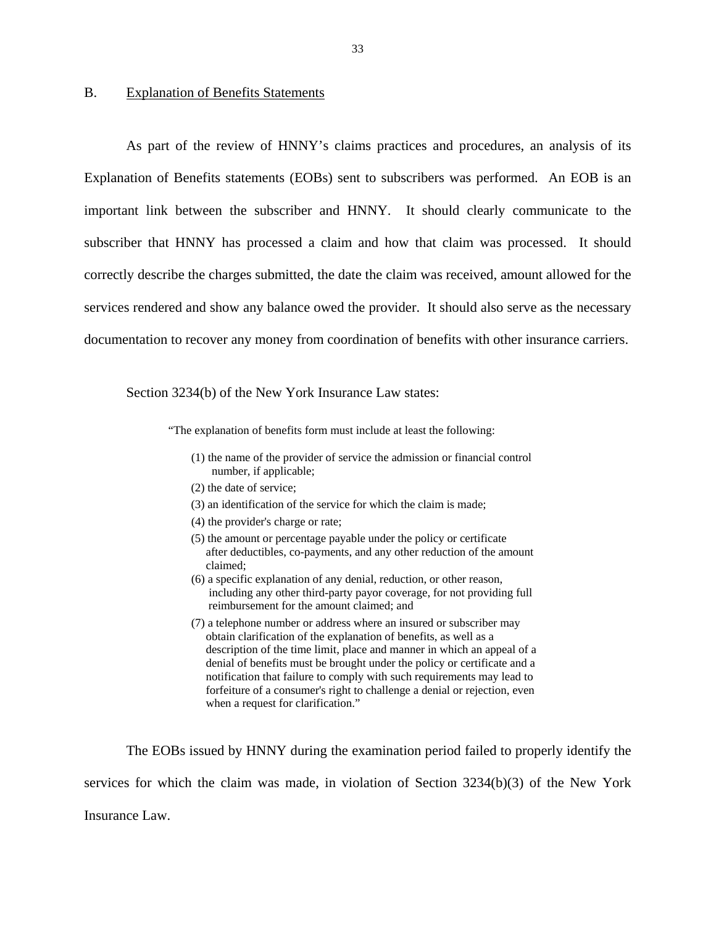#### <span id="page-35-0"></span>B. Explanation of Benefits Statements

As part of the review of HNNY's claims practices and procedures, an analysis of its Explanation of Benefits statements (EOBs) sent to subscribers was performed. An EOB is an important link between the subscriber and HNNY. It should clearly communicate to the subscriber that HNNY has processed a claim and how that claim was processed. It should correctly describe the charges submitted, the date the claim was received, amount allowed for the services rendered and show any balance owed the provider. It should also serve as the necessary documentation to recover any money from coordination of benefits with other insurance carriers.

Section 3234(b) of the New York Insurance Law states:

"The explanation of benefits form must include at least the following:

- (1) the name of the provider of service the admission or financial control number, if applicable;
- (2) the date of service;
- (3) an identification of the service for which the claim is made;
- (4) the provider's charge or rate;
- (5) the amount or percentage payable under the policy or certificate after deductibles, co-payments, and any other reduction of the amount claimed;
- (6) a specific explanation of any denial, reduction, or other reason, including any other third-party payor coverage, for not providing full reimbursement for the amount claimed; and
- (7) a telephone number or address where an insured or subscriber may obtain clarification of the explanation of benefits, as well as a description of the time limit, place and manner in which an appeal of a denial of benefits must be brought under the policy or certificate and a notification that failure to comply with such requirements may lead to forfeiture of a consumer's right to challenge a denial or rejection, even when a request for clarification."

The EOBs issued by HNNY during the examination period failed to properly identify the services for which the claim was made, in violation of Section 3234(b)(3) of the New York

Insurance Law.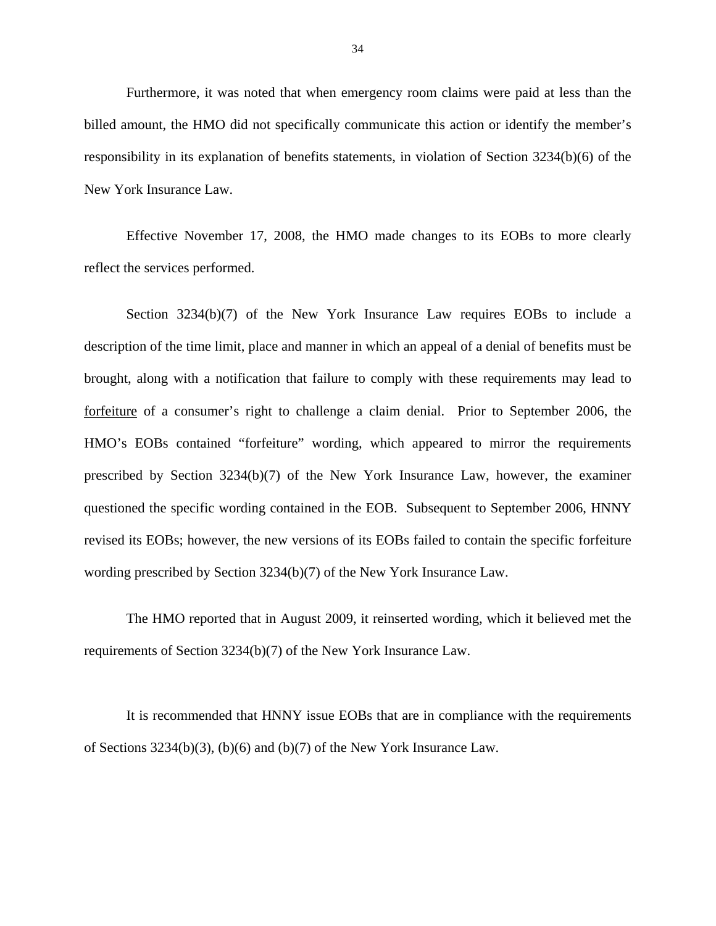Furthermore, it was noted that when emergency room claims were paid at less than the billed amount, the HMO did not specifically communicate this action or identify the member's responsibility in its explanation of benefits statements, in violation of Section 3234(b)(6) of the New York Insurance Law.

Effective November 17, 2008, the HMO made changes to its EOBs to more clearly reflect the services performed.

Section 3234(b)(7) of the New York Insurance Law requires EOBs to include a description of the time limit, place and manner in which an appeal of a denial of benefits must be brought, along with a notification that failure to comply with these requirements may lead to forfeiture of a consumer's right to challenge a claim denial. Prior to September 2006, the HMO's EOBs contained "forfeiture" wording, which appeared to mirror the requirements prescribed by Section 3234(b)(7) of the New York Insurance Law, however, the examiner questioned the specific wording contained in the EOB. Subsequent to September 2006, HNNY revised its EOBs; however, the new versions of its EOBs failed to contain the specific forfeiture wording prescribed by Section 3234(b)(7) of the New York Insurance Law.

The HMO reported that in August 2009, it reinserted wording, which it believed met the requirements of Section 3234(b)(7) of the New York Insurance Law.

It is recommended that HNNY issue EOBs that are in compliance with the requirements of Sections 3234(b)(3), (b)(6) and (b)(7) of the New York Insurance Law.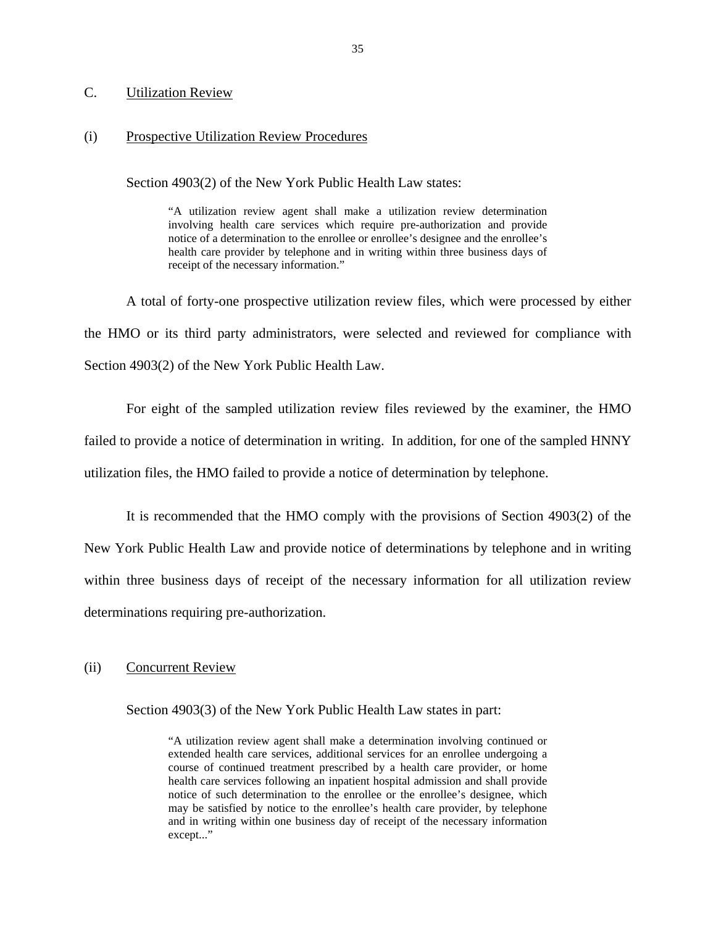#### **Utilization Review**

# <span id="page-37-0"></span>C. Utilization Review<br>
(i) Prospective Utilization Review Procedures

Section 4903(2) of the New York Public Health Law states:

 health care provider by telephone and in writing within three business days of "A utilization review agent shall make a utilization review determination involving health care services which require pre-authorization and provide notice of a determination to the enrollee or enrollee's designee and the enrollee's receipt of the necessary information."

A total of forty-one prospective utilization review files, which were processed by either the HMO or its third party administrators, were selected and reviewed for compliance with Section 4903(2) of the New York Public Health Law.

For eight of the sampled utilization review files reviewed by the examiner, the HMO failed to provide a notice of determination in writing. In addition, for one of the sampled HNNY utilization files, the HMO failed to provide a notice of determination by telephone.

It is recommended that the HMO comply with the provisions of Section 4903(2) of the New York Public Health Law and provide notice of determinations by telephone and in writing within three business days of receipt of the necessary information for all utilization review determinations requiring pre-authorization.

#### (ii) Concurrent Review

Section 4903(3) of the New York Public Health Law states in part:

"A utilization review agent shall make a determination involving continued or extended health care services, additional services for an enrollee undergoing a course of continued treatment prescribed by a health care provider, or home health care services following an inpatient hospital admission and shall provide notice of such determination to the enrollee or the enrollee's designee, which may be satisfied by notice to the enrollee's health care provider, by telephone and in writing within one business day of receipt of the necessary information except..."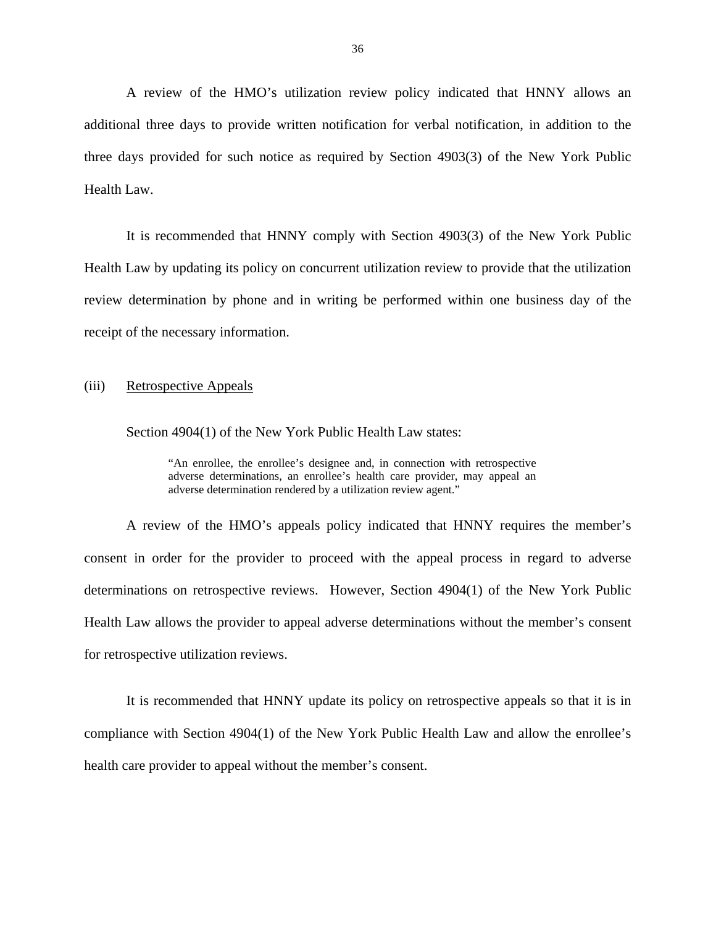A review of the HMO's utilization review policy indicated that HNNY allows an additional three days to provide written notification for verbal notification, in addition to the three days provided for such notice as required by Section 4903(3) of the New York Public Health Law.

It is recommended that HNNY comply with Section 4903(3) of the New York Public Health Law by updating its policy on concurrent utilization review to provide that the utilization review determination by phone and in writing be performed within one business day of the receipt of the necessary information.

#### (iii) Retrospective Appeals

Section 4904(1) of the New York Public Health Law states:

 "An enrollee, the enrollee's designee and, in connection with retrospective adverse determinations, an enrollee's health care provider, may appeal an adverse determination rendered by a utilization review agent."

A review of the HMO's appeals policy indicated that HNNY requires the member's consent in order for the provider to proceed with the appeal process in regard to adverse determinations on retrospective reviews. However, Section 4904(1) of the New York Public Health Law allows the provider to appeal adverse determinations without the member's consent for retrospective utilization reviews.

It is recommended that HNNY update its policy on retrospective appeals so that it is in compliance with Section 4904(1) of the New York Public Health Law and allow the enrollee's health care provider to appeal without the member's consent.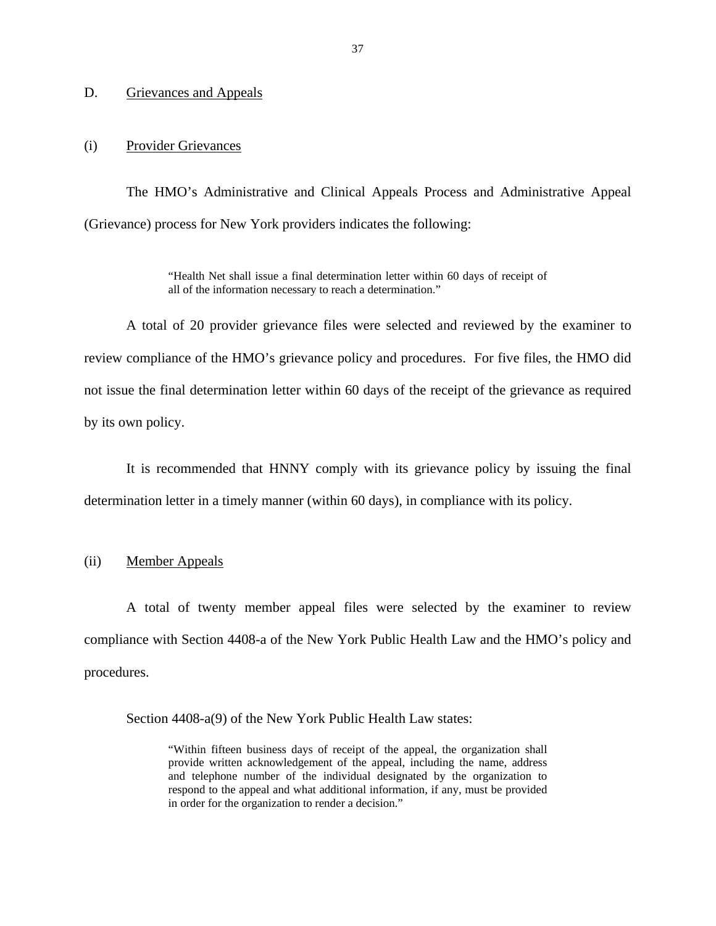#### <span id="page-39-0"></span>D. Grievances and Appeals

#### (i) Provider Grievances

The HMO's Administrative and Clinical Appeals Process and Administrative Appeal (Grievance) process for New York providers indicates the following:

> "Health Net shall issue a final determination letter within 60 days of receipt of all of the information necessary to reach a determination."

A total of 20 provider grievance files were selected and reviewed by the examiner to review compliance of the HMO's grievance policy and procedures. For five files, the HMO did not issue the final determination letter within 60 days of the receipt of the grievance as required by its own policy.

It is recommended that HNNY comply with its grievance policy by issuing the final determination letter in a timely manner (within 60 days), in compliance with its policy.

#### (ii) Member Appeals

A total of twenty member appeal files were selected by the examiner to review compliance with Section 4408-a of the New York Public Health Law and the HMO's policy and procedures.

Section 4408-a(9) of the New York Public Health Law states:

"Within fifteen business days of receipt of the appeal, the organization shall provide written acknowledgement of the appeal, including the name, address and telephone number of the individual designated by the organization to respond to the appeal and what additional information, if any, must be provided in order for the organization to render a decision."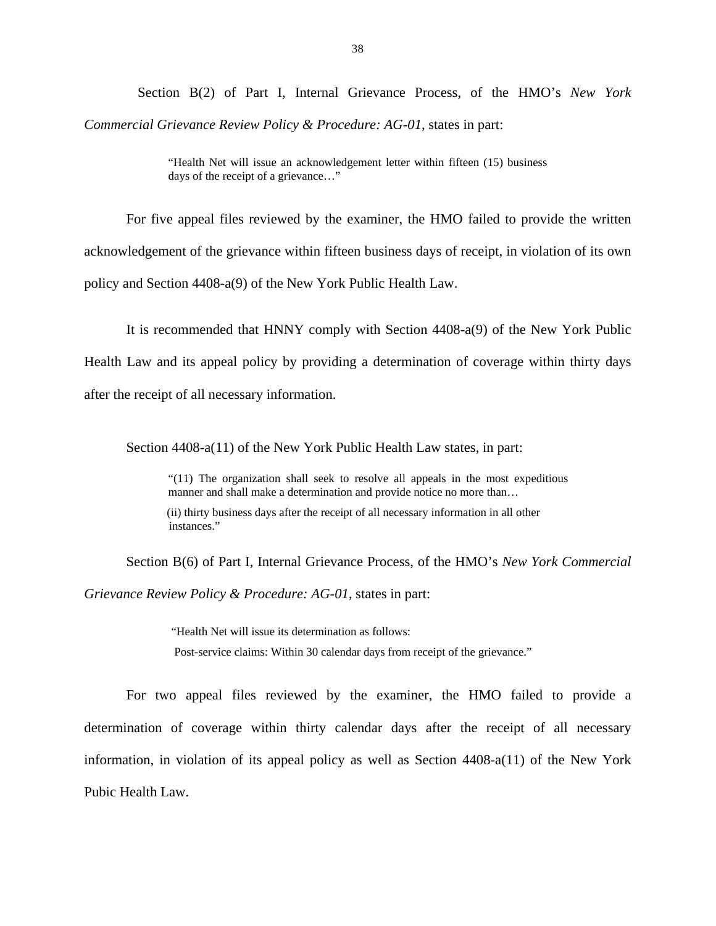Section B(2) of Part I, Internal Grievance Process, of the HMO's *New York Commercial Grievance Review Policy & Procedure: AG-01,* states in part:

> "Health Net will issue an acknowledgement letter within fifteen (15) business days of the receipt of a grievance…"

For five appeal files reviewed by the examiner, the HMO failed to provide the written acknowledgement of the grievance within fifteen business days of receipt, in violation of its own policy and Section 4408-a(9) of the New York Public Health Law.

It is recommended that HNNY comply with Section 4408-a(9) of the New York Public Health Law and its appeal policy by providing a determination of coverage within thirty days after the receipt of all necessary information.

Section 4408-a(11) of the New York Public Health Law states, in part:

"(11) The organization shall seek to resolve all appeals in the most expeditious manner and shall make a determination and provide notice no more than...

(ii) thirty business days after the receipt of all necessary information in all other instances."

Section B(6) of Part I, Internal Grievance Process, of the HMO's *New York Commercial* 

*Grievance Review Policy & Procedure: AG-01,* states in part:

 "Health Net will issue its determination as follows: Post-service claims: Within 30 calendar days from receipt of the grievance."

For two appeal files reviewed by the examiner, the HMO failed to provide a determination of coverage within thirty calendar days after the receipt of all necessary information, in violation of its appeal policy as well as Section  $4408-a(11)$  of the New York Pubic Health Law.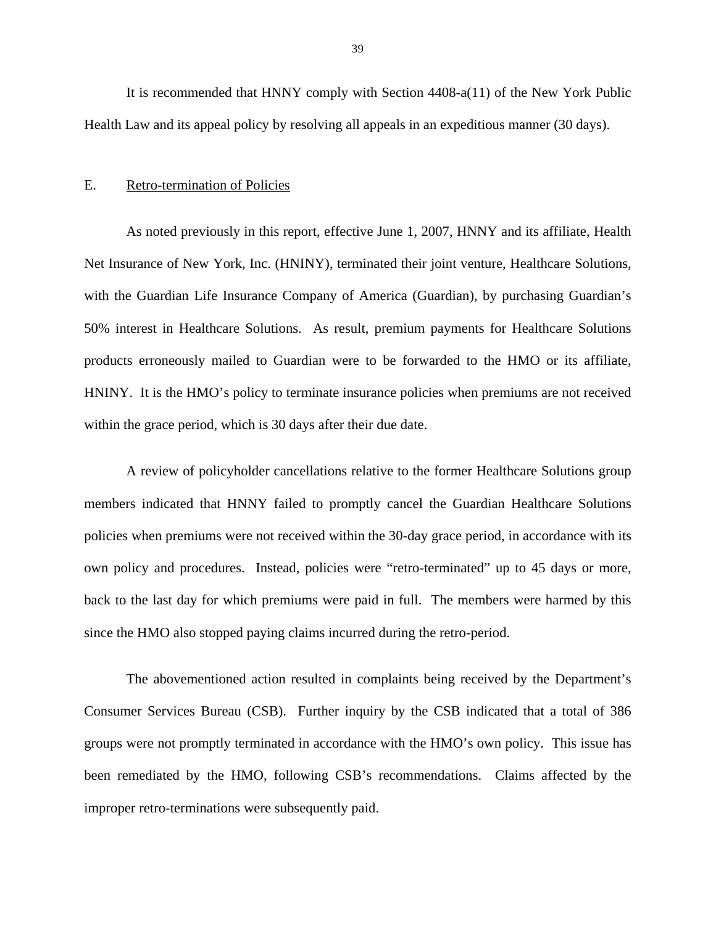<span id="page-41-0"></span>It is recommended that HNNY comply with Section 4408-a(11) of the New York Public Health Law and its appeal policy by resolving all appeals in an expeditious manner (30 days).

#### E. Retro-termination of Policies

within the grace period, which is 30 days after their due date. As noted previously in this report, effective June 1, 2007, HNNY and its affiliate, Health Net Insurance of New York, Inc. (HNINY), terminated their joint venture, Healthcare Solutions, with the Guardian Life Insurance Company of America (Guardian), by purchasing Guardian's 50% interest in Healthcare Solutions. As result, premium payments for Healthcare Solutions products erroneously mailed to Guardian were to be forwarded to the HMO or its affiliate, HNINY. It is the HMO's policy to terminate insurance policies when premiums are not received

A review of policyholder cancellations relative to the former Healthcare Solutions group members indicated that HNNY failed to promptly cancel the Guardian Healthcare Solutions policies when premiums were not received within the 30-day grace period, in accordance with its own policy and procedures. Instead, policies were "retro-terminated" up to 45 days or more, back to the last day for which premiums were paid in full. The members were harmed by this since the HMO also stopped paying claims incurred during the retro-period.

The abovementioned action resulted in complaints being received by the Department's Consumer Services Bureau (CSB). Further inquiry by the CSB indicated that a total of 386 groups were not promptly terminated in accordance with the HMO's own policy. This issue has been remediated by the HMO, following CSB's recommendations. Claims affected by the improper retro-terminations were subsequently paid.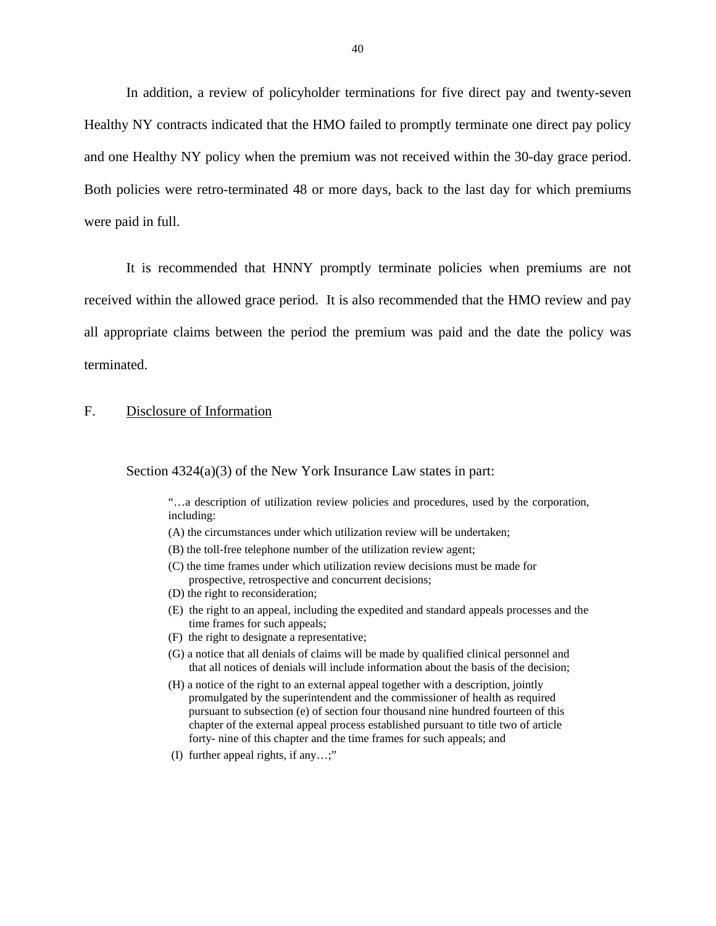<span id="page-42-0"></span>In addition, a review of policyholder terminations for five direct pay and twenty-seven Healthy NY contracts indicated that the HMO failed to promptly terminate one direct pay policy and one Healthy NY policy when the premium was not received within the 30-day grace period. Both policies were retro-terminated 48 or more days, back to the last day for which premiums were paid in full.

It is recommended that HNNY promptly terminate policies when premiums are not received within the allowed grace period. It is also recommended that the HMO review and pay all appropriate claims between the period the premium was paid and the date the policy was terminated.

#### F. Disclosure of Information

Section 4324(a)(3) of the New York Insurance Law states in part:

"…a description of utilization review policies and procedures, used by the corporation, including:

- (A) the circumstances under which utilization review will be undertaken;
- (B) the toll-free telephone number of the utilization review agent;
- (C) the time frames under which utilization review decisions must be made for prospective, retrospective and concurrent decisions;
- (D) the right to reconsideration;
- (E) the right to an appeal, including the expedited and standard appeals processes and the time frames for such appeals;
- (F) the right to designate a representative;
- (G) a notice that all denials of claims will be made by qualified clinical personnel and that all notices of denials will include information about the basis of the decision;
- (H) a notice of the right to an external appeal together with a description, jointly promulgated by the superintendent and the commissioner of health as required pursuant to subsection (e) of section four thousand nine hundred fourteen of this chapter of the external appeal process established pursuant to title two of article forty- nine of this chapter and the time frames for such appeals; and
- (I) further appeal rights, if any…;"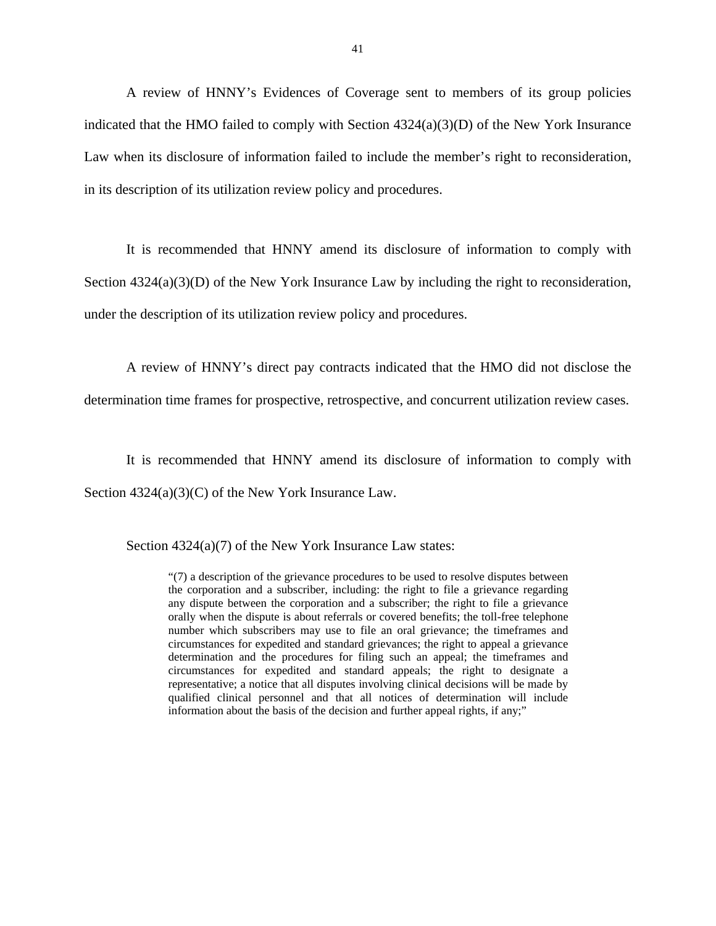A review of HNNY's Evidences of Coverage sent to members of its group policies indicated that the HMO failed to comply with Section  $4324(a)(3)(D)$  of the New York Insurance Law when its disclosure of information failed to include the member's right to reconsideration, in its description of its utilization review policy and procedures.

It is recommended that HNNY amend its disclosure of information to comply with Section 4324(a)(3)(D) of the New York Insurance Law by including the right to reconsideration, under the description of its utilization review policy and procedures.

A review of HNNY's direct pay contracts indicated that the HMO did not disclose the determination time frames for prospective, retrospective, and concurrent utilization review cases.

It is recommended that HNNY amend its disclosure of information to comply with Section 4324(a)(3)(C) of the New York Insurance Law.

Section 4324(a)(7) of the New York Insurance Law states:

"(7) a description of the grievance procedures to be used to resolve disputes between the corporation and a subscriber, including: the right to file a grievance regarding any dispute between the corporation and a subscriber; the right to file a grievance orally when the dispute is about referrals or covered benefits; the toll-free telephone number which subscribers may use to file an oral grievance; the timeframes and circumstances for expedited and standard grievances; the right to appeal a grievance determination and the procedures for filing such an appeal; the timeframes and circumstances for expedited and standard appeals; the right to designate a representative; a notice that all disputes involving clinical decisions will be made by qualified clinical personnel and that all notices of determination will include information about the basis of the decision and further appeal rights, if any;"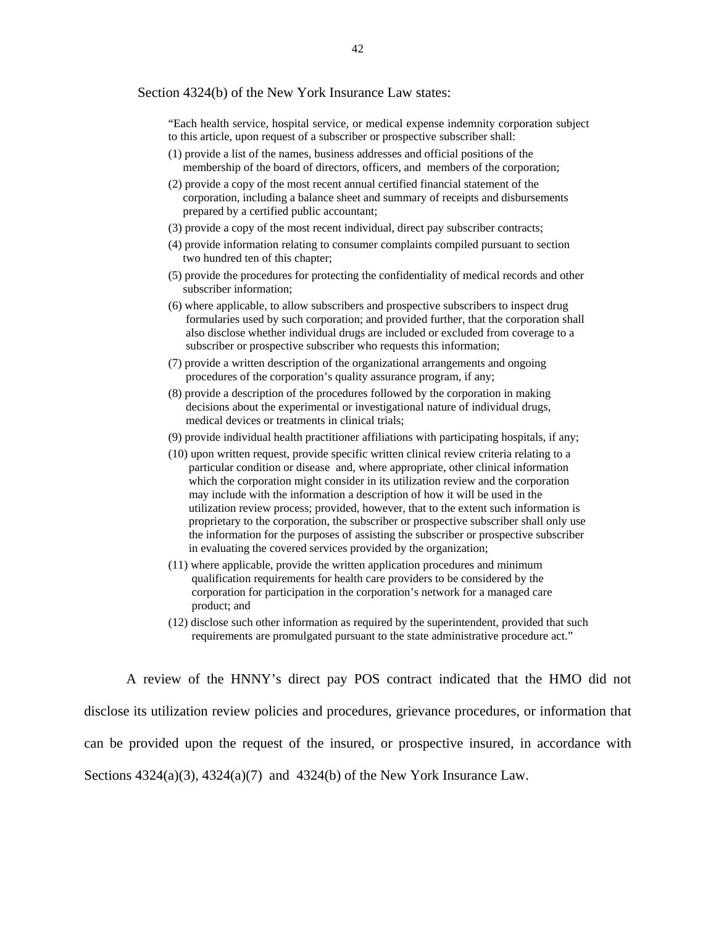#### Section 4324(b) of the New York Insurance Law states:

"Each health service, hospital service, or medical expense indemnity corporation subject to this article, upon request of a subscriber or prospective subscriber shall:

- (1) provide a list of the names, business addresses and official positions of the membership of the board of directors, officers, and members of the corporation;
- (2) provide a copy of the most recent annual certified financial statement of the corporation, including a balance sheet and summary of receipts and disbursements prepared by a certified public accountant;
- (3) provide a copy of the most recent individual, direct pay subscriber contracts;
- (4) provide information relating to consumer complaints compiled pursuant to section two hundred ten of this chapter;
- (5) provide the procedures for protecting the confidentiality of medical records and other subscriber information;
- (6) where applicable, to allow subscribers and prospective subscribers to inspect drug formularies used by such corporation; and provided further, that the corporation shall also disclose whether individual drugs are included or excluded from coverage to a subscriber or prospective subscriber who requests this information;
- (7) provide a written description of the organizational arrangements and ongoing procedures of the corporation's quality assurance program, if any;
- (8) provide a description of the procedures followed by the corporation in making decisions about the experimental or investigational nature of individual drugs, medical devices or treatments in clinical trials;
- (9) provide individual health practitioner affiliations with participating hospitals, if any;
- (10) upon written request, provide specific written clinical review criteria relating to a particular condition or disease and, where appropriate, other clinical information which the corporation might consider in its utilization review and the corporation may include with the information a description of how it will be used in the utilization review process; provided, however, that to the extent such information is proprietary to the corporation, the subscriber or prospective subscriber shall only use the information for the purposes of assisting the subscriber or prospective subscriber in evaluating the covered services provided by the organization;
- (11) where applicable, provide the written application procedures and minimum qualification requirements for health care providers to be considered by the corporation for participation in the corporation's network for a managed care product; and
- (12) disclose such other information as required by the superintendent, provided that such requirements are promulgated pursuant to the state administrative procedure act."

A review of the HNNY's direct pay POS contract indicated that the HMO did not disclose its utilization review policies and procedures, grievance procedures, or information that can be provided upon the request of the insured, or prospective insured, in accordance with Sections  $4324(a)(3)$ ,  $4324(a)(7)$  and  $4324(b)$  of the New York Insurance Law.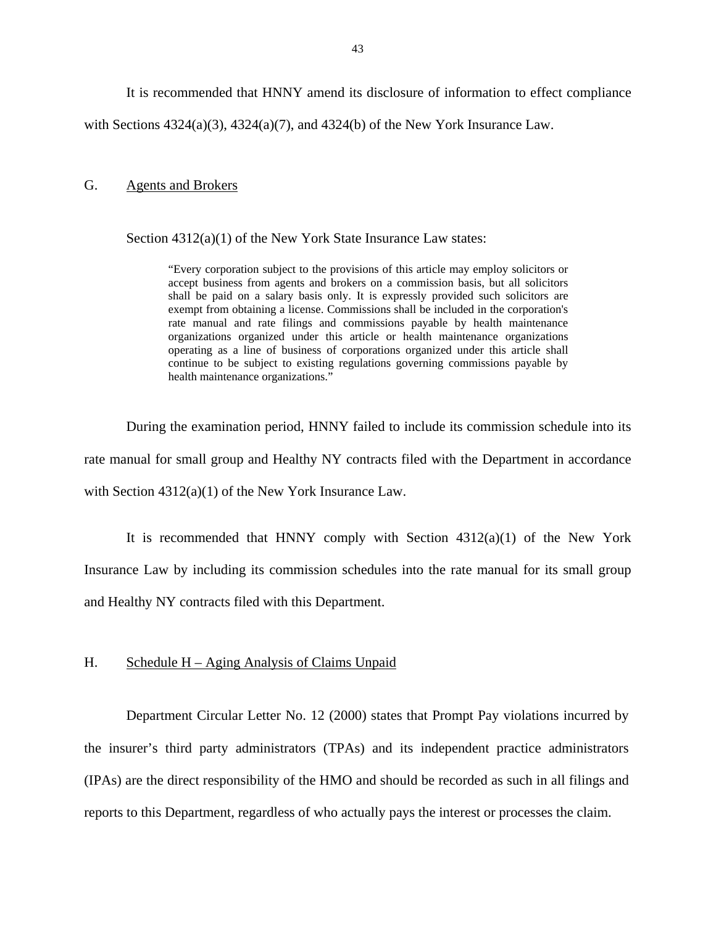It is recommended that HNNY amend its disclosure of information to effect compliance

<span id="page-45-0"></span>with Sections  $4324(a)(3)$ ,  $4324(a)(7)$ , and  $4324(b)$  of the New York Insurance Law.

#### **Agents and Brokers**

G. Agents and Brokers<br>Section  $4312(a)(1)$  of the New York State Insurance Law states:

 shall be paid on a salary basis only. It is expressly provided such solicitors are "Every corporation subject to the provisions of this article may employ solicitors or accept business from agents and brokers on a commission basis, but all solicitors exempt from obtaining a license. Commissions shall be included in the corporation's rate manual and rate filings and commissions payable by health maintenance organizations organized under this article or health maintenance organizations operating as a line of business of corporations organized under this article shall continue to be subject to existing regulations governing commissions payable by health maintenance organizations."

During the examination period, HNNY failed to include its commission schedule into its rate manual for small group and Healthy NY contracts filed with the Department in accordance with Section 4312(a)(1) of the New York Insurance Law.

It is recommended that HNNY comply with Section  $4312(a)(1)$  of the New York Insurance Law by including its commission schedules into the rate manual for its small group and Healthy NY contracts filed with this Department.

#### H. Schedule H – Aging Analysis of Claims Unpaid

Department Circular Letter No. 12 (2000) states that Prompt Pay violations incurred by the insurer's third party administrators (TPAs) and its independent practice administrators (IPAs) are the direct responsibility of the HMO and should be recorded as such in all filings and reports to this Department, regardless of who actually pays the interest or processes the claim.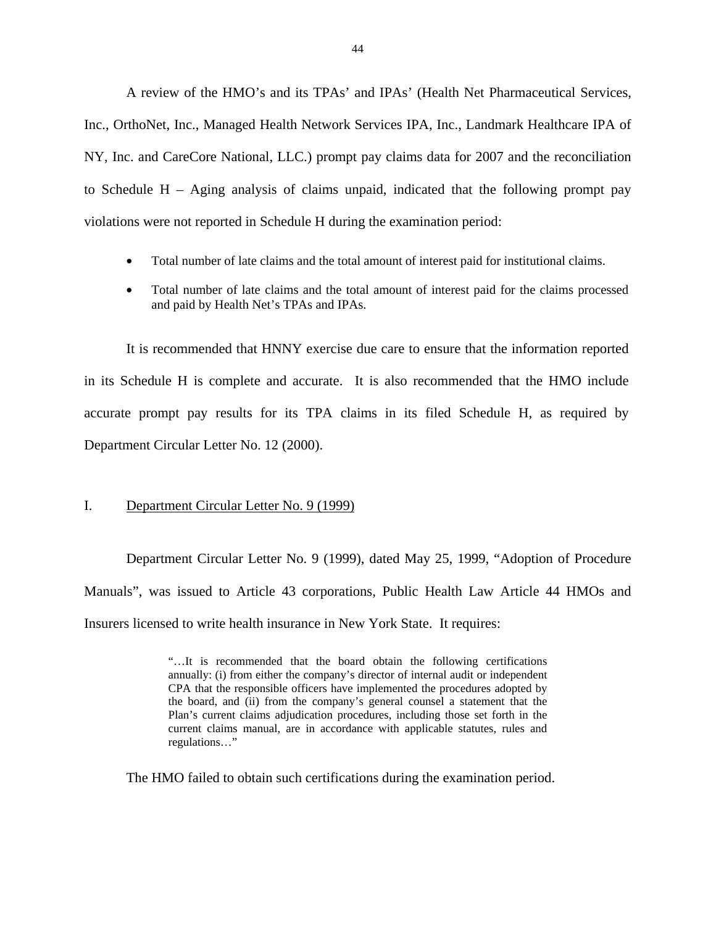<span id="page-46-0"></span>A review of the HMO's and its TPAs' and IPAs' (Health Net Pharmaceutical Services, Inc., OrthoNet, Inc., Managed Health Network Services IPA, Inc., Landmark Healthcare IPA of NY, Inc. and CareCore National, LLC.) prompt pay claims data for 2007 and the reconciliation to Schedule H – Aging analysis of claims unpaid, indicated that the following prompt pay violations were not reported in Schedule H during the examination period:

- Total number of late claims and the total amount of interest paid for institutional claims.
- Total number of late claims and the total amount of interest paid for the claims processed and paid by Health Net's TPAs and IPAs.

It is recommended that HNNY exercise due care to ensure that the information reported in its Schedule H is complete and accurate. It is also recommended that the HMO include accurate prompt pay results for its TPA claims in its filed Schedule H, as required by Department Circular Letter No. 12 (2000).

#### I. Department Circular Letter No. 9 (1999)

Department Circular Letter No. 9 (1999), dated May 25, 1999, "Adoption of Procedure Manuals", was issued to Article 43 corporations, Public Health Law Article 44 HMOs and Insurers licensed to write health insurance in New York State. It requires:

> Plan's current claims adjudication procedures, including those set forth in the "…It is recommended that the board obtain the following certifications annually: (i) from either the company's director of internal audit or independent CPA that the responsible officers have implemented the procedures adopted by the board, and (ii) from the company's general counsel a statement that the current claims manual, are in accordance with applicable statutes, rules and regulations…"

The HMO failed to obtain such certifications during the examination period.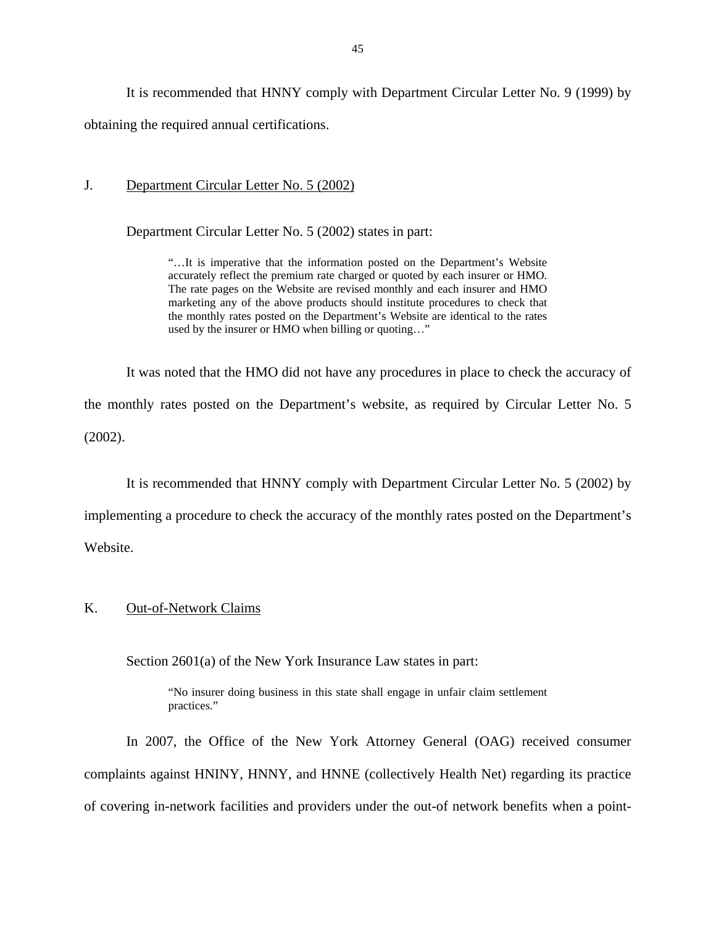<span id="page-47-0"></span>It is recommended that HNNY comply with Department Circular Letter No. 9 (1999) by obtaining the required annual certifications.

#### J. Department Circular Letter No. 5 (2002)

Department Circular Letter No. 5 (2002) states in part:

"…It is imperative that the information posted on the Department's Website accurately reflect the premium rate charged or quoted by each insurer or HMO. The rate pages on the Website are revised monthly and each insurer and HMO marketing any of the above products should institute procedures to check that the monthly rates posted on the Department's Website are identical to the rates used by the insurer or HMO when billing or quoting…"

It was noted that the HMO did not have any procedures in place to check the accuracy of the monthly rates posted on the Department's website, as required by Circular Letter No. 5 (2002).

It is recommended that HNNY comply with Department Circular Letter No. 5 (2002) by

implementing a procedure to check the accuracy of the monthly rates posted on the Department's

Website.

## K. Out-of-Network Claims

Section 2601(a) of the New York Insurance Law states in part:

"No insurer doing business in this state shall engage in unfair claim settlement practices."

In 2007, the Office of the New York Attorney General (OAG) received consumer complaints against HNINY, HNNY, and HNNE (collectively Health Net) regarding its practice of covering in-network facilities and providers under the out-of network benefits when a point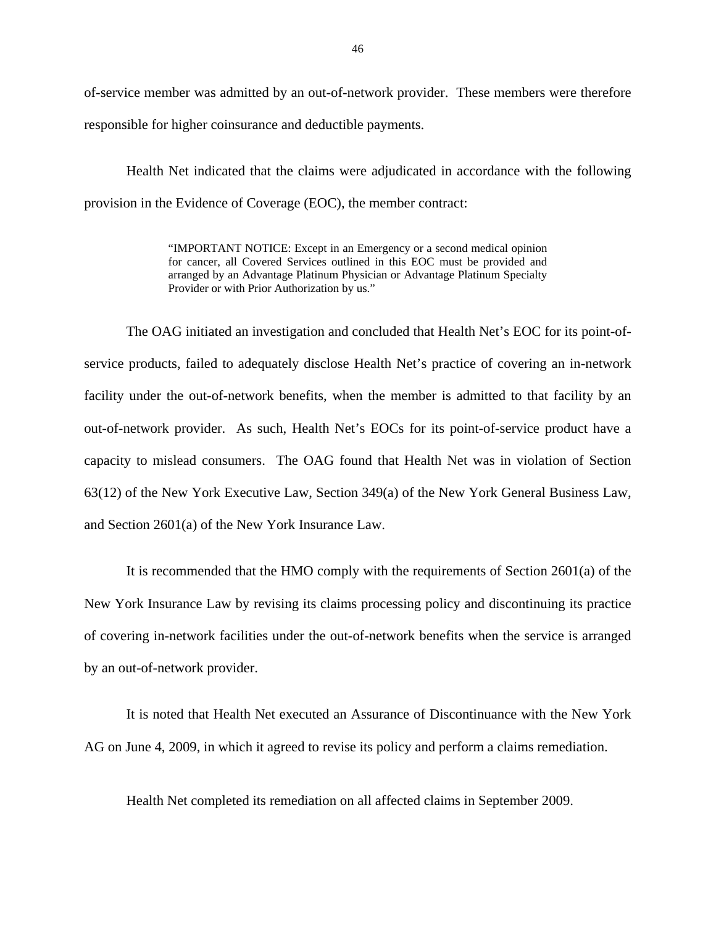of-service member was admitted by an out-of-network provider. These members were therefore responsible for higher coinsurance and deductible payments.

Health Net indicated that the claims were adjudicated in accordance with the following provision in the Evidence of Coverage (EOC), the member contract:

> "IMPORTANT NOTICE: Except in an Emergency or a second medical opinion for cancer, all Covered Services outlined in this EOC must be provided and arranged by an Advantage Platinum Physician or Advantage Platinum Specialty Provider or with Prior Authorization by us."

The OAG initiated an investigation and concluded that Health Net's EOC for its point-ofservice products, failed to adequately disclose Health Net's practice of covering an in-network facility under the out-of-network benefits, when the member is admitted to that facility by an out-of-network provider. As such, Health Net's EOCs for its point-of-service product have a capacity to mislead consumers. The OAG found that Health Net was in violation of Section 63(12) of the New York Executive Law, Section 349(a) of the New York General Business Law, and Section 2601(a) of the New York Insurance Law.

It is recommended that the HMO comply with the requirements of Section 2601(a) of the New York Insurance Law by revising its claims processing policy and discontinuing its practice of covering in-network facilities under the out-of-network benefits when the service is arranged by an out-of-network provider.

It is noted that Health Net executed an Assurance of Discontinuance with the New York AG on June 4, 2009, in which it agreed to revise its policy and perform a claims remediation.

Health Net completed its remediation on all affected claims in September 2009.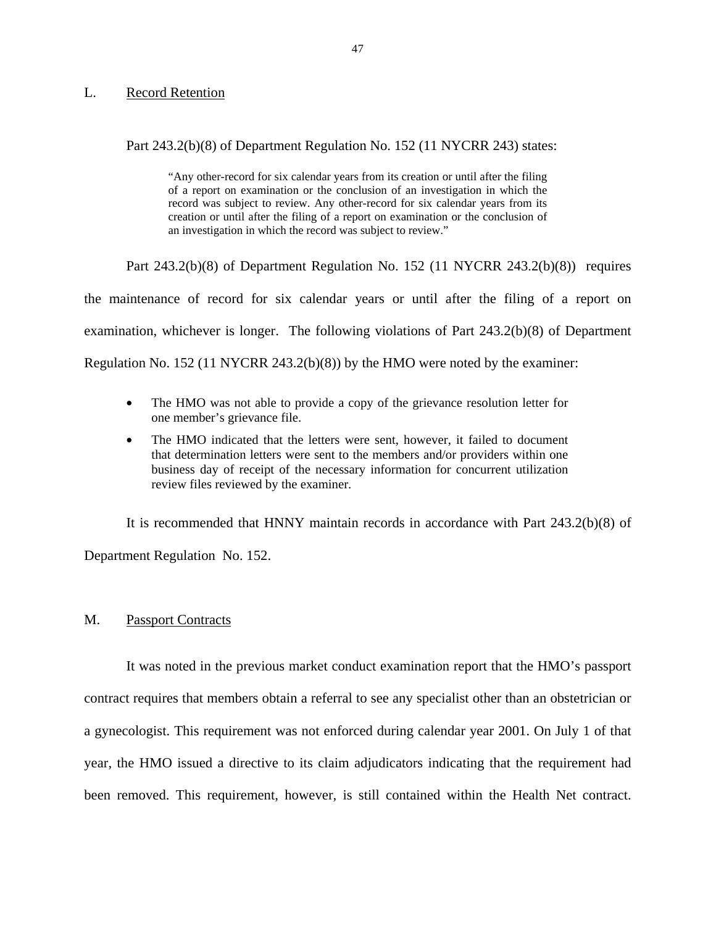#### **Record Retention**

# <span id="page-49-0"></span>L. Record Retention<br>Part 243.2(b)(8) of Department Regulation No. 152 (11 NYCRR 243) states:

 creation or until after the filing of a report on examination or the conclusion of "Any other-record for six calendar years from its creation or until after the filing of a report on examination or the conclusion of an investigation in which the record was subject to review. Any other-record for six calendar years from its an investigation in which the record was subject to review."

Part 243.2(b)(8) of Department Regulation No. 152 (11 NYCRR 243.2(b)(8)) requires the maintenance of record for six calendar years or until after the filing of a report on examination, whichever is longer. The following violations of Part 243.2(b)(8) of Department Regulation No. 152 (11 NYCRR 243.2(b)(8)) by the HMO were noted by the examiner:

- The HMO was not able to provide a copy of the grievance resolution letter for one member's grievance file.
- The HMO indicated that the letters were sent, however, it failed to document that determination letters were sent to the members and/or providers within one business day of receipt of the necessary information for concurrent utilization review files reviewed by the examiner.

It is recommended that HNNY maintain records in accordance with Part 243.2(b)(8) of Department Regulation No. 152.

#### M. Passport Contracts

It was noted in the previous market conduct examination report that the HMO's passport contract requires that members obtain a referral to see any specialist other than an obstetrician or a gynecologist. This requirement was not enforced during calendar year 2001. On July 1 of that year, the HMO issued a directive to its claim adjudicators indicating that the requirement had been removed. This requirement, however, is still contained within the Health Net contract.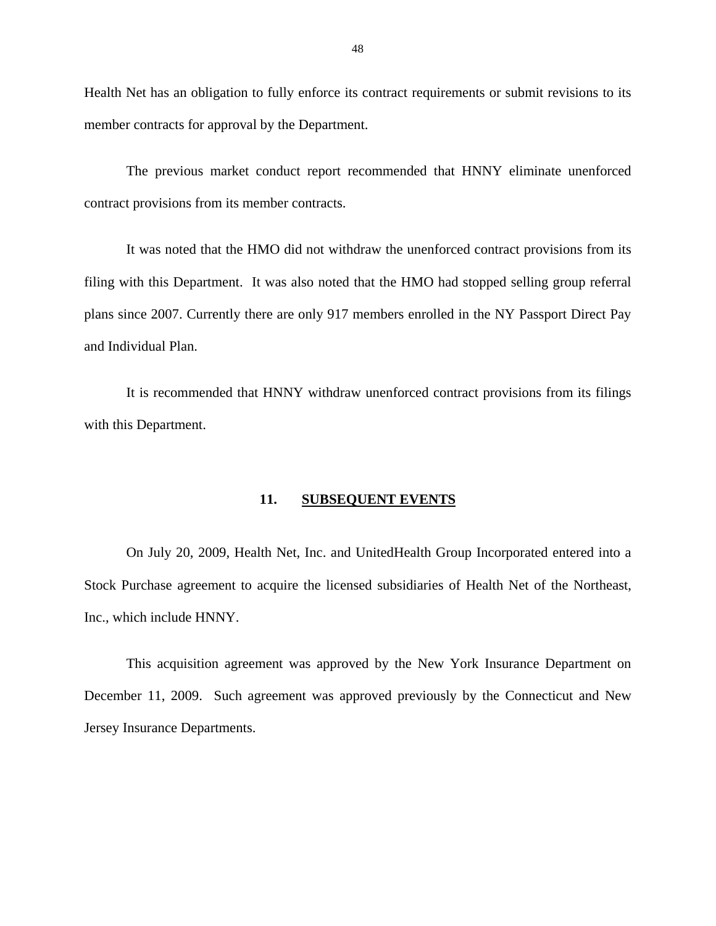Health Net has an obligation to fully enforce its contract requirements or submit revisions to its member contracts for approval by the Department.

The previous market conduct report recommended that HNNY eliminate unenforced contract provisions from its member contracts.

It was noted that the HMO did not withdraw the unenforced contract provisions from its filing with this Department. It was also noted that the HMO had stopped selling group referral plans since 2007. Currently there are only 917 members enrolled in the NY Passport Direct Pay and Individual Plan.

It is recommended that HNNY withdraw unenforced contract provisions from its filings with this Department.

#### **11. SUBSEQUENT EVENTS**

On July 20, 2009, Health Net, Inc. and UnitedHealth Group Incorporated entered into a Stock Purchase agreement to acquire the licensed subsidiaries of Health Net of the Northeast, Inc., which include HNNY.

This acquisition agreement was approved by the New York Insurance Department on December 11, 2009. Such agreement was approved previously by the Connecticut and New Jersey Insurance Departments.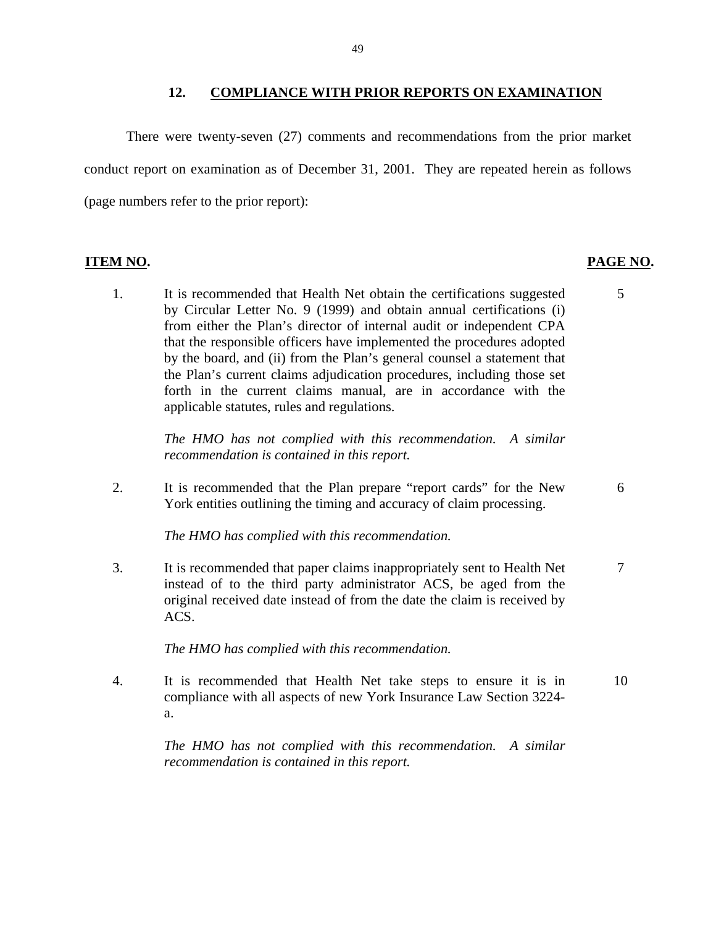#### **12. COMPLIANCE WITH PRIOR REPORTS ON EXAMINATION**

There were twenty-seven (27) comments and recommendations from the prior market conduct report on examination as of December 31, 2001. They are repeated herein as follows (page numbers refer to the prior report):

#### **ITEM NO. PAGE NO. PAGE NO.**

1. It is recommended that Health Net obtain the certifications suggested 5 by Circular Letter No. 9 (1999) and obtain annual certifications (i) from either the Plan's director of internal audit or independent CPA that the responsible officers have implemented the procedures adopted by the board, and (ii) from the Plan's general counsel a statement that the Plan's current claims adjudication procedures, including those set forth in the current claims manual, are in accordance with the applicable statutes, rules and regulations.

> *The HMO has not complied with this recommendation. A similar recommendation is contained in this report.*

2. It is recommended that the Plan prepare "report cards" for the New 6 York entities outlining the timing and accuracy of claim processing.

*The HMO has complied with this recommendation.* 

3. It is recommended that paper claims inappropriately sent to Health Net 7 instead of to the third party administrator ACS, be aged from the original received date instead of from the date the claim is received by ACS.

*The HMO has complied with this recommendation.* 

4. It is recommended that Health Net take steps to ensure it is in 10 compliance with all aspects of new York Insurance Law Section 3224 a.

*The HMO has not complied with this recommendation. A similar recommendation is contained in this report.*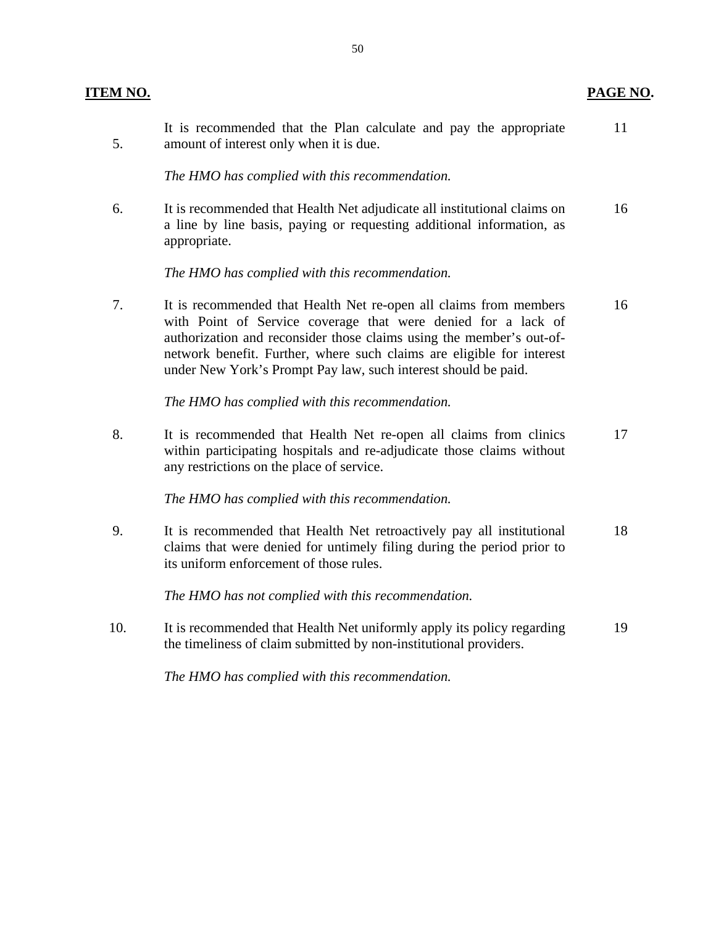| <b>ITEM NO.</b> |                                                                                                                                                                                                                                                                                                                                                       | PAGE NO. |
|-----------------|-------------------------------------------------------------------------------------------------------------------------------------------------------------------------------------------------------------------------------------------------------------------------------------------------------------------------------------------------------|----------|
| 5.              | It is recommended that the Plan calculate and pay the appropriate<br>amount of interest only when it is due.                                                                                                                                                                                                                                          | 11       |
|                 | The HMO has complied with this recommendation.                                                                                                                                                                                                                                                                                                        |          |
| 6.              | It is recommended that Health Net adjudicate all institutional claims on<br>a line by line basis, paying or requesting additional information, as<br>appropriate.                                                                                                                                                                                     | 16       |
|                 | The HMO has complied with this recommendation.                                                                                                                                                                                                                                                                                                        |          |
| 7.              | It is recommended that Health Net re-open all claims from members<br>with Point of Service coverage that were denied for a lack of<br>authorization and reconsider those claims using the member's out-of-<br>network benefit. Further, where such claims are eligible for interest<br>under New York's Prompt Pay law, such interest should be paid. | 16       |
|                 | The HMO has complied with this recommendation.                                                                                                                                                                                                                                                                                                        |          |
| 8.              | It is recommended that Health Net re-open all claims from clinics<br>within participating hospitals and re-adjudicate those claims without<br>any restrictions on the place of service.                                                                                                                                                               | 17       |
|                 | The HMO has complied with this recommendation.                                                                                                                                                                                                                                                                                                        |          |
| 9.              | It is recommended that Health Net retroactively pay all institutional<br>claims that were denied for untimely filing during the period prior to<br>its uniform enforcement of those rules.                                                                                                                                                            | 18       |
|                 | The HMO has not complied with this recommendation.                                                                                                                                                                                                                                                                                                    |          |
| 10.             | It is recommended that Health Net uniformly apply its policy regarding<br>the timeliness of claim submitted by non-institutional providers.                                                                                                                                                                                                           | 19       |
|                 | The HMO has complied with this recommendation.                                                                                                                                                                                                                                                                                                        |          |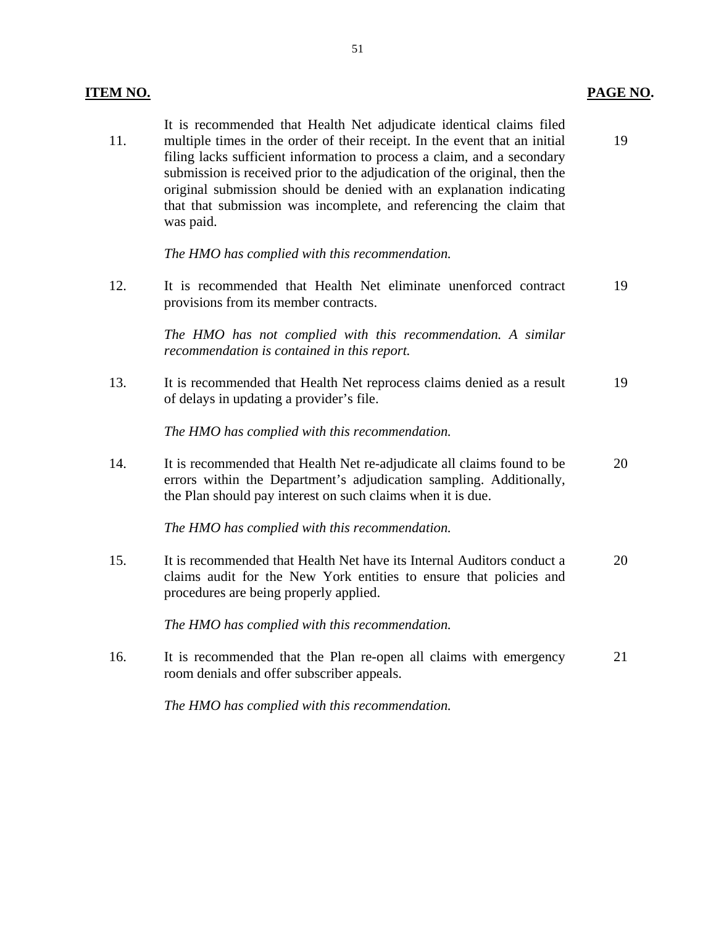# **PAGE NO.**

| 11. | It is recommended that Health Net adjudicate identical claims filed<br>multiple times in the order of their receipt. In the event that an initial<br>filing lacks sufficient information to process a claim, and a secondary<br>submission is received prior to the adjudication of the original, then the<br>original submission should be denied with an explanation indicating<br>that that submission was incomplete, and referencing the claim that<br>was paid. | 19 |
|-----|-----------------------------------------------------------------------------------------------------------------------------------------------------------------------------------------------------------------------------------------------------------------------------------------------------------------------------------------------------------------------------------------------------------------------------------------------------------------------|----|
|     | The HMO has complied with this recommendation.                                                                                                                                                                                                                                                                                                                                                                                                                        |    |
| 12. | It is recommended that Health Net eliminate unenforced contract<br>provisions from its member contracts.                                                                                                                                                                                                                                                                                                                                                              | 19 |
|     | The HMO has not complied with this recommendation. A similar<br>recommendation is contained in this report.                                                                                                                                                                                                                                                                                                                                                           |    |
| 13. | It is recommended that Health Net reprocess claims denied as a result<br>of delays in updating a provider's file.                                                                                                                                                                                                                                                                                                                                                     | 19 |
|     | The HMO has complied with this recommendation.                                                                                                                                                                                                                                                                                                                                                                                                                        |    |
| 14. | It is recommended that Health Net re-adjudicate all claims found to be<br>errors within the Department's adjudication sampling. Additionally,<br>the Plan should pay interest on such claims when it is due.                                                                                                                                                                                                                                                          | 20 |
|     | The HMO has complied with this recommendation.                                                                                                                                                                                                                                                                                                                                                                                                                        |    |
| 15. | It is recommended that Health Net have its Internal Auditors conduct a<br>claims audit for the New York entities to ensure that policies and<br>procedures are being properly applied.                                                                                                                                                                                                                                                                                | 20 |
|     | The HMO has complied with this recommendation.                                                                                                                                                                                                                                                                                                                                                                                                                        |    |
| 16. | It is recommended that the Plan re-open all claims with emergency                                                                                                                                                                                                                                                                                                                                                                                                     | 21 |

*The HMO has complied with this recommendation.* 

room denials and offer subscriber appeals.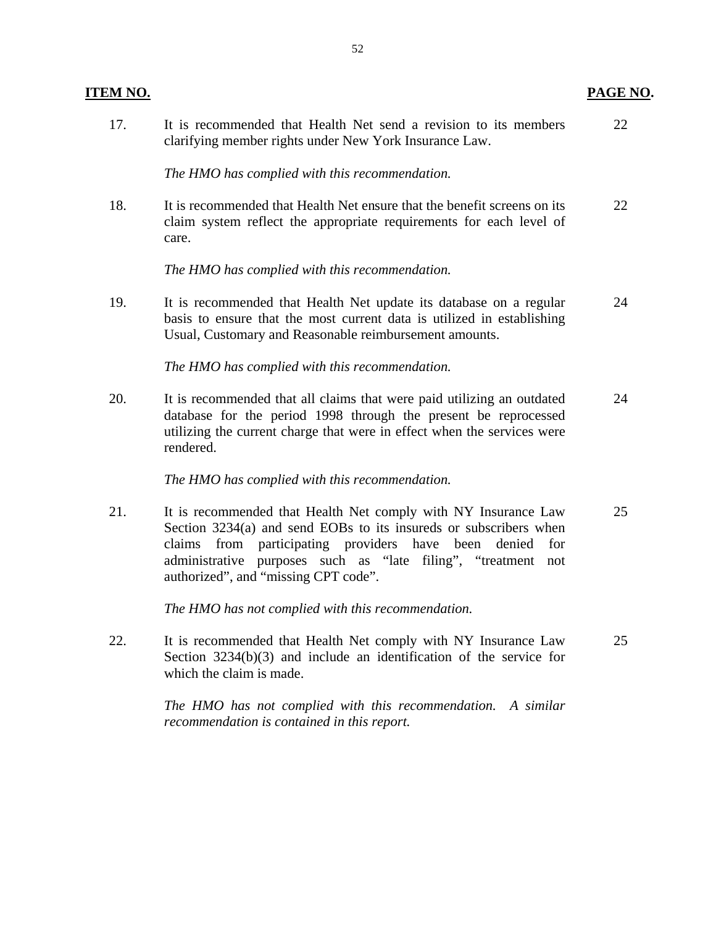| <b>ITEM NO.</b> |                                                                                                                                                                                                                                                                                                             | PAGE NO. |
|-----------------|-------------------------------------------------------------------------------------------------------------------------------------------------------------------------------------------------------------------------------------------------------------------------------------------------------------|----------|
| 17.             | It is recommended that Health Net send a revision to its members<br>clarifying member rights under New York Insurance Law.                                                                                                                                                                                  | 22       |
|                 | The HMO has complied with this recommendation.                                                                                                                                                                                                                                                              |          |
| 18.             | It is recommended that Health Net ensure that the benefit screens on its<br>claim system reflect the appropriate requirements for each level of<br>care.                                                                                                                                                    | 22       |
|                 | The HMO has complied with this recommendation.                                                                                                                                                                                                                                                              |          |
| 19.             | It is recommended that Health Net update its database on a regular<br>basis to ensure that the most current data is utilized in establishing<br>Usual, Customary and Reasonable reimbursement amounts.                                                                                                      | 24       |
|                 | The HMO has complied with this recommendation.                                                                                                                                                                                                                                                              |          |
| 20.             | It is recommended that all claims that were paid utilizing an outdated<br>database for the period 1998 through the present be reprocessed<br>utilizing the current charge that were in effect when the services were<br>rendered.                                                                           | 24       |
|                 | The HMO has complied with this recommendation.                                                                                                                                                                                                                                                              |          |
| 21.             | It is recommended that Health Net comply with NY Insurance Law<br>Section 3234(a) and send EOBs to its insureds or subscribers when<br>claims from participating providers have been<br>denied for<br>administrative purposes such as "late filing", "treatment not<br>authorized", and "missing CPT code". | 25       |
|                 | The HMO has not complied with this recommendation.                                                                                                                                                                                                                                                          |          |
| 22.             | It is recommended that Health Net comply with NY Insurance Law<br>Section $3234(b)(3)$ and include an identification of the service for<br>which the claim is made.                                                                                                                                         | 25       |
|                 | The HMO has not complied with this recommendation. A similar<br>recommendation is contained in this report.                                                                                                                                                                                                 |          |

# 52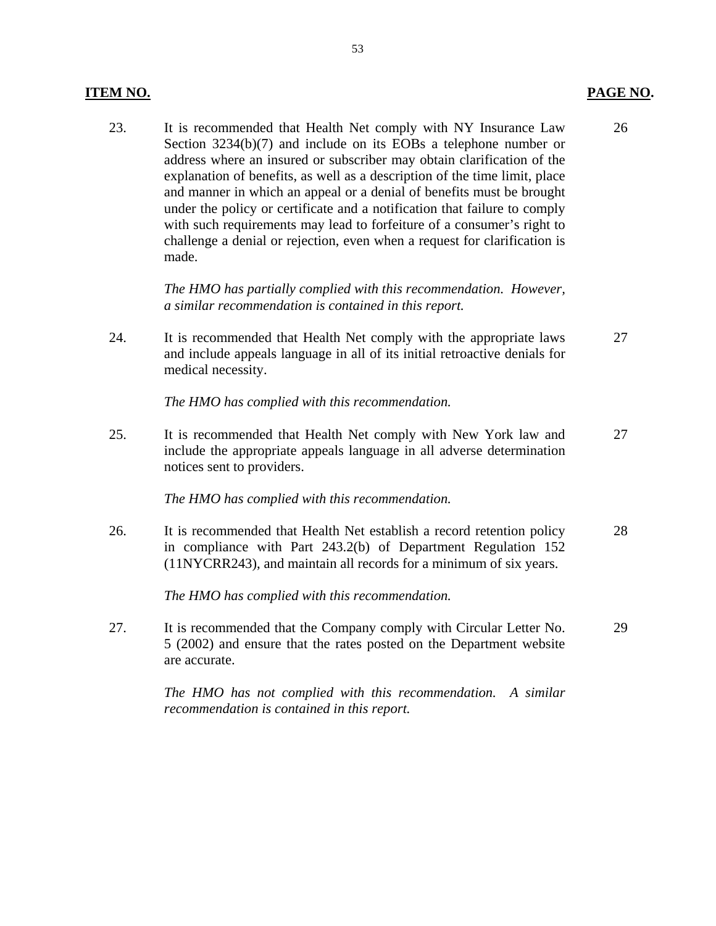#### **ITEM NO. PAGE NO.**

23. It is recommended that Health Net comply with NY Insurance Law 26 Section 3234(b)(7) and include on its EOBs a telephone number or address where an insured or subscriber may obtain clarification of the explanation of benefits, as well as a description of the time limit, place and manner in which an appeal or a denial of benefits must be brought under the policy or certificate and a notification that failure to comply with such requirements may lead to forfeiture of a consumer's right to challenge a denial or rejection, even when a request for clarification is made.

> *The HMO has partially complied with this recommendation. However, a similar recommendation is contained in this report.*

24. It is recommended that Health Net comply with the appropriate laws 27 and include appeals language in all of its initial retroactive denials for medical necessity.

*The HMO has complied with this recommendation.* 

25. It is recommended that Health Net comply with New York law and 27 include the appropriate appeals language in all adverse determination notices sent to providers.

#### *The HMO has complied with this recommendation.*

26. It is recommended that Health Net establish a record retention policy 28 in compliance with Part 243.2(b) of Department Regulation 152 (11NYCRR243), and maintain all records for a minimum of six years.

*The HMO has complied with this recommendation.* 

27. It is recommended that the Company comply with Circular Letter No. 29 5 (2002) and ensure that the rates posted on the Department website are accurate.

> *The HMO has not complied with this recommendation. A similar recommendation is contained in this report.*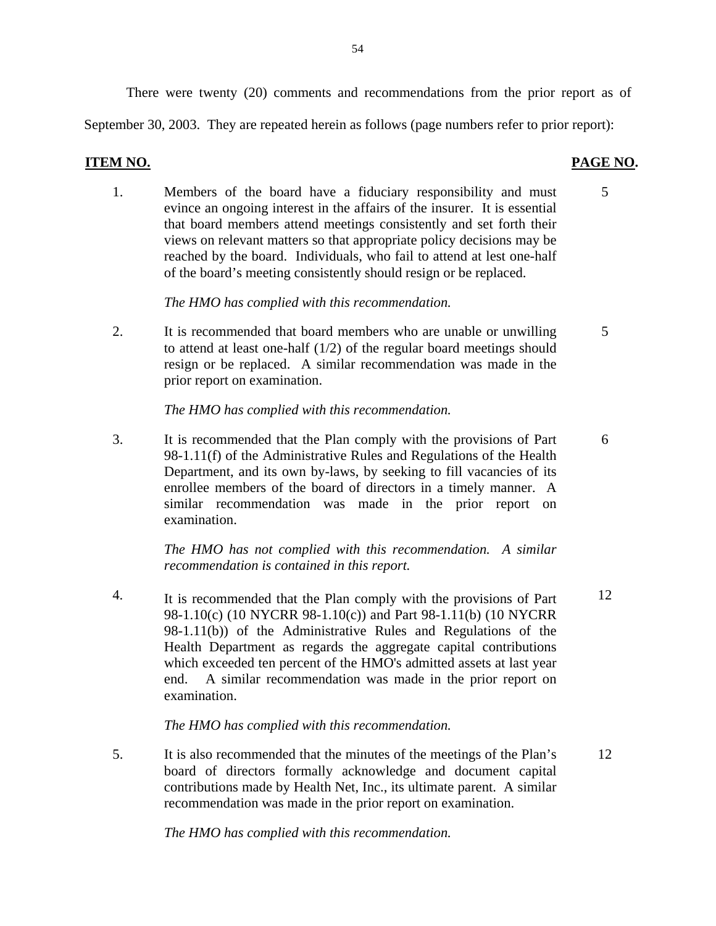There were twenty (20) comments and recommendations from the prior report as of

September 30, 2003. They are repeated herein as follows (page numbers refer to prior report):

#### **ITEM NO. PAGE NO.**

1. Members of the board have a fiduciary responsibility and must 5 evince an ongoing interest in the affairs of the insurer. It is essential that board members attend meetings consistently and set forth their views on relevant matters so that appropriate policy decisions may be reached by the board. Individuals, who fail to attend at lest one-half of the board's meeting consistently should resign or be replaced.

*The HMO has complied with this recommendation.* 

2. It is recommended that board members who are unable or unwilling 5 to attend at least one-half (1/2) of the regular board meetings should resign or be replaced. A similar recommendation was made in the prior report on examination.

*The HMO has complied with this recommendation.* 

3. It is recommended that the Plan comply with the provisions of Part 6 98-1.11(f) of the Administrative Rules and Regulations of the Health Department, and its own by-laws, by seeking to fill vacancies of its enrollee members of the board of directors in a timely manner. A similar recommendation was made in the prior report on examination.

> *The HMO has not complied with this recommendation. A similar recommendation is contained in this report.*

4. It is recommended that the Plan comply with the provisions of Part  $12$ 98-1.10(c) (10 NYCRR 98-1.10(c)) and Part 98-1.11(b) (10 NYCRR 98-1.11(b)) of the Administrative Rules and Regulations of the Health Department as regards the aggregate capital contributions which exceeded ten percent of the HMO's admitted assets at last year end. A similar recommendation was made in the prior report on examination.

*The HMO has complied with this recommendation.* 

5. It is also recommended that the minutes of the meetings of the Plan's 12 board of directors formally acknowledge and document capital contributions made by Health Net, Inc., its ultimate parent. A similar recommendation was made in the prior report on examination.

*The HMO has complied with this recommendation.*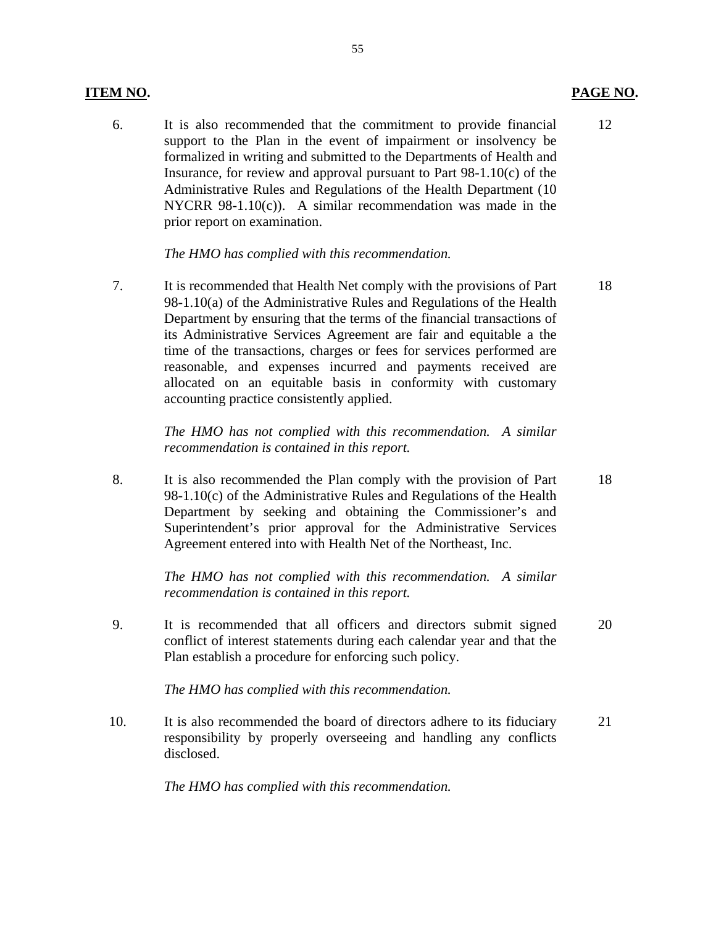#### **ITEM NO. PAGE NO. PAGE NO.**

6. It is also recommended that the commitment to provide financial support to the Plan in the event of impairment or insolvency be formalized in writing and submitted to the Departments of Health and Insurance, for review and approval pursuant to Part 98-1.10(c) of the Administrative Rules and Regulations of the Health Department (10 NYCRR 98-1.10(c)). A similar recommendation was made in the prior report on examination. 12

#### *The HMO has complied with this recommendation.*

7. It is recommended that Health Net comply with the provisions of Part 98-1.10(a) of the Administrative Rules and Regulations of the Health Department by ensuring that the terms of the financial transactions of its Administrative Services Agreement are fair and equitable a the time of the transactions, charges or fees for services performed are reasonable, and expenses incurred and payments received are allocated on an equitable basis in conformity with customary accounting practice consistently applied. 18

> *The HMO has not complied with this recommendation. A similar recommendation is contained in this report.*

8. It is also recommended the Plan comply with the provision of Part 98-1.10(c) of the Administrative Rules and Regulations of the Health Department by seeking and obtaining the Commissioner's and Superintendent's prior approval for the Administrative Services Agreement entered into with Health Net of the Northeast, Inc.

> *The HMO has not complied with this recommendation. A similar recommendation is contained in this report.*

9. It is recommended that all officers and directors submit signed conflict of interest statements during each calendar year and that the Plan establish a procedure for enforcing such policy. 20

*The HMO has complied with this recommendation.* 

10. It is also recommended the board of directors adhere to its fiduciary responsibility by properly overseeing and handling any conflicts disclosed. 21

*The HMO has complied with this recommendation.* 

55

18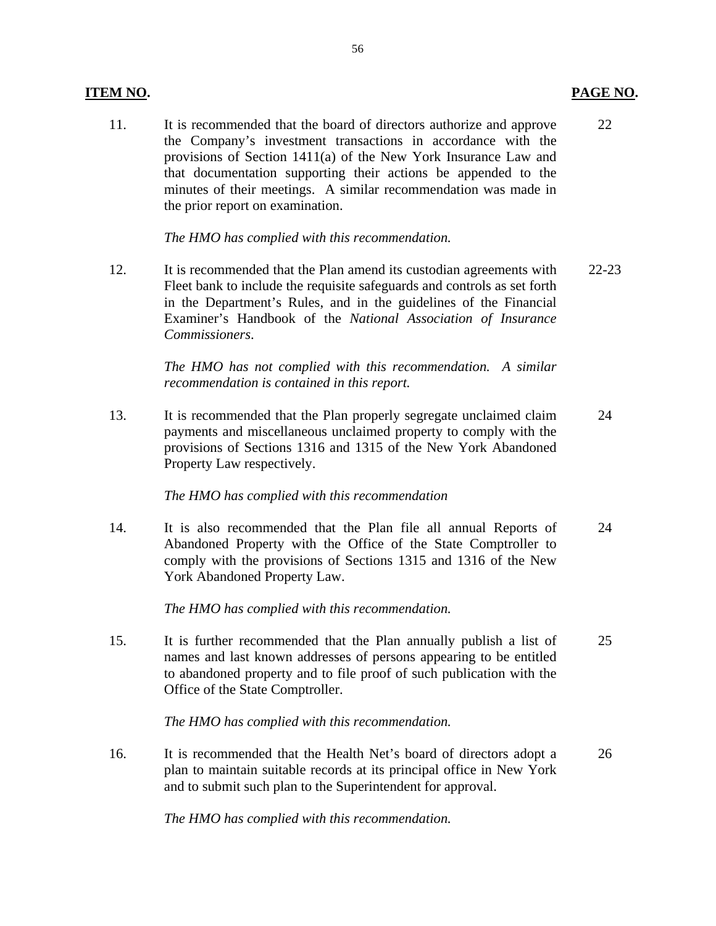#### **ITEM NO. PAGE NO.**

11. It is recommended that the board of directors authorize and approve 22 the Company's investment transactions in accordance with the provisions of Section 1411(a) of the New York Insurance Law and that documentation supporting their actions be appended to the minutes of their meetings. A similar recommendation was made in the prior report on examination.

*The HMO has complied with this recommendation.* 

12. It is recommended that the Plan amend its custodian agreements with 22-23 Fleet bank to include the requisite safeguards and controls as set forth in the Department's Rules, and in the guidelines of the Financial Examiner's Handbook of the *National Association of Insurance Commissioners*.

> *The HMO has not complied with this recommendation. A similar recommendation is contained in this report.*

13. It is recommended that the Plan properly segregate unclaimed claim 24 payments and miscellaneous unclaimed property to comply with the provisions of Sections 1316 and 1315 of the New York Abandoned Property Law respectively.

## *The HMO has complied with this recommendation*

14. It is also recommended that the Plan file all annual Reports of 24 Abandoned Property with the Office of the State Comptroller to comply with the provisions of Sections 1315 and 1316 of the New York Abandoned Property Law.

*The HMO has complied with this recommendation.* 

15. It is further recommended that the Plan annually publish a list of 25 names and last known addresses of persons appearing to be entitled to abandoned property and to file proof of such publication with the Office of the State Comptroller.

*The HMO has complied with this recommendation.* 

16. It is recommended that the Health Net's board of directors adopt a 26 plan to maintain suitable records at its principal office in New York and to submit such plan to the Superintendent for approval.

*The HMO has complied with this recommendation.*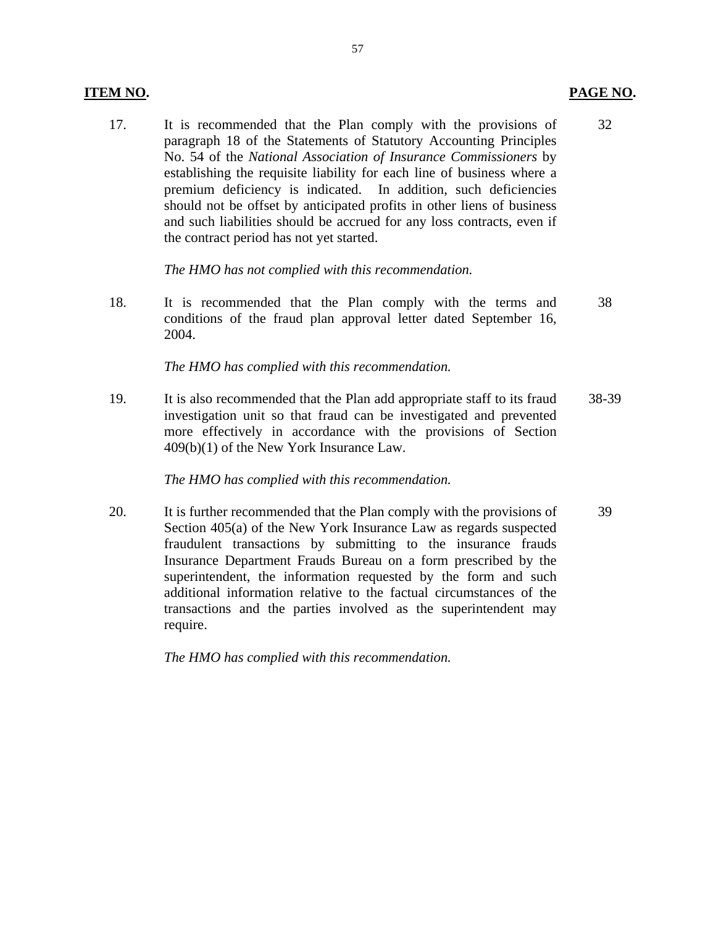#### **ITEM NO. PAGE NO.**

17. It is recommended that the Plan comply with the provisions of 32 paragraph 18 of the Statements of Statutory Accounting Principles No. 54 of the *National Association of Insurance Commissioners* by establishing the requisite liability for each line of business where a premium deficiency is indicated. In addition, such deficiencies should not be offset by anticipated profits in other liens of business and such liabilities should be accrued for any loss contracts, even if the contract period has not yet started.

*The HMO has not complied with this recommendation.* 

18. It is recommended that the Plan comply with the terms and 38 conditions of the fraud plan approval letter dated September 16, 2004.

#### *The HMO has complied with this recommendation.*

19. It is also recommended that the Plan add appropriate staff to its fraud 38-39 investigation unit so that fraud can be investigated and prevented more effectively in accordance with the provisions of Section 409(b)(1) of the New York Insurance Law.

## *The HMO has complied with this recommendation.*

20. It is further recommended that the Plan comply with the provisions of 39 Section 405(a) of the New York Insurance Law as regards suspected fraudulent transactions by submitting to the insurance frauds Insurance Department Frauds Bureau on a form prescribed by the superintendent, the information requested by the form and such additional information relative to the factual circumstances of the transactions and the parties involved as the superintendent may require.

*The HMO has complied with this recommendation.*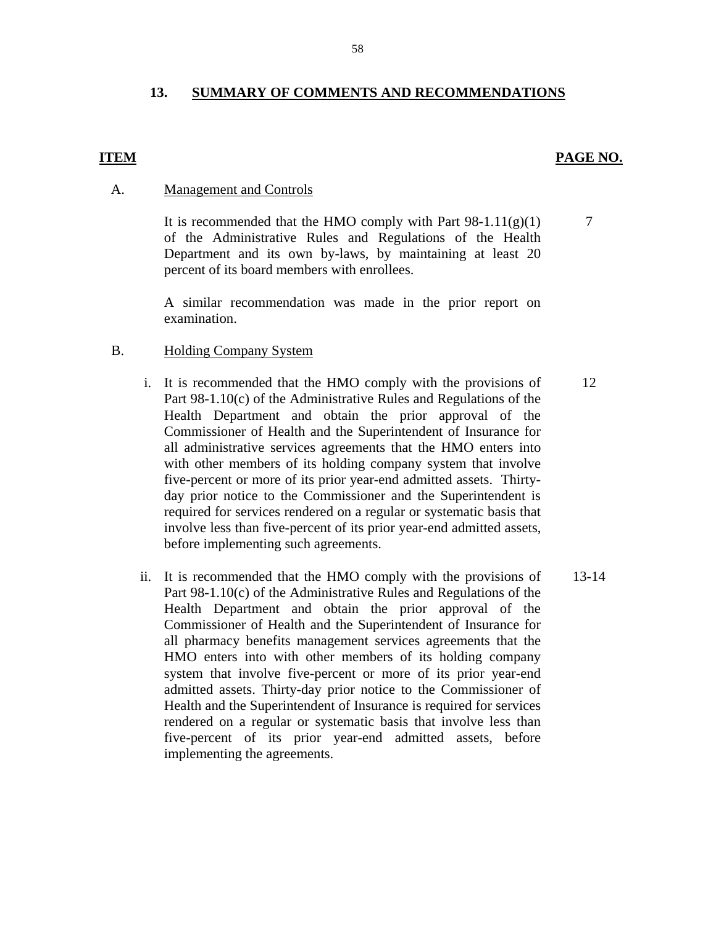## **13. SUMMARY OF COMMENTS AND RECOMMENDATIONS**

#### **ITEM**

#### PAGE NO.

7

#### **Management and Controls**

A. Management and Controls<br>It is recommended that the HMO comply with Part 98-1.11(g)(1) of the Administrative Rules and Regulations of the Health Department and its own by-laws, by maintaining at least 20 percent of its board members with enrollees.

> A similar recommendation was made in the prior report on examination.

#### **Holding Company System**

- B. Holding Company System<br>i. It is recommended that the HMO comply with the provisions of Part 98-1.10(c) of the Administrative Rules and Regulations of the Health Department and obtain the prior approval of the Commissioner of Health and the Superintendent of Insurance for all administrative services agreements that the HMO enters into with other members of its holding company system that involve five-percent or more of its prior year-end admitted assets. Thirtyday prior notice to the Commissioner and the Superintendent is required for services rendered on a regular or systematic basis that involve less than five-percent of its prior year-end admitted assets, before implementing such agreements.
	- ii. It is recommended that the HMO comply with the provisions of Part 98-1.10(c) of the Administrative Rules and Regulations of the Health Department and obtain the prior approval of the Commissioner of Health and the Superintendent of Insurance for all pharmacy benefits management services agreements that the HMO enters into with other members of its holding company system that involve five-percent or more of its prior year-end admitted assets. Thirty-day prior notice to the Commissioner of Health and the Superintendent of Insurance is required for services rendered on a regular or systematic basis that involve less than five-percent of its prior year-end admitted assets, before implementing the agreements. 13-14

12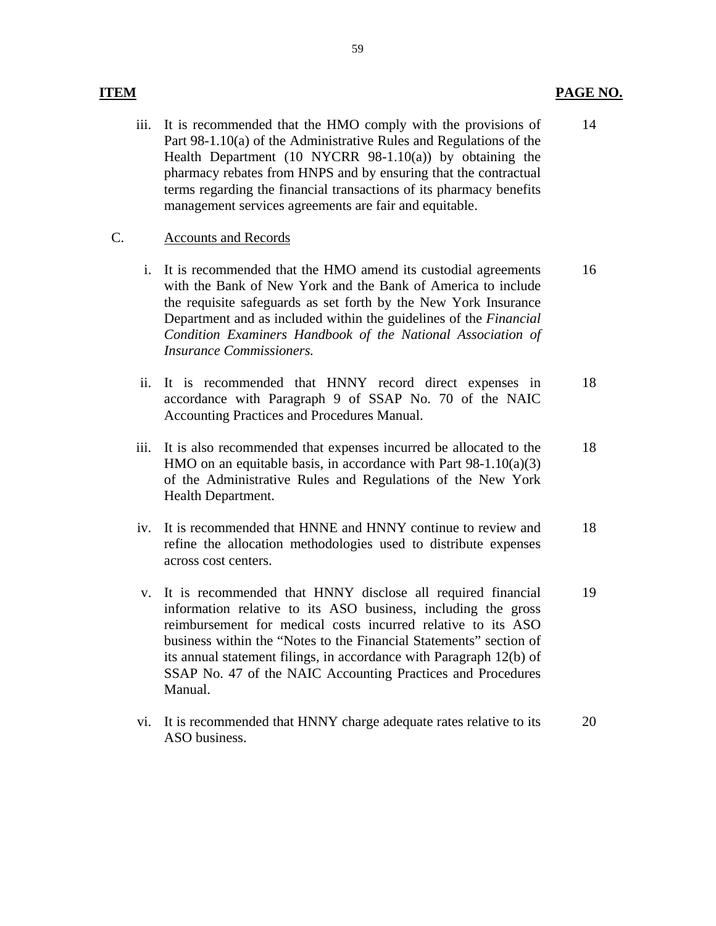#### **ITEM** PAGE NO.

iii. It is recommended that the HMO comply with the provisions of Part 98-1.10(a) of the Administrative Rules and Regulations of the Health Department (10 NYCRR 98-1.10(a)) by obtaining the pharmacy rebates from HNPS and by ensuring that the contractual terms regarding the financial transactions of its pharmacy benefits management services agreements are fair and equitable. 14

#### **Accounts and Records**

- C. Accounts and Records<br>i. It is recommended that the HMO amend its custodial agreements with the Bank of New York and the Bank of America to include the requisite safeguards as set forth by the New York Insurance Department and as included within the guidelines of the *Financial Condition Examiners Handbook of the National Association of Insurance Commissioners.*  16
	- ii. It is recommended that HNNY record direct expenses in accordance with Paragraph 9 of SSAP No. 70 of the NAIC Accounting Practices and Procedures Manual. 18
	- iii. It is also recommended that expenses incurred be allocated to the HMO on an equitable basis, in accordance with Part 98-1.10(a)(3) of the Administrative Rules and Regulations of the New York Health Department. 18
	- iv. It is recommended that HNNE and HNNY continue to review and refine the allocation methodologies used to distribute expenses across cost centers. 18
	- v. It is recommended that HNNY disclose all required financial information relative to its ASO business, including the gross reimbursement for medical costs incurred relative to its ASO business within the "Notes to the Financial Statements" section of its annual statement filings, in accordance with Paragraph 12(b) of SSAP No. 47 of the NAIC Accounting Practices and Procedures Manual. 19
	- vi. It is recommended that HNNY charge adequate rates relative to its ASO business. 20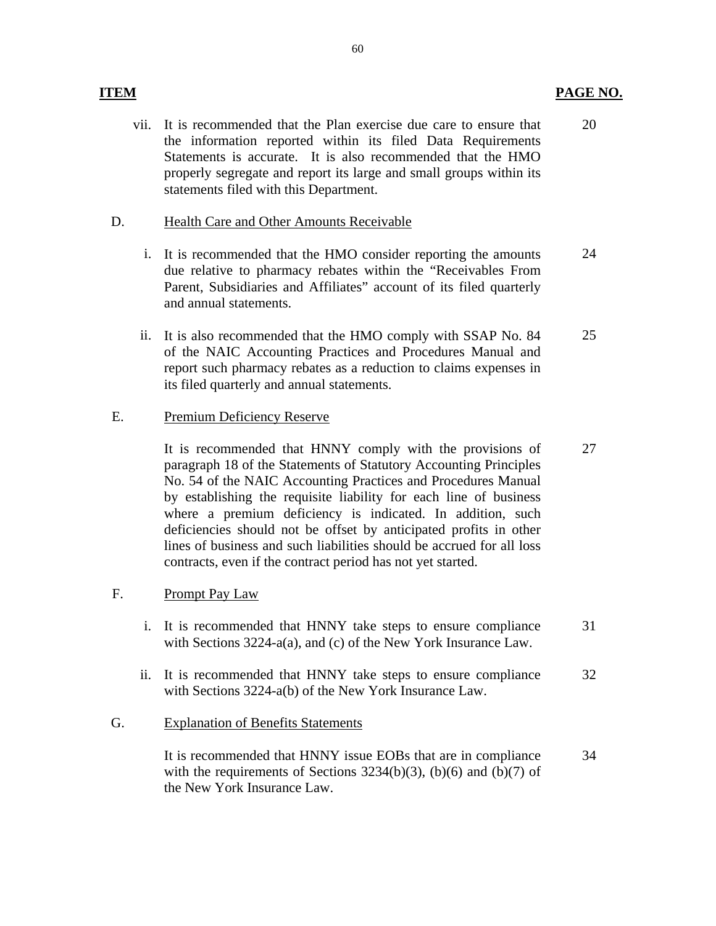vii. It is recommended that the Plan exercise due care to ensure that the information reported within its filed Data Requirements Statements is accurate. It is also recommended that the HMO properly segregate and report its large and small groups within its statements filed with this Department. 20

## **Health Care and Other Amounts Receivable**

- D. Health Care and Other Amounts Receivable<br>i. It is recommended that the HMO consider reporting the amounts due relative to pharmacy rebates within the "Receivables From Parent, Subsidiaries and Affiliates" account of its filed quarterly and annual statements. 24
	- ii. It is also recommended that the HMO comply with SSAP No. 84 of the NAIC Accounting Practices and Procedures Manual and report such pharmacy rebates as a reduction to claims expenses in its filed quarterly and annual statements. 25

## Premium Deficiency Reserve

E. Premium Deficiency Reserve<br>It is recommended that HNNY comply with the provisions of paragraph 18 of the Statements of Statutory Accounting Principles No. 54 of the NAIC Accounting Practices and Procedures Manual by establishing the requisite liability for each line of business where a premium deficiency is indicated. In addition, such deficiencies should not be offset by anticipated profits in other lines of business and such liabilities should be accrued for all loss contracts, even if the contract period has not yet started. 27

## Prompt Pay Law

- F. Prompt Pay Law<br>i. It is recommended that HNNY take steps to ensure compliance with Sections 3224-a(a), and (c) of the New York Insurance Law. 31
	- ii. It is recommended that HNNY take steps to ensure compliance with Sections 3224-a(b) of the New York Insurance Law. 32

## **Explanation of Benefits Statements**

G. Explanation of Benefits Statements<br>It is recommended that HNNY issue EOBs that are in compliance with the requirements of Sections  $3234(b)(3)$ ,  $(b)(6)$  and  $(b)(7)$  of the New York Insurance Law. 34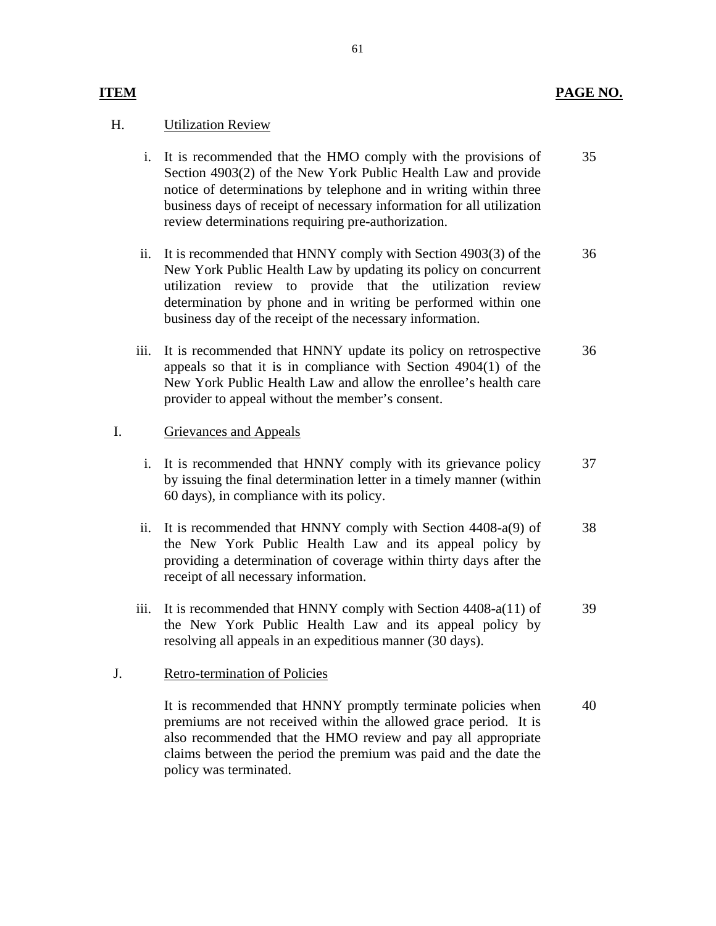## **ITEM PAGE NO.**

## **Utilization Review**

- H. Utilization Review<br>i. It is recommended that the HMO comply with the provisions of Section 4903(2) of the New York Public Health Law and provide notice of determinations by telephone and in writing within three business days of receipt of necessary information for all utilization review determinations requiring pre-authorization. 35
	- ii. It is recommended that HNNY comply with Section 4903(3) of the New York Public Health Law by updating its policy on concurrent utilization review to provide that the utilization review determination by phone and in writing be performed within one business day of the receipt of the necessary information. 36
	- iii. It is recommended that HNNY update its policy on retrospective appeals so that it is in compliance with Section 4904(1) of the New York Public Health Law and allow the enrollee's health care provider to appeal without the member's consent. 36

#### Grievances and Appeals

- I. Grievances and Appeals<br>i. It is recommended that HNNY comply with its grievance policy by issuing the final determination letter in a timely manner (within 60 days), in compliance with its policy. 37
	- ii. It is recommended that HNNY comply with Section 4408-a(9) of the New York Public Health Law and its appeal policy by providing a determination of coverage within thirty days after the receipt of all necessary information. 38
	- iii. It is recommended that HNNY comply with Section 4408-a(11) of the New York Public Health Law and its appeal policy by resolving all appeals in an expeditious manner (30 days). 39

## **Retro-termination of Policies**

J. Retro-termination of Policies<br>It is recommended that HNNY promptly terminate policies when premiums are not received within the allowed grace period. It is also recommended that the HMO review and pay all appropriate claims between the period the premium was paid and the date the policy was terminated. 40

#### 61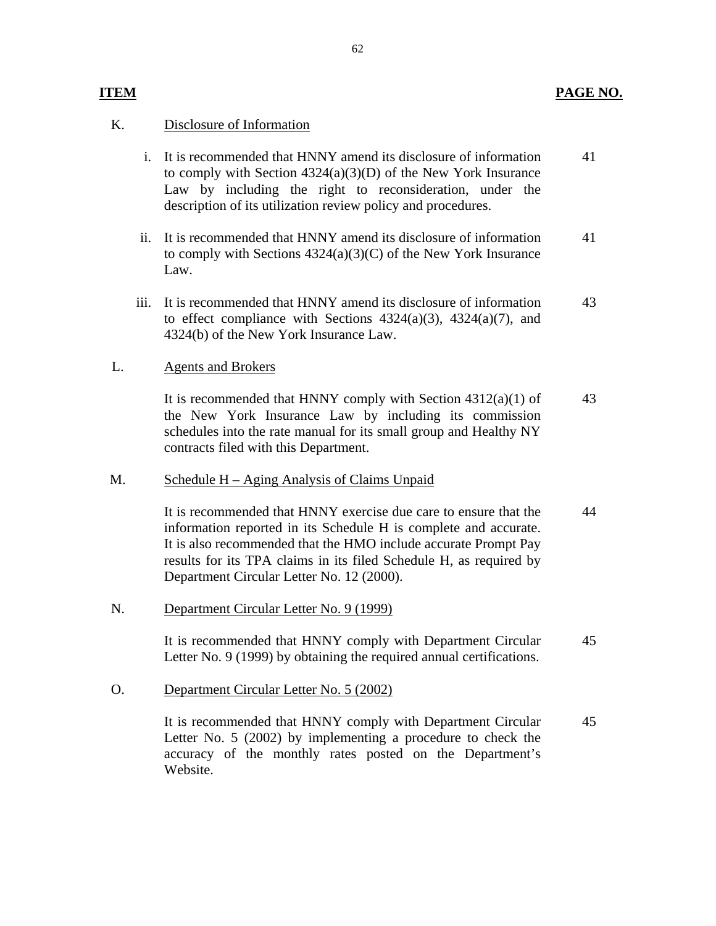## **ITEM** PAGE NO.

## Disclosure of Information

- K. Disclosure of Information<br>i. It is recommended that HNNY amend its disclosure of information to comply with Section 4324(a)(3)(D) of the New York Insurance Law by including the right to reconsideration, under the description of its utilization review policy and procedures. 41
	- ii. It is recommended that HNNY amend its disclosure of information to comply with Sections 4324(a)(3)(C) of the New York Insurance Law. 41
	- iii. It is recommended that HNNY amend its disclosure of information to effect compliance with Sections  $4324(a)(3)$ ,  $4324(a)(7)$ , and 4324(b) of the New York Insurance Law. 43

#### **Agents and Brokers**

L. Agents and Brokers<br>It is recommended that HNNY comply with Section 4312(a)(1) of the New York Insurance Law by including its commission schedules into the rate manual for its small group and Healthy NY contracts filed with this Department. 43

## Schedule H – Aging Analysis of Claims Unpaid

information reported in its Schedule H is complete and accurate. M. Schedule  $H - Aging$  Analysis of Claims Unpaid<br>It is recommended that HNNY exercise due care to ensure that the It is also recommended that the HMO include accurate. Prompt Pay results for its TPA claims in its filed Schedule H, as required by Department Circular Letter No. 12 (2000). 44

Department Circular Letter No. 9 (1999)

N. Department Circular Letter No. 9 (1999)<br>It is recommended that HNNY comply with Department Circular Letter No. 9 (1999) by obtaining the required annual certifications. 45

Department Circular Letter No. 5 (2002)

O. Department Circular Letter No. 5 (2002)<br>It is recommended that HNNY comply with Department Circular Letter No. 5 (2002) by implementing a procedure to check the accuracy of the monthly rates posted on the Department's Website. 45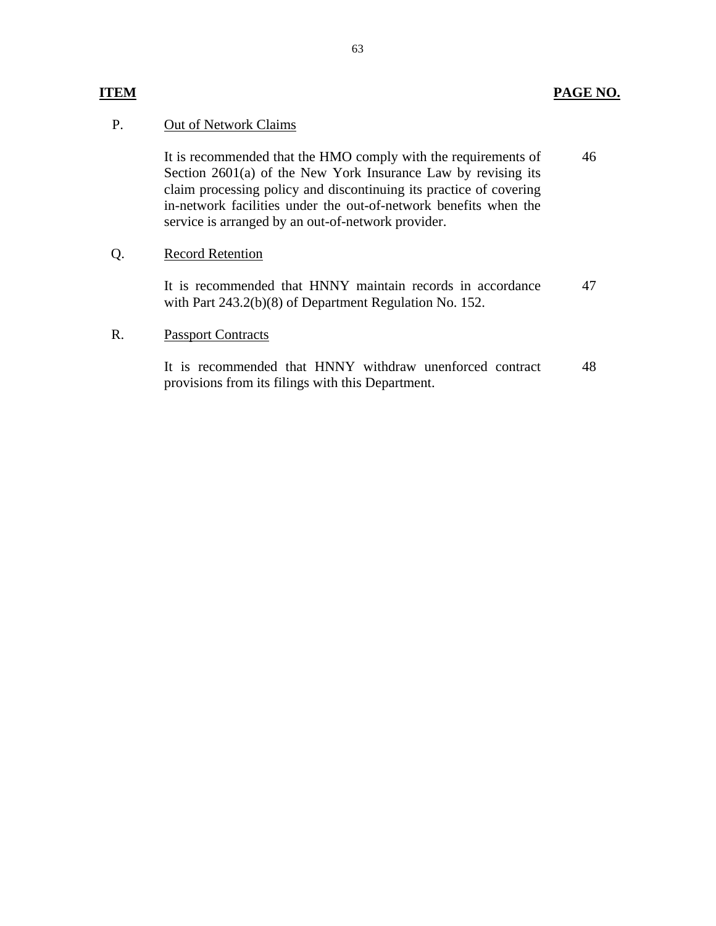#### **Out of Network Claims**

P. Out of Network Claims<br>It is recommended that the HMO comply with the requirements of Section 2601(a) of the New York Insurance Law by revising its claim processing policy and discontinuing its practice of covering in-network facilities under the out-of-network benefits when the service is arranged by an out-of-network provider. 46

#### **Record Retention**

Q. Record Retention<br>It is recommended that HNNY maintain records in accordance with Part 243.2(b)(8) of Department Regulation No. 152. 47

#### **Passport Contracts**

R. Passport Contracts<br>It is recommended that HNNY withdraw unenforced contract provisions from its filings with this Department. 48